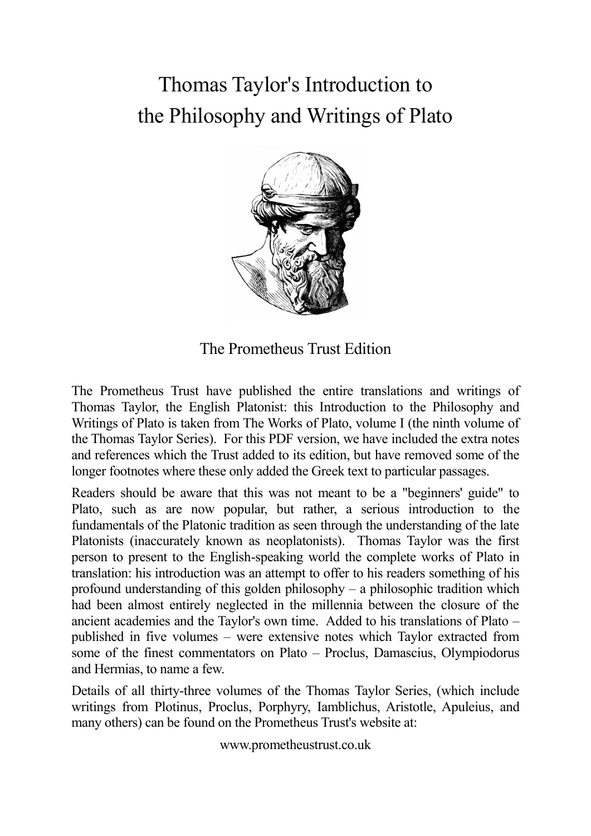# Thomas Taylor's Introduction to the Philosophy and Writings of Plato



The Prometheus Trust Edition

The Prometheus Trust have published the entire translations and writings of Thomas Taylor, the English Platonist: this Introduction to the Philosophy and Writings of Plato is taken from The Works of Plato, volume I (the ninth volume of the Thomas Taylor Series). For this PDF version, we have included the extra notes and references which the Trust added to its edition, but have removed some of the longer footnotes where these only added the Greek text to particular passages.

Readers should be aware that this was not meant to be a "beginners' guide" to Plato, such as are now popular, but rather, a serious introduction to the fundamentals of the Platonic tradition as seen through the understanding of the late Platonists (inaccurately known as neoplatonists). Thomas Taylor was the first person to present to the English-speaking world the complete works of Plato in translation: his introduction was an attempt to offer to his readers something of his profound understanding of this golden philosophy – a philosophic tradition which had been almost entirely neglected in the millennia between the closure of the ancient academies and the Taylor's own time. Added to his translations of Plato – published in five volumes – were extensive notes which Taylor extracted from some of the finest commentators on Plato – Proclus, Damascius, Olympiodorus and Hermias, to name a few.

Details of all thirty-three volumes of the Thomas Taylor Series, (which include writings from Plotinus, Proclus, Porphyry, Iamblichus, Aristotle, Apuleius, and many others) can be found on the Prometheus Trust's website at:

www.prometheustrust.co.uk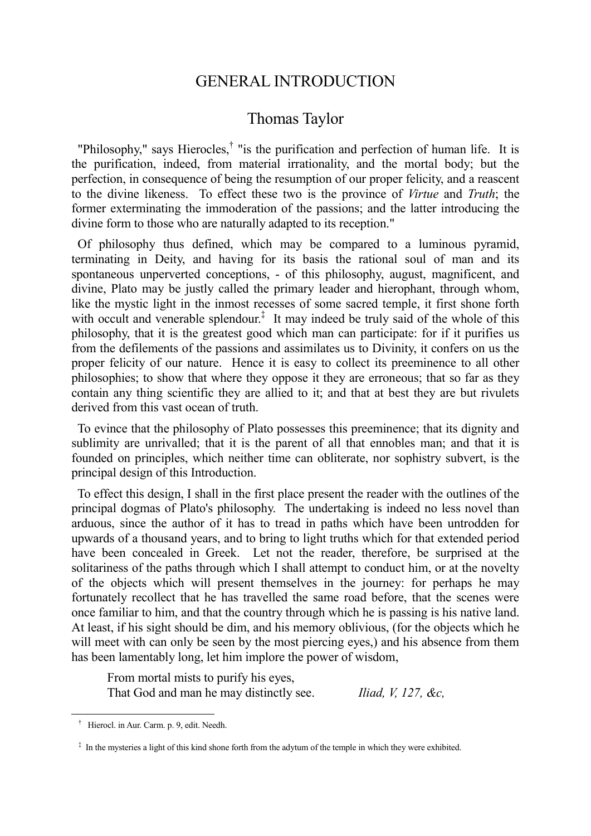## GENERAL INTRODUCTION

# Thomas Taylor

"Philosophy," says Hierocles,<sup>†</sup> "is the purification and perfection of human life. It is the purification, indeed, from material irrationality, and the mortal body; but the perfection, in consequence of being the resumption of our proper felicity, and a reascent to the divine likeness. To effect these two is the province of *Virtue* and *Truth*; the former exterminating the immoderation of the passions; and the latter introducing the divine form to those who are naturally adapted to its reception."

 Of philosophy thus defined, which may be compared to a luminous pyramid, terminating in Deity, and having for its basis the rational soul of man and its spontaneous unperverted conceptions, - of this philosophy, august, magnificent, and divine, Plato may be justly called the primary leader and hierophant, through whom, like the mystic light in the inmost recesses of some sacred temple, it first shone forth with occult and venerable splendour.<sup>‡</sup> It may indeed be truly said of the whole of this philosophy, that it is the greatest good which man can participate: for if it purifies us from the defilements of the passions and assimilates us to Divinity, it confers on us the proper felicity of our nature. Hence it is easy to collect its preeminence to all other philosophies; to show that where they oppose it they are erroneous; that so far as they contain any thing scientific they are allied to it; and that at best they are but rivulets derived from this vast ocean of truth.

 To evince that the philosophy of Plato possesses this preeminence; that its dignity and sublimity are unrivalled; that it is the parent of all that ennobles man; and that it is founded on principles, which neither time can obliterate, nor sophistry subvert, is the principal design of this Introduction.

 To effect this design, I shall in the first place present the reader with the outlines of the principal dogmas of Plato's philosophy. The undertaking is indeed no less novel than arduous, since the author of it has to tread in paths which have been untrodden for upwards of a thousand years, and to bring to light truths which for that extended period have been concealed in Greek. Let not the reader, therefore, be surprised at the solitariness of the paths through which I shall attempt to conduct him, or at the novelty of the objects which will present themselves in the journey: for perhaps he may fortunately recollect that he has travelled the same road before, that the scenes were once familiar to him, and that the country through which he is passing is his native land. At least, if his sight should be dim, and his memory oblivious, (for the objects which he will meet with can only be seen by the most piercing eyes,) and his absence from them has been lamentably long, let him implore the power of wisdom,

From mortal mists to purify his eyes, That God and man he may distinctly see. *Iliad, V, 127, &c,*

† Hierocl. in Aur. Carm. p. 9, edit. Needh.

‡ In the mysteries a light of this kind shone forth from the adytum of the temple in which they were exhibited.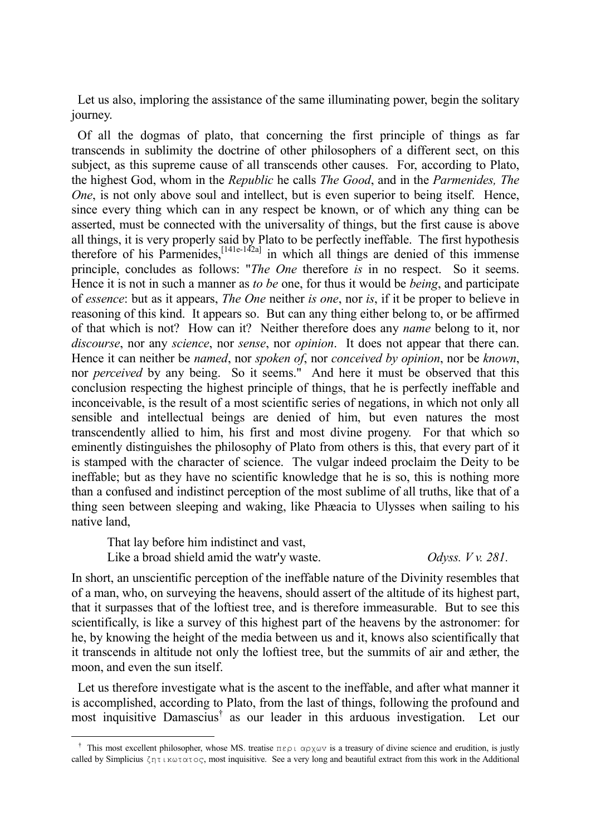Let us also, imploring the assistance of the same illuminating power, begin the solitary journey.

 Of all the dogmas of plato, that concerning the first principle of things as far transcends in sublimity the doctrine of other philosophers of a different sect, on this subject, as this supreme cause of all transcends other causes. For, according to Plato, the highest God, whom in the *Republic* he calls *The Good*, and in the *Parmenides, The One*, is not only above soul and intellect, but is even superior to being itself. Hence, since every thing which can in any respect be known, or of which any thing can be asserted, must be connected with the universality of things, but the first cause is above all things, it is very properly said by Plato to be perfectly ineffable. The first hypothesis therefore of his Parmenides,  $[141e^{-14/2a}]$  in which all things are denied of this immense principle, concludes as follows: "*The One* therefore *is* in no respect. So it seems. Hence it is not in such a manner as *to be* one, for thus it would be *being*, and participate of *essence*: but as it appears, *The One* neither *is one*, nor *is*, if it be proper to believe in reasoning of this kind. It appears so. But can any thing either belong to, or be affirmed of that which is not? How can it? Neither therefore does any *name* belong to it, nor *discourse*, nor any *science*, nor *sense*, nor *opinion*. It does not appear that there can. Hence it can neither be *named*, nor *spoken of*, nor *conceived by opinion*, nor be *known*, nor *perceived* by any being. So it seems." And here it must be observed that this conclusion respecting the highest principle of things, that he is perfectly ineffable and inconceivable, is the result of a most scientific series of negations, in which not only all sensible and intellectual beings are denied of him, but even natures the most transcendently allied to him, his first and most divine progeny. For that which so eminently distinguishes the philosophy of Plato from others is this, that every part of it is stamped with the character of science. The vulgar indeed proclaim the Deity to be ineffable; but as they have no scientific knowledge that he is so, this is nothing more than a confused and indistinct perception of the most sublime of all truths, like that of a thing seen between sleeping and waking, like Phæacia to Ulysses when sailing to his native land,

That lay before him indistinct and vast,

-

Like a broad shield amid the watr'y waste. *Odyss. V v. 281.*

In short, an unscientific perception of the ineffable nature of the Divinity resembles that of a man, who, on surveying the heavens, should assert of the altitude of its highest part, that it surpasses that of the loftiest tree, and is therefore immeasurable. But to see this scientifically, is like a survey of this highest part of the heavens by the astronomer: for he, by knowing the height of the media between us and it, knows also scientifically that it transcends in altitude not only the loftiest tree, but the summits of air and æther, the moon, and even the sun itself.

 Let us therefore investigate what is the ascent to the ineffable, and after what manner it is accomplished, according to Plato, from the last of things, following the profound and most inquisitive Damascius† as our leader in this arduous investigation. Let our

<sup>&</sup>lt;sup>†</sup> This most excellent philosopher, whose MS. treatise  $\pi \epsilon \rho \iota \propto \rho \chi \omega v$  is a treasury of divine science and erudition, is justly called by Simplicius ζητικωτατος, most inquisitive. See a very long and beautiful extract from this work in the Additional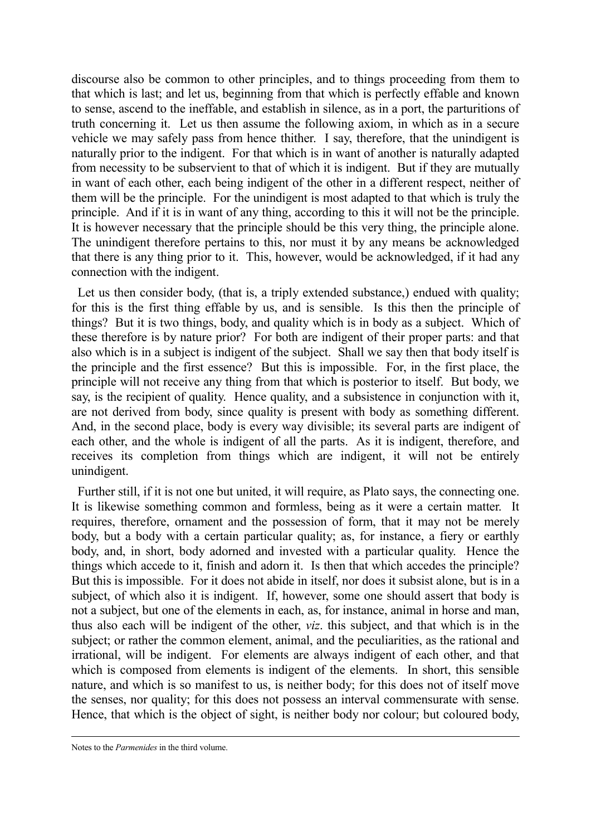discourse also be common to other principles, and to things proceeding from them to that which is last; and let us, beginning from that which is perfectly effable and known to sense, ascend to the ineffable, and establish in silence, as in a port, the parturitions of truth concerning it. Let us then assume the following axiom, in which as in a secure vehicle we may safely pass from hence thither. I say, therefore, that the unindigent is naturally prior to the indigent. For that which is in want of another is naturally adapted from necessity to be subservient to that of which it is indigent. But if they are mutually in want of each other, each being indigent of the other in a different respect, neither of them will be the principle. For the unindigent is most adapted to that which is truly the principle. And if it is in want of any thing, according to this it will not be the principle. It is however necessary that the principle should be this very thing, the principle alone. The unindigent therefore pertains to this, nor must it by any means be acknowledged that there is any thing prior to it. This, however, would be acknowledged, if it had any connection with the indigent.

 Let us then consider body, (that is, a triply extended substance,) endued with quality; for this is the first thing effable by us, and is sensible. Is this then the principle of things? But it is two things, body, and quality which is in body as a subject. Which of these therefore is by nature prior? For both are indigent of their proper parts: and that also which is in a subject is indigent of the subject. Shall we say then that body itself is the principle and the first essence? But this is impossible. For, in the first place, the principle will not receive any thing from that which is posterior to itself. But body, we say, is the recipient of quality. Hence quality, and a subsistence in conjunction with it, are not derived from body, since quality is present with body as something different. And, in the second place, body is every way divisible; its several parts are indigent of each other, and the whole is indigent of all the parts. As it is indigent, therefore, and receives its completion from things which are indigent, it will not be entirely unindigent.

 Further still, if it is not one but united, it will require, as Plato says, the connecting one. It is likewise something common and formless, being as it were a certain matter. It requires, therefore, ornament and the possession of form, that it may not be merely body, but a body with a certain particular quality; as, for instance, a fiery or earthly body, and, in short, body adorned and invested with a particular quality. Hence the things which accede to it, finish and adorn it. Is then that which accedes the principle? But this is impossible. For it does not abide in itself, nor does it subsist alone, but is in a subject, of which also it is indigent. If, however, some one should assert that body is not a subject, but one of the elements in each, as, for instance, animal in horse and man, thus also each will be indigent of the other, *viz*. this subject, and that which is in the subject; or rather the common element, animal, and the peculiarities, as the rational and irrational, will be indigent. For elements are always indigent of each other, and that which is composed from elements is indigent of the elements. In short, this sensible nature, and which is so manifest to us, is neither body; for this does not of itself move the senses, nor quality; for this does not possess an interval commensurate with sense. Hence, that which is the object of sight, is neither body nor colour; but coloured body,

Notes to the *Parmenides* in the third volume.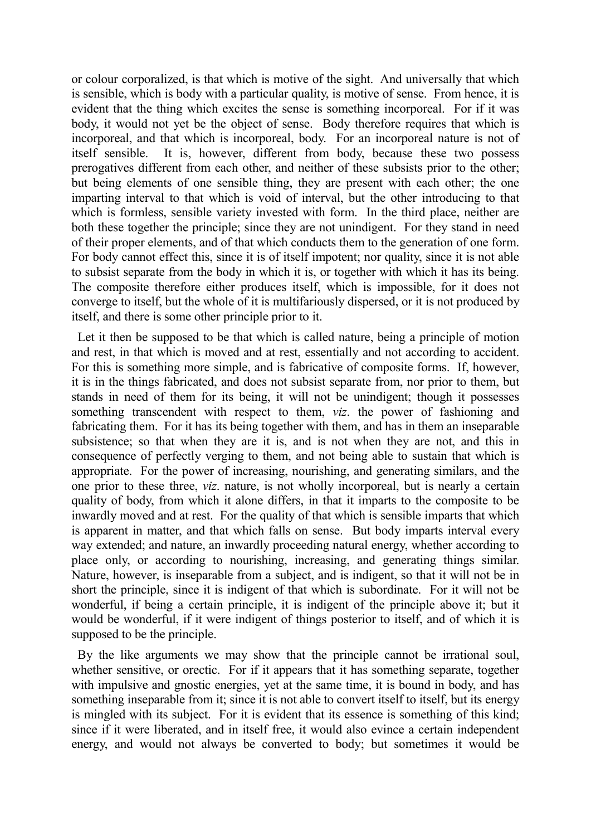or colour corporalized, is that which is motive of the sight. And universally that which is sensible, which is body with a particular quality, is motive of sense. From hence, it is evident that the thing which excites the sense is something incorporeal. For if it was body, it would not yet be the object of sense. Body therefore requires that which is incorporeal, and that which is incorporeal, body. For an incorporeal nature is not of itself sensible. It is, however, different from body, because these two possess prerogatives different from each other, and neither of these subsists prior to the other; but being elements of one sensible thing, they are present with each other; the one imparting interval to that which is void of interval, but the other introducing to that which is formless, sensible variety invested with form. In the third place, neither are both these together the principle; since they are not unindigent. For they stand in need of their proper elements, and of that which conducts them to the generation of one form. For body cannot effect this, since it is of itself impotent; nor quality, since it is not able to subsist separate from the body in which it is, or together with which it has its being. The composite therefore either produces itself, which is impossible, for it does not converge to itself, but the whole of it is multifariously dispersed, or it is not produced by itself, and there is some other principle prior to it.

 Let it then be supposed to be that which is called nature, being a principle of motion and rest, in that which is moved and at rest, essentially and not according to accident. For this is something more simple, and is fabricative of composite forms. If, however, it is in the things fabricated, and does not subsist separate from, nor prior to them, but stands in need of them for its being, it will not be unindigent; though it possesses something transcendent with respect to them, *viz*. the power of fashioning and fabricating them. For it has its being together with them, and has in them an inseparable subsistence; so that when they are it is, and is not when they are not, and this in consequence of perfectly verging to them, and not being able to sustain that which is appropriate. For the power of increasing, nourishing, and generating similars, and the one prior to these three, *viz*. nature, is not wholly incorporeal, but is nearly a certain quality of body, from which it alone differs, in that it imparts to the composite to be inwardly moved and at rest. For the quality of that which is sensible imparts that which is apparent in matter, and that which falls on sense. But body imparts interval every way extended; and nature, an inwardly proceeding natural energy, whether according to place only, or according to nourishing, increasing, and generating things similar. Nature, however, is inseparable from a subject, and is indigent, so that it will not be in short the principle, since it is indigent of that which is subordinate. For it will not be wonderful, if being a certain principle, it is indigent of the principle above it; but it would be wonderful, if it were indigent of things posterior to itself, and of which it is supposed to be the principle.

 By the like arguments we may show that the principle cannot be irrational soul, whether sensitive, or orectic. For if it appears that it has something separate, together with impulsive and gnostic energies, yet at the same time, it is bound in body, and has something inseparable from it; since it is not able to convert itself to itself, but its energy is mingled with its subject. For it is evident that its essence is something of this kind; since if it were liberated, and in itself free, it would also evince a certain independent energy, and would not always be converted to body; but sometimes it would be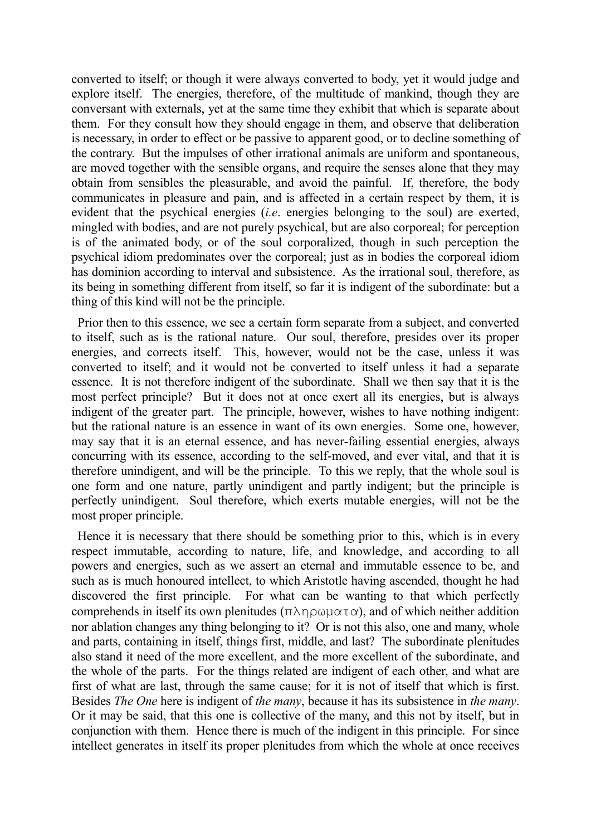converted to itself; or though it were always converted to body, yet it would judge and explore itself. The energies, therefore, of the multitude of mankind, though they are conversant with externals, yet at the same time they exhibit that which is separate about them. For they consult how they should engage in them, and observe that deliberation is necessary, in order to effect or be passive to apparent good, or to decline something of the contrary. But the impulses of other irrational animals are uniform and spontaneous, are moved together with the sensible organs, and require the senses alone that they may obtain from sensibles the pleasurable, and avoid the painful. If, therefore, the body communicates in pleasure and pain, and is affected in a certain respect by them, it is evident that the psychical energies (*i.e*. energies belonging to the soul) are exerted, mingled with bodies, and are not purely psychical, but are also corporeal; for perception is of the animated body, or of the soul corporalized, though in such perception the psychical idiom predominates over the corporeal; just as in bodies the corporeal idiom has dominion according to interval and subsistence. As the irrational soul, therefore, as its being in something different from itself, so far it is indigent of the subordinate: but a thing of this kind will not be the principle.

 Prior then to this essence, we see a certain form separate from a subject, and converted to itself, such as is the rational nature. Our soul, therefore, presides over its proper energies, and corrects itself. This, however, would not be the case, unless it was converted to itself; and it would not be converted to itself unless it had a separate essence. It is not therefore indigent of the subordinate. Shall we then say that it is the most perfect principle? But it does not at once exert all its energies, but is always indigent of the greater part. The principle, however, wishes to have nothing indigent: but the rational nature is an essence in want of its own energies. Some one, however, may say that it is an eternal essence, and has never-failing essential energies, always concurring with its essence, according to the self-moved, and ever vital, and that it is therefore unindigent, and will be the principle. To this we reply, that the whole soul is one form and one nature, partly unindigent and partly indigent; but the principle is perfectly unindigent. Soul therefore, which exerts mutable energies, will not be the most proper principle.

 Hence it is necessary that there should be something prior to this, which is in every respect immutable, according to nature, life, and knowledge, and according to all powers and energies, such as we assert an eternal and immutable essence to be, and such as is much honoured intellect, to which Aristotle having ascended, thought he had discovered the first principle. For what can be wanting to that which perfectly comprehends in itself its own plenitudes  $(\pi \lambda \eta \rho \omega \mu \alpha \tau \alpha)$ , and of which neither addition nor ablation changes any thing belonging to it? Or is not this also, one and many, whole and parts, containing in itself, things first, middle, and last? The subordinate plenitudes also stand it need of the more excellent, and the more excellent of the subordinate, and the whole of the parts. For the things related are indigent of each other, and what are first of what are last, through the same cause; for it is not of itself that which is first. Besides *The One* here is indigent of *the many*, because it has its subsistence in *the many*. Or it may be said, that this one is collective of the many, and this not by itself, but in conjunction with them. Hence there is much of the indigent in this principle. For since intellect generates in itself its proper plenitudes from which the whole at once receives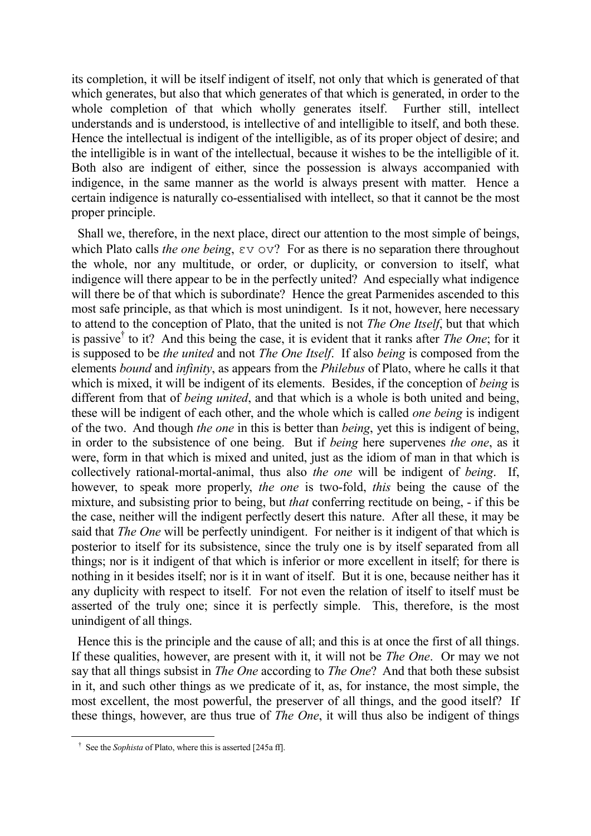its completion, it will be itself indigent of itself, not only that which is generated of that which generates, but also that which generates of that which is generated, in order to the whole completion of that which wholly generates itself. Further still, intellect understands and is understood, is intellective of and intelligible to itself, and both these. Hence the intellectual is indigent of the intelligible, as of its proper object of desire; and the intelligible is in want of the intellectual, because it wishes to be the intelligible of it. Both also are indigent of either, since the possession is always accompanied with indigence, in the same manner as the world is always present with matter. Hence a certain indigence is naturally co-essentialised with intellect, so that it cannot be the most proper principle.

 Shall we, therefore, in the next place, direct our attention to the most simple of beings, which Plato calls *the one being*, εv ov? For as there is no separation there throughout the whole, nor any multitude, or order, or duplicity, or conversion to itself, what indigence will there appear to be in the perfectly united? And especially what indigence will there be of that which is subordinate? Hence the great Parmenides ascended to this most safe principle, as that which is most unindigent. Is it not, however, here necessary to attend to the conception of Plato, that the united is not *The One Itself*, but that which is passive† to it? And this being the case, it is evident that it ranks after *The One*; for it is supposed to be *the united* and not *The One Itself*. If also *being* is composed from the elements *bound* and *infinity*, as appears from the *Philebus* of Plato, where he calls it that which is mixed, it will be indigent of its elements. Besides, if the conception of *being* is different from that of *being united*, and that which is a whole is both united and being, these will be indigent of each other, and the whole which is called *one being* is indigent of the two. And though *the one* in this is better than *being*, yet this is indigent of being, in order to the subsistence of one being. But if *being* here supervenes *the one*, as it were, form in that which is mixed and united, just as the idiom of man in that which is collectively rational-mortal-animal, thus also *the one* will be indigent of *being*. If, however, to speak more properly, *the one* is two-fold, *this* being the cause of the mixture, and subsisting prior to being, but *that* conferring rectitude on being, - if this be the case, neither will the indigent perfectly desert this nature. After all these, it may be said that *The One* will be perfectly unindigent. For neither is it indigent of that which is posterior to itself for its subsistence, since the truly one is by itself separated from all things; nor is it indigent of that which is inferior or more excellent in itself; for there is nothing in it besides itself; nor is it in want of itself. But it is one, because neither has it any duplicity with respect to itself. For not even the relation of itself to itself must be asserted of the truly one; since it is perfectly simple. This, therefore, is the most unindigent of all things.

 Hence this is the principle and the cause of all; and this is at once the first of all things. If these qualities, however, are present with it, it will not be *The One*. Or may we not say that all things subsist in *The One* according to *The One*? And that both these subsist in it, and such other things as we predicate of it, as, for instance, the most simple, the most excellent, the most powerful, the preserver of all things, and the good itself? If these things, however, are thus true of *The One*, it will thus also be indigent of things

† See the *Sophista* of Plato, where this is asserted [245a ff].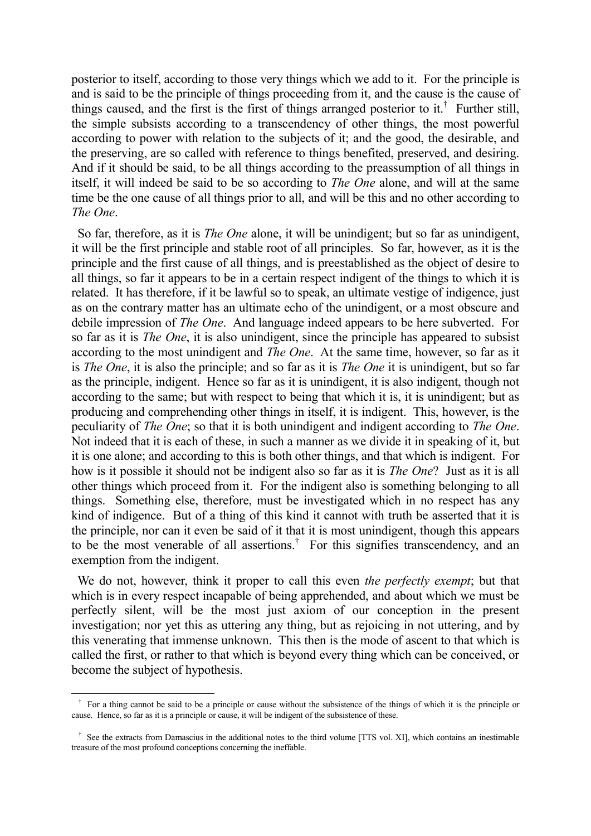posterior to itself, according to those very things which we add to it. For the principle is and is said to be the principle of things proceeding from it, and the cause is the cause of things caused, and the first is the first of things arranged posterior to it.† Further still, the simple subsists according to a transcendency of other things, the most powerful according to power with relation to the subjects of it; and the good, the desirable, and the preserving, are so called with reference to things benefited, preserved, and desiring. And if it should be said, to be all things according to the preassumption of all things in itself, it will indeed be said to be so according to *The One* alone, and will at the same time be the one cause of all things prior to all, and will be this and no other according to *The One*.

 So far, therefore, as it is *The One* alone, it will be unindigent; but so far as unindigent, it will be the first principle and stable root of all principles. So far, however, as it is the principle and the first cause of all things, and is preestablished as the object of desire to all things, so far it appears to be in a certain respect indigent of the things to which it is related. It has therefore, if it be lawful so to speak, an ultimate vestige of indigence, just as on the contrary matter has an ultimate echo of the unindigent, or a most obscure and debile impression of *The One*. And language indeed appears to be here subverted. For so far as it is *The One*, it is also unindigent, since the principle has appeared to subsist according to the most unindigent and *The One*. At the same time, however, so far as it is *The One*, it is also the principle; and so far as it is *The One* it is unindigent, but so far as the principle, indigent. Hence so far as it is unindigent, it is also indigent, though not according to the same; but with respect to being that which it is, it is unindigent; but as producing and comprehending other things in itself, it is indigent. This, however, is the peculiarity of *The One*; so that it is both unindigent and indigent according to *The One*. Not indeed that it is each of these, in such a manner as we divide it in speaking of it, but it is one alone; and according to this is both other things, and that which is indigent. For how is it possible it should not be indigent also so far as it is *The One*? Just as it is all other things which proceed from it. For the indigent also is something belonging to all things. Something else, therefore, must be investigated which in no respect has any kind of indigence. But of a thing of this kind it cannot with truth be asserted that it is the principle, nor can it even be said of it that it is most unindigent, though this appears to be the most venerable of all assertions.<sup>†</sup> For this signifies transcendency, and an exemption from the indigent.

 We do not, however, think it proper to call this even *the perfectly exempt*; but that which is in every respect incapable of being apprehended, and about which we must be perfectly silent, will be the most just axiom of our conception in the present investigation; nor yet this as uttering any thing, but as rejoicing in not uttering, and by this venerating that immense unknown. This then is the mode of ascent to that which is called the first, or rather to that which is beyond every thing which can be conceived, or become the subject of hypothesis.

<u>.</u>

† For a thing cannot be said to be a principle or cause without the subsistence of the things of which it is the principle or cause. Hence, so far as it is a principle or cause, it will be indigent of the subsistence of these.

<sup>&</sup>lt;sup>†</sup> See the extracts from Damascius in the additional notes to the third volume [TTS vol. XI], which contains an inestimable treasure of the most profound conceptions concerning the ineffable.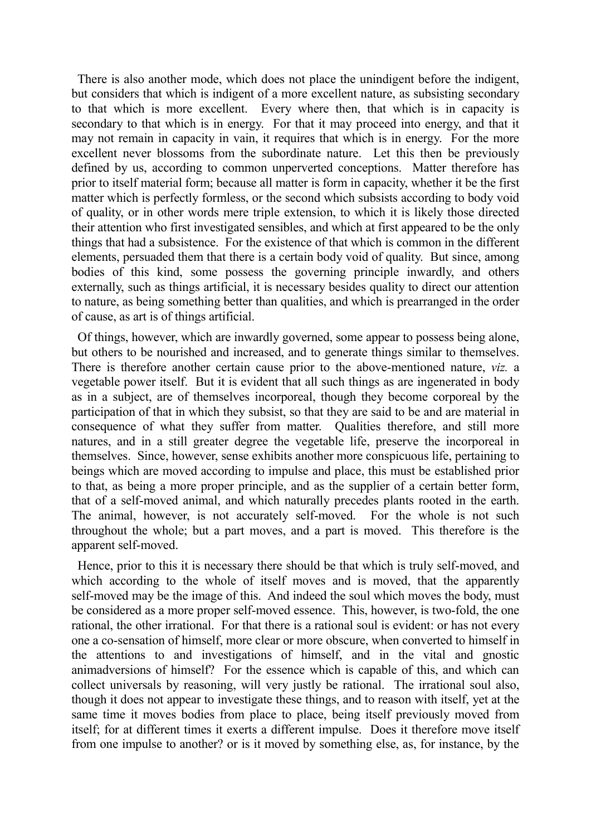There is also another mode, which does not place the unindigent before the indigent, but considers that which is indigent of a more excellent nature, as subsisting secondary to that which is more excellent. Every where then, that which is in capacity is secondary to that which is in energy. For that it may proceed into energy, and that it may not remain in capacity in vain, it requires that which is in energy. For the more excellent never blossoms from the subordinate nature. Let this then be previously defined by us, according to common unperverted conceptions. Matter therefore has prior to itself material form; because all matter is form in capacity, whether it be the first matter which is perfectly formless, or the second which subsists according to body void of quality, or in other words mere triple extension, to which it is likely those directed their attention who first investigated sensibles, and which at first appeared to be the only things that had a subsistence. For the existence of that which is common in the different elements, persuaded them that there is a certain body void of quality. But since, among bodies of this kind, some possess the governing principle inwardly, and others externally, such as things artificial, it is necessary besides quality to direct our attention to nature, as being something better than qualities, and which is prearranged in the order of cause, as art is of things artificial.

 Of things, however, which are inwardly governed, some appear to possess being alone, but others to be nourished and increased, and to generate things similar to themselves. There is therefore another certain cause prior to the above-mentioned nature, *viz.* a vegetable power itself. But it is evident that all such things as are ingenerated in body as in a subject, are of themselves incorporeal, though they become corporeal by the participation of that in which they subsist, so that they are said to be and are material in consequence of what they suffer from matter. Qualities therefore, and still more natures, and in a still greater degree the vegetable life, preserve the incorporeal in themselves. Since, however, sense exhibits another more conspicuous life, pertaining to beings which are moved according to impulse and place, this must be established prior to that, as being a more proper principle, and as the supplier of a certain better form, that of a self-moved animal, and which naturally precedes plants rooted in the earth. The animal, however, is not accurately self-moved. For the whole is not such throughout the whole; but a part moves, and a part is moved. This therefore is the apparent self-moved.

 Hence, prior to this it is necessary there should be that which is truly self-moved, and which according to the whole of itself moves and is moved, that the apparently self-moved may be the image of this. And indeed the soul which moves the body, must be considered as a more proper self-moved essence. This, however, is two-fold, the one rational, the other irrational. For that there is a rational soul is evident: or has not every one a co-sensation of himself, more clear or more obscure, when converted to himself in the attentions to and investigations of himself, and in the vital and gnostic animadversions of himself? For the essence which is capable of this, and which can collect universals by reasoning, will very justly be rational. The irrational soul also, though it does not appear to investigate these things, and to reason with itself, yet at the same time it moves bodies from place to place, being itself previously moved from itself; for at different times it exerts a different impulse. Does it therefore move itself from one impulse to another? or is it moved by something else, as, for instance, by the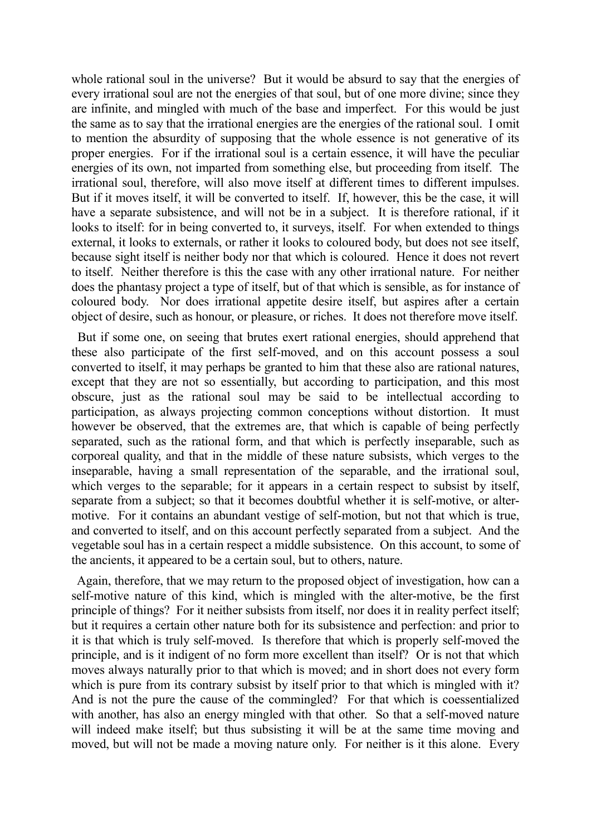whole rational soul in the universe? But it would be absurd to say that the energies of every irrational soul are not the energies of that soul, but of one more divine; since they are infinite, and mingled with much of the base and imperfect. For this would be just the same as to say that the irrational energies are the energies of the rational soul. I omit to mention the absurdity of supposing that the whole essence is not generative of its proper energies. For if the irrational soul is a certain essence, it will have the peculiar energies of its own, not imparted from something else, but proceeding from itself. The irrational soul, therefore, will also move itself at different times to different impulses. But if it moves itself, it will be converted to itself. If, however, this be the case, it will have a separate subsistence, and will not be in a subject. It is therefore rational, if it looks to itself: for in being converted to, it surveys, itself. For when extended to things external, it looks to externals, or rather it looks to coloured body, but does not see itself, because sight itself is neither body nor that which is coloured. Hence it does not revert to itself. Neither therefore is this the case with any other irrational nature. For neither does the phantasy project a type of itself, but of that which is sensible, as for instance of coloured body. Nor does irrational appetite desire itself, but aspires after a certain object of desire, such as honour, or pleasure, or riches. It does not therefore move itself.

 But if some one, on seeing that brutes exert rational energies, should apprehend that these also participate of the first self-moved, and on this account possess a soul converted to itself, it may perhaps be granted to him that these also are rational natures, except that they are not so essentially, but according to participation, and this most obscure, just as the rational soul may be said to be intellectual according to participation, as always projecting common conceptions without distortion. It must however be observed, that the extremes are, that which is capable of being perfectly separated, such as the rational form, and that which is perfectly inseparable, such as corporeal quality, and that in the middle of these nature subsists, which verges to the inseparable, having a small representation of the separable, and the irrational soul, which verges to the separable; for it appears in a certain respect to subsist by itself, separate from a subject; so that it becomes doubtful whether it is self-motive, or altermotive. For it contains an abundant vestige of self-motion, but not that which is true, and converted to itself, and on this account perfectly separated from a subject. And the vegetable soul has in a certain respect a middle subsistence. On this account, to some of the ancients, it appeared to be a certain soul, but to others, nature.

 Again, therefore, that we may return to the proposed object of investigation, how can a self-motive nature of this kind, which is mingled with the alter-motive, be the first principle of things? For it neither subsists from itself, nor does it in reality perfect itself; but it requires a certain other nature both for its subsistence and perfection: and prior to it is that which is truly self-moved. Is therefore that which is properly self-moved the principle, and is it indigent of no form more excellent than itself? Or is not that which moves always naturally prior to that which is moved; and in short does not every form which is pure from its contrary subsist by itself prior to that which is mingled with it? And is not the pure the cause of the commingled? For that which is coessentialized with another, has also an energy mingled with that other. So that a self-moved nature will indeed make itself; but thus subsisting it will be at the same time moving and moved, but will not be made a moving nature only. For neither is it this alone. Every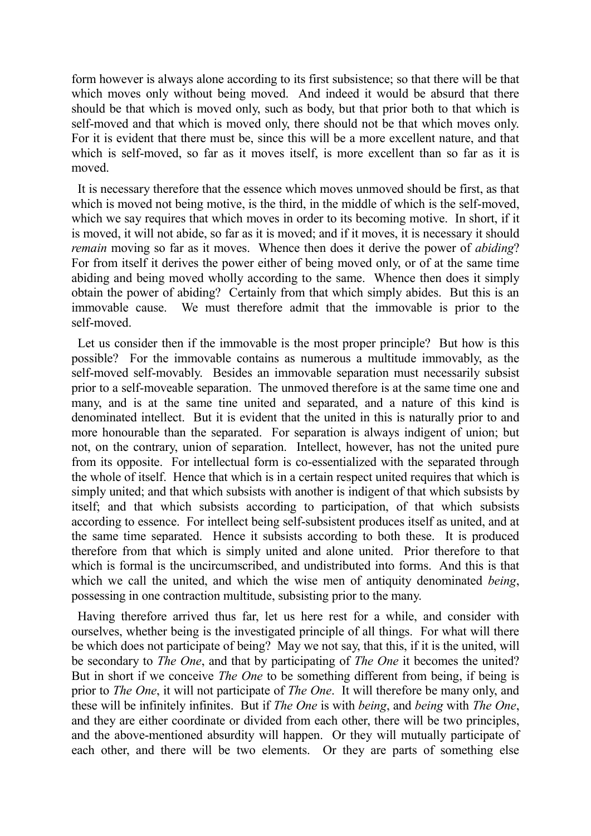form however is always alone according to its first subsistence; so that there will be that which moves only without being moved. And indeed it would be absurd that there should be that which is moved only, such as body, but that prior both to that which is self-moved and that which is moved only, there should not be that which moves only. For it is evident that there must be, since this will be a more excellent nature, and that which is self-moved, so far as it moves itself, is more excellent than so far as it is moved.

 It is necessary therefore that the essence which moves unmoved should be first, as that which is moved not being motive, is the third, in the middle of which is the self-moved. which we say requires that which moves in order to its becoming motive. In short, if it is moved, it will not abide, so far as it is moved; and if it moves, it is necessary it should *remain* moving so far as it moves. Whence then does it derive the power of *abiding*? For from itself it derives the power either of being moved only, or of at the same time abiding and being moved wholly according to the same. Whence then does it simply obtain the power of abiding? Certainly from that which simply abides. But this is an immovable cause. We must therefore admit that the immovable is prior to the self-moved.

 Let us consider then if the immovable is the most proper principle? But how is this possible? For the immovable contains as numerous a multitude immovably, as the self-moved self-movably. Besides an immovable separation must necessarily subsist prior to a self-moveable separation. The unmoved therefore is at the same time one and many, and is at the same tine united and separated, and a nature of this kind is denominated intellect. But it is evident that the united in this is naturally prior to and more honourable than the separated. For separation is always indigent of union; but not, on the contrary, union of separation. Intellect, however, has not the united pure from its opposite. For intellectual form is co-essentialized with the separated through the whole of itself. Hence that which is in a certain respect united requires that which is simply united; and that which subsists with another is indigent of that which subsists by itself; and that which subsists according to participation, of that which subsists according to essence. For intellect being self-subsistent produces itself as united, and at the same time separated. Hence it subsists according to both these. It is produced therefore from that which is simply united and alone united. Prior therefore to that which is formal is the uncircumscribed, and undistributed into forms. And this is that which we call the united, and which the wise men of antiquity denominated *being*, possessing in one contraction multitude, subsisting prior to the many.

 Having therefore arrived thus far, let us here rest for a while, and consider with ourselves, whether being is the investigated principle of all things. For what will there be which does not participate of being? May we not say, that this, if it is the united, will be secondary to *The One*, and that by participating of *The One* it becomes the united? But in short if we conceive *The One* to be something different from being, if being is prior to *The One*, it will not participate of *The One*. It will therefore be many only, and these will be infinitely infinites. But if *The One* is with *being*, and *being* with *The One*, and they are either coordinate or divided from each other, there will be two principles, and the above-mentioned absurdity will happen. Or they will mutually participate of each other, and there will be two elements. Or they are parts of something else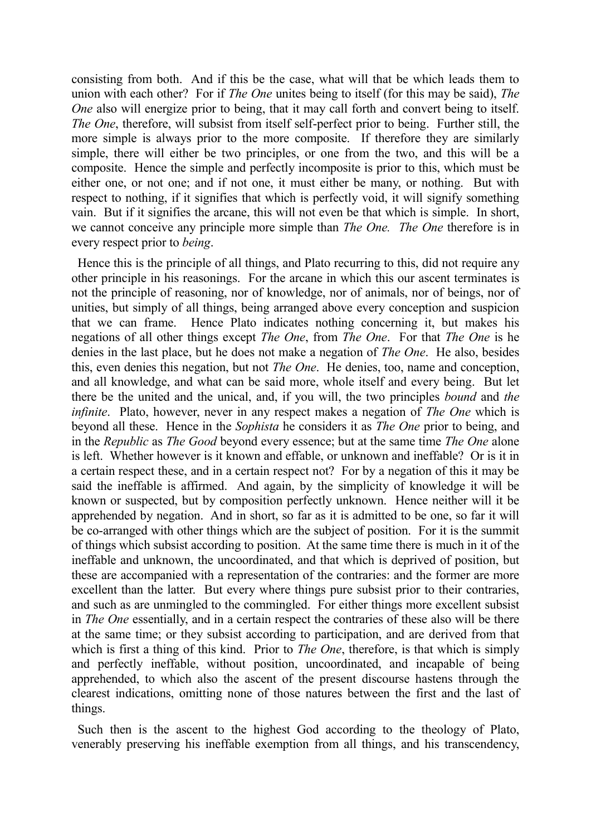consisting from both. And if this be the case, what will that be which leads them to union with each other? For if *The One* unites being to itself (for this may be said), *The One* also will energize prior to being, that it may call forth and convert being to itself. *The One*, therefore, will subsist from itself self-perfect prior to being. Further still, the more simple is always prior to the more composite. If therefore they are similarly simple, there will either be two principles, or one from the two, and this will be a composite. Hence the simple and perfectly incomposite is prior to this, which must be either one, or not one; and if not one, it must either be many, or nothing. But with respect to nothing, if it signifies that which is perfectly void, it will signify something vain. But if it signifies the arcane, this will not even be that which is simple. In short, we cannot conceive any principle more simple than *The One. The One* therefore is in every respect prior to *being*.

 Hence this is the principle of all things, and Plato recurring to this, did not require any other principle in his reasonings. For the arcane in which this our ascent terminates is not the principle of reasoning, nor of knowledge, nor of animals, nor of beings, nor of unities, but simply of all things, being arranged above every conception and suspicion that we can frame. Hence Plato indicates nothing concerning it, but makes his negations of all other things except *The One*, from *The One*. For that *The One* is he denies in the last place, but he does not make a negation of *The One*. He also, besides this, even denies this negation, but not *The One*. He denies, too, name and conception, and all knowledge, and what can be said more, whole itself and every being. But let there be the united and the unical, and, if you will, the two principles *bound* and *the infinite*. Plato, however, never in any respect makes a negation of *The One* which is beyond all these. Hence in the *Sophista* he considers it as *The One* prior to being, and in the *Republic* as *The Good* beyond every essence; but at the same time *The One* alone is left. Whether however is it known and effable, or unknown and ineffable? Or is it in a certain respect these, and in a certain respect not? For by a negation of this it may be said the ineffable is affirmed. And again, by the simplicity of knowledge it will be known or suspected, but by composition perfectly unknown. Hence neither will it be apprehended by negation. And in short, so far as it is admitted to be one, so far it will be co-arranged with other things which are the subject of position. For it is the summit of things which subsist according to position. At the same time there is much in it of the ineffable and unknown, the uncoordinated, and that which is deprived of position, but these are accompanied with a representation of the contraries: and the former are more excellent than the latter. But every where things pure subsist prior to their contraries, and such as are unmingled to the commingled. For either things more excellent subsist in *The One* essentially, and in a certain respect the contraries of these also will be there at the same time; or they subsist according to participation, and are derived from that which is first a thing of this kind. Prior to *The One*, therefore, is that which is simply and perfectly ineffable, without position, uncoordinated, and incapable of being apprehended, to which also the ascent of the present discourse hastens through the clearest indications, omitting none of those natures between the first and the last of things.

 Such then is the ascent to the highest God according to the theology of Plato, venerably preserving his ineffable exemption from all things, and his transcendency,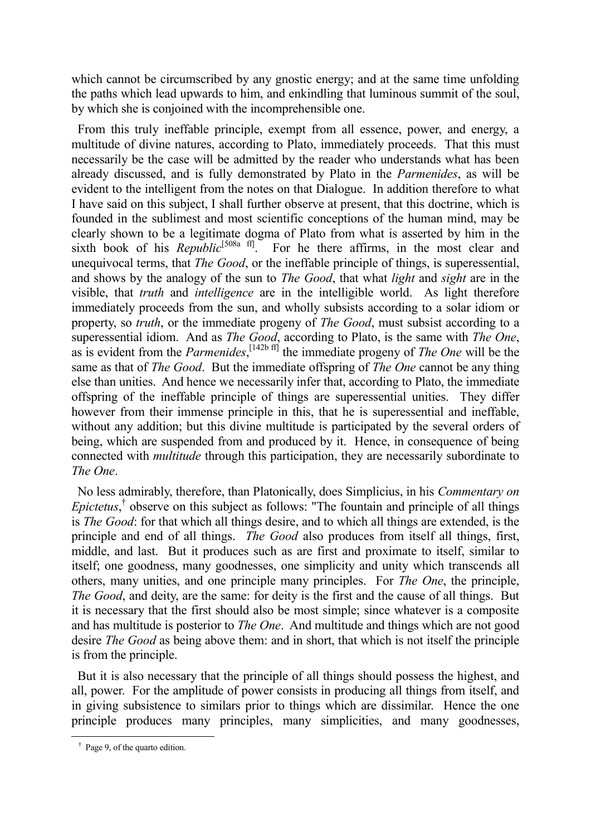which cannot be circumscribed by any gnostic energy; and at the same time unfolding the paths which lead upwards to him, and enkindling that luminous summit of the soul, by which she is conjoined with the incomprehensible one.

 From this truly ineffable principle, exempt from all essence, power, and energy, a multitude of divine natures, according to Plato, immediately proceeds. That this must necessarily be the case will be admitted by the reader who understands what has been already discussed, and is fully demonstrated by Plato in the *Parmenides*, as will be evident to the intelligent from the notes on that Dialogue. In addition therefore to what I have said on this subject, I shall further observe at present, that this doctrine, which is founded in the sublimest and most scientific conceptions of the human mind, may be clearly shown to be a legitimate dogma of Plato from what is asserted by him in the sixth book of his *Republic*<sup>[508a ff]</sup>. For he there affirms, in the most clear and unequivocal terms, that *The Good*, or the ineffable principle of things, is superessential, and shows by the analogy of the sun to *The Good*, that what *light* and *sight* are in the visible, that *truth* and *intelligence* are in the intelligible world. As light therefore immediately proceeds from the sun, and wholly subsists according to a solar idiom or property, so *truth*, or the immediate progeny of *The Good*, must subsist according to a superessential idiom. And as *The Good*, according to Plato, is the same with *The One*, as is evident from the *Parmenides*, [142b ff] the immediate progeny of *The One* will be the same as that of *The Good*. But the immediate offspring of *The One* cannot be any thing else than unities. And hence we necessarily infer that, according to Plato, the immediate offspring of the ineffable principle of things are superessential unities. They differ however from their immense principle in this, that he is superessential and ineffable, without any addition; but this divine multitude is participated by the several orders of being, which are suspended from and produced by it. Hence, in consequence of being connected with *multitude* through this participation, they are necessarily subordinate to *The One*.

 No less admirably, therefore, than Platonically, does Simplicius, in his *Commentary on Epictetus*, † observe on this subject as follows: "The fountain and principle of all things is *The Good*: for that which all things desire, and to which all things are extended, is the principle and end of all things. *The Good* also produces from itself all things, first, middle, and last. But it produces such as are first and proximate to itself, similar to itself; one goodness, many goodnesses, one simplicity and unity which transcends all others, many unities, and one principle many principles. For *The One*, the principle, *The Good*, and deity, are the same: for deity is the first and the cause of all things. But it is necessary that the first should also be most simple; since whatever is a composite and has multitude is posterior to *The One*. And multitude and things which are not good desire *The Good* as being above them: and in short, that which is not itself the principle is from the principle.

 But it is also necessary that the principle of all things should possess the highest, and all, power. For the amplitude of power consists in producing all things from itself, and in giving subsistence to similars prior to things which are dissimilar. Hence the one principle produces many principles, many simplicities, and many goodnesses,

† Page 9, of the quarto edition.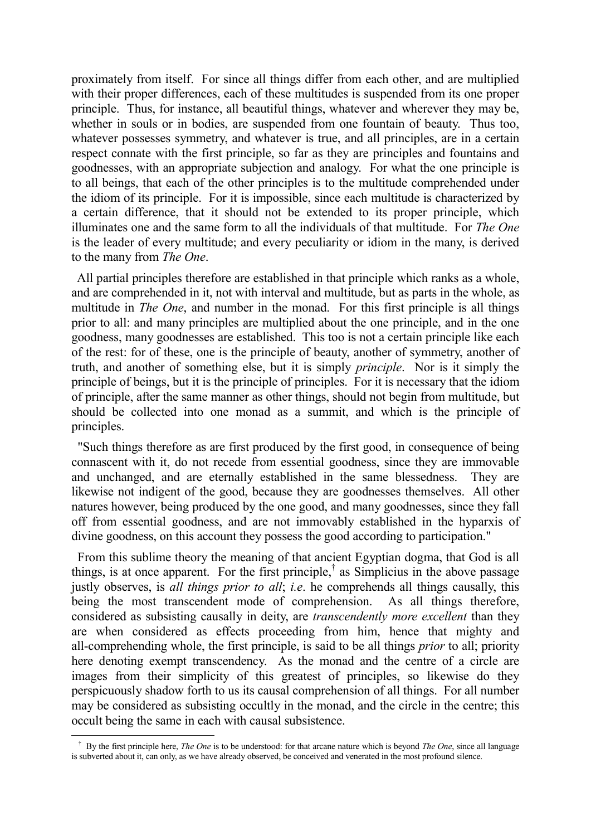proximately from itself. For since all things differ from each other, and are multiplied with their proper differences, each of these multitudes is suspended from its one proper principle. Thus, for instance, all beautiful things, whatever and wherever they may be, whether in souls or in bodies, are suspended from one fountain of beauty. Thus too, whatever possesses symmetry, and whatever is true, and all principles, are in a certain respect connate with the first principle, so far as they are principles and fountains and goodnesses, with an appropriate subjection and analogy. For what the one principle is to all beings, that each of the other principles is to the multitude comprehended under the idiom of its principle. For it is impossible, since each multitude is characterized by a certain difference, that it should not be extended to its proper principle, which illuminates one and the same form to all the individuals of that multitude. For *The One* is the leader of every multitude; and every peculiarity or idiom in the many, is derived to the many from *The One*.

 All partial principles therefore are established in that principle which ranks as a whole, and are comprehended in it, not with interval and multitude, but as parts in the whole, as multitude in *The One*, and number in the monad. For this first principle is all things prior to all: and many principles are multiplied about the one principle, and in the one goodness, many goodnesses are established. This too is not a certain principle like each of the rest: for of these, one is the principle of beauty, another of symmetry, another of truth, and another of something else, but it is simply *principle*. Nor is it simply the principle of beings, but it is the principle of principles. For it is necessary that the idiom of principle, after the same manner as other things, should not begin from multitude, but should be collected into one monad as a summit, and which is the principle of principles.

 "Such things therefore as are first produced by the first good, in consequence of being connascent with it, do not recede from essential goodness, since they are immovable and unchanged, and are eternally established in the same blessedness. They are likewise not indigent of the good, because they are goodnesses themselves. All other natures however, being produced by the one good, and many goodnesses, since they fall off from essential goodness, and are not immovably established in the hyparxis of divine goodness, on this account they possess the good according to participation."

 From this sublime theory the meaning of that ancient Egyptian dogma, that God is all things, is at once apparent. For the first principle,† as Simplicius in the above passage justly observes, is *all things prior to all*; *i.e*. he comprehends all things causally, this being the most transcendent mode of comprehension. As all things therefore, considered as subsisting causally in deity, are *transcendently more excellent* than they are when considered as effects proceeding from him, hence that mighty and all-comprehending whole, the first principle, is said to be all things *prior* to all; priority here denoting exempt transcendency. As the monad and the centre of a circle are images from their simplicity of this greatest of principles, so likewise do they perspicuously shadow forth to us its causal comprehension of all things. For all number may be considered as subsisting occultly in the monad, and the circle in the centre; this occult being the same in each with causal subsistence.

† By the first principle here, *The One* is to be understood: for that arcane nature which is beyond *The One*, since all language is subverted about it, can only, as we have already observed, be conceived and venerated in the most profound silence.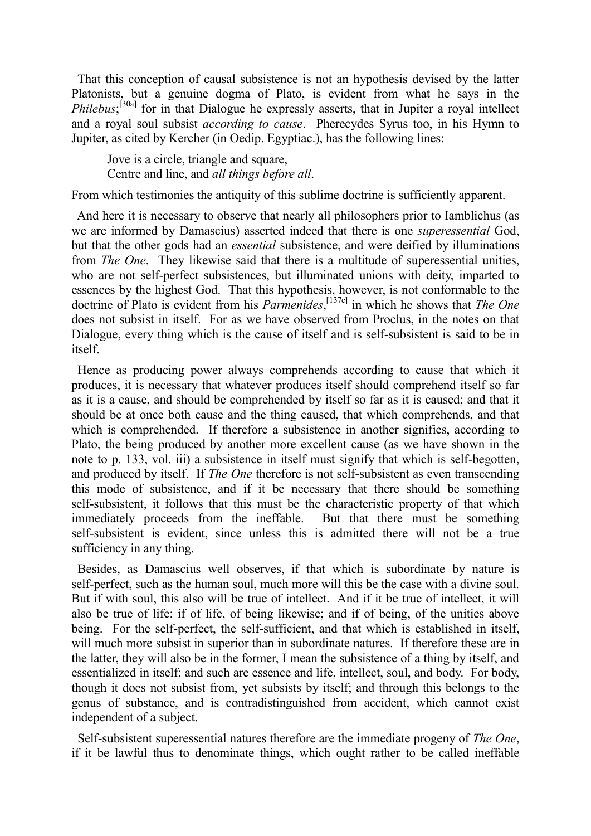That this conception of causal subsistence is not an hypothesis devised by the latter Platonists, but a genuine dogma of Plato, is evident from what he says in the *Philebus*;<sup>[30a]</sup> for in that Dialogue he expressly asserts, that in Jupiter a royal intellect and a royal soul subsist *according to cause*. Pherecydes Syrus too, in his Hymn to Jupiter, as cited by Kercher (in Oedip. Egyptiac.), has the following lines:

Jove is a circle, triangle and square, Centre and line, and *all things before all*.

From which testimonies the antiquity of this sublime doctrine is sufficiently apparent.

 And here it is necessary to observe that nearly all philosophers prior to Iamblichus (as we are informed by Damascius) asserted indeed that there is one *superessential* God, but that the other gods had an *essential* subsistence, and were deified by illuminations from *The One*. They likewise said that there is a multitude of superessential unities, who are not self-perfect subsistences, but illuminated unions with deity, imparted to essences by the highest God. That this hypothesis, however, is not conformable to the doctrine of Plato is evident from his *Parmenides*, [137c] in which he shows that *The One* does not subsist in itself. For as we have observed from Proclus, in the notes on that Dialogue, every thing which is the cause of itself and is self-subsistent is said to be in itself.

 Hence as producing power always comprehends according to cause that which it produces, it is necessary that whatever produces itself should comprehend itself so far as it is a cause, and should be comprehended by itself so far as it is caused; and that it should be at once both cause and the thing caused, that which comprehends, and that which is comprehended. If therefore a subsistence in another signifies, according to Plato, the being produced by another more excellent cause (as we have shown in the note to p. 133, vol. iii) a subsistence in itself must signify that which is self-begotten, and produced by itself. If *The One* therefore is not self-subsistent as even transcending this mode of subsistence, and if it be necessary that there should be something self-subsistent, it follows that this must be the characteristic property of that which immediately proceeds from the ineffable. But that there must be something self-subsistent is evident, since unless this is admitted there will not be a true sufficiency in any thing.

 Besides, as Damascius well observes, if that which is subordinate by nature is self-perfect, such as the human soul, much more will this be the case with a divine soul. But if with soul, this also will be true of intellect. And if it be true of intellect, it will also be true of life: if of life, of being likewise; and if of being, of the unities above being. For the self-perfect, the self-sufficient, and that which is established in itself, will much more subsist in superior than in subordinate natures. If therefore these are in the latter, they will also be in the former, I mean the subsistence of a thing by itself, and essentialized in itself; and such are essence and life, intellect, soul, and body. For body, though it does not subsist from, yet subsists by itself; and through this belongs to the genus of substance, and is contradistinguished from accident, which cannot exist independent of a subject.

 Self-subsistent superessential natures therefore are the immediate progeny of *The One*, if it be lawful thus to denominate things, which ought rather to be called ineffable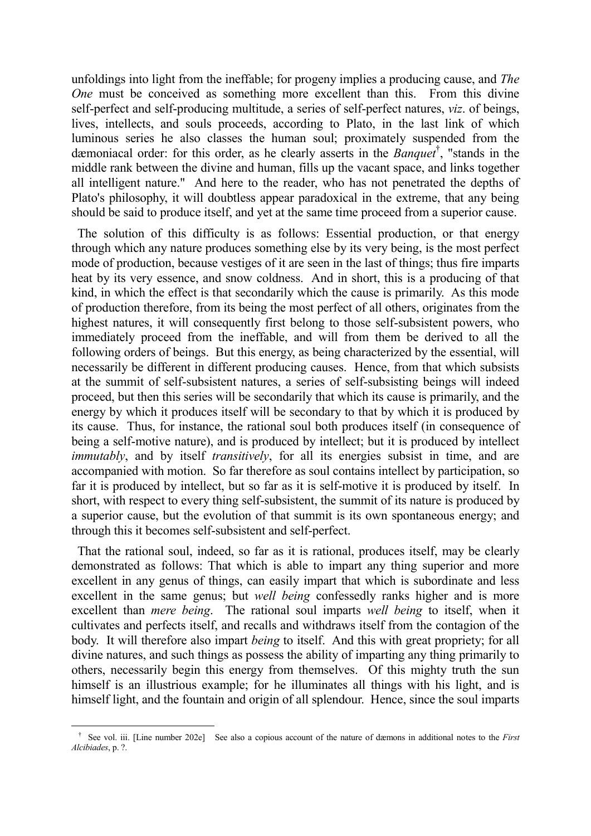unfoldings into light from the ineffable; for progeny implies a producing cause, and *The One* must be conceived as something more excellent than this. From this divine self-perfect and self-producing multitude, a series of self-perfect natures, *viz*. of beings, lives, intellects, and souls proceeds, according to Plato, in the last link of which luminous series he also classes the human soul; proximately suspended from the dæmoniacal order: for this order, as he clearly asserts in the *Banquet*† , "stands in the middle rank between the divine and human, fills up the vacant space, and links together all intelligent nature." And here to the reader, who has not penetrated the depths of Plato's philosophy, it will doubtless appear paradoxical in the extreme, that any being should be said to produce itself, and yet at the same time proceed from a superior cause.

 The solution of this difficulty is as follows: Essential production, or that energy through which any nature produces something else by its very being, is the most perfect mode of production, because vestiges of it are seen in the last of things; thus fire imparts heat by its very essence, and snow coldness. And in short, this is a producing of that kind, in which the effect is that secondarily which the cause is primarily. As this mode of production therefore, from its being the most perfect of all others, originates from the highest natures, it will consequently first belong to those self-subsistent powers, who immediately proceed from the ineffable, and will from them be derived to all the following orders of beings. But this energy, as being characterized by the essential, will necessarily be different in different producing causes. Hence, from that which subsists at the summit of self-subsistent natures, a series of self-subsisting beings will indeed proceed, but then this series will be secondarily that which its cause is primarily, and the energy by which it produces itself will be secondary to that by which it is produced by its cause. Thus, for instance, the rational soul both produces itself (in consequence of being a self-motive nature), and is produced by intellect; but it is produced by intellect *immutably*, and by itself *transitively*, for all its energies subsist in time, and are accompanied with motion. So far therefore as soul contains intellect by participation, so far it is produced by intellect, but so far as it is self-motive it is produced by itself. In short, with respect to every thing self-subsistent, the summit of its nature is produced by a superior cause, but the evolution of that summit is its own spontaneous energy; and through this it becomes self-subsistent and self-perfect.

 That the rational soul, indeed, so far as it is rational, produces itself, may be clearly demonstrated as follows: That which is able to impart any thing superior and more excellent in any genus of things, can easily impart that which is subordinate and less excellent in the same genus; but *well being* confessedly ranks higher and is more excellent than *mere being*. The rational soul imparts *well being* to itself, when it cultivates and perfects itself, and recalls and withdraws itself from the contagion of the body. It will therefore also impart *being* to itself. And this with great propriety; for all divine natures, and such things as possess the ability of imparting any thing primarily to others, necessarily begin this energy from themselves. Of this mighty truth the sun himself is an illustrious example; for he illuminates all things with his light, and is himself light, and the fountain and origin of all splendour. Hence, since the soul imparts

<sup>&</sup>lt;sup>†</sup> See vol. iii. [Line number 202e] See also a copious account of the nature of dæmons in additional notes to the *First Alcibiades*, p. ?.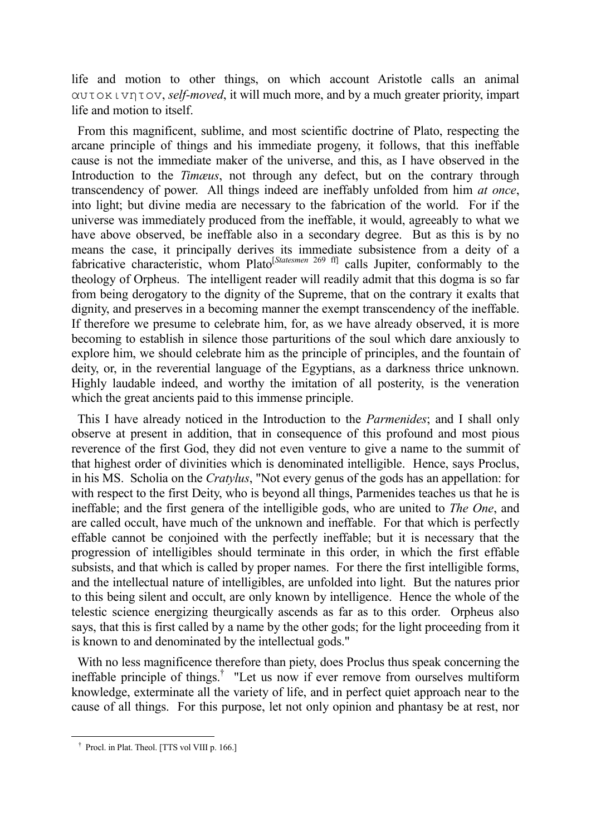life and motion to other things, on which account Aristotle calls an animal αυτoκιvητov, *self-moved*, it will much more, and by a much greater priority, impart life and motion to itself.

 From this magnificent, sublime, and most scientific doctrine of Plato, respecting the arcane principle of things and his immediate progeny, it follows, that this ineffable cause is not the immediate maker of the universe, and this, as I have observed in the Introduction to the *Timæus*, not through any defect, but on the contrary through transcendency of power. All things indeed are ineffably unfolded from him *at once*, into light; but divine media are necessary to the fabrication of the world. For if the universe was immediately produced from the ineffable, it would, agreeably to what we have above observed, be ineffable also in a secondary degree. But as this is by no means the case, it principally derives its immediate subsistence from a deity of a fabricative characteristic, whom Plato[*Statesmen* 269 ff] calls Jupiter, conformably to the theology of Orpheus. The intelligent reader will readily admit that this dogma is so far from being derogatory to the dignity of the Supreme, that on the contrary it exalts that dignity, and preserves in a becoming manner the exempt transcendency of the ineffable. If therefore we presume to celebrate him, for, as we have already observed, it is more becoming to establish in silence those parturitions of the soul which dare anxiously to explore him, we should celebrate him as the principle of principles, and the fountain of deity, or, in the reverential language of the Egyptians, as a darkness thrice unknown. Highly laudable indeed, and worthy the imitation of all posterity, is the veneration which the great ancients paid to this immense principle.

 This I have already noticed in the Introduction to the *Parmenides*; and I shall only observe at present in addition, that in consequence of this profound and most pious reverence of the first God, they did not even venture to give a name to the summit of that highest order of divinities which is denominated intelligible. Hence, says Proclus, in his MS. Scholia on the *Cratylus*, "Not every genus of the gods has an appellation: for with respect to the first Deity, who is beyond all things, Parmenides teaches us that he is ineffable; and the first genera of the intelligible gods, who are united to *The One*, and are called occult, have much of the unknown and ineffable. For that which is perfectly effable cannot be conjoined with the perfectly ineffable; but it is necessary that the progression of intelligibles should terminate in this order, in which the first effable subsists, and that which is called by proper names. For there the first intelligible forms, and the intellectual nature of intelligibles, are unfolded into light. But the natures prior to this being silent and occult, are only known by intelligence. Hence the whole of the telestic science energizing theurgically ascends as far as to this order. Orpheus also says, that this is first called by a name by the other gods; for the light proceeding from it is known to and denominated by the intellectual gods."

 With no less magnificence therefore than piety, does Proclus thus speak concerning the ineffable principle of things.† "Let us now if ever remove from ourselves multiform knowledge, exterminate all the variety of life, and in perfect quiet approach near to the cause of all things. For this purpose, let not only opinion and phantasy be at rest, nor

† Procl. in Plat. Theol. [TTS vol VIII p. 166.]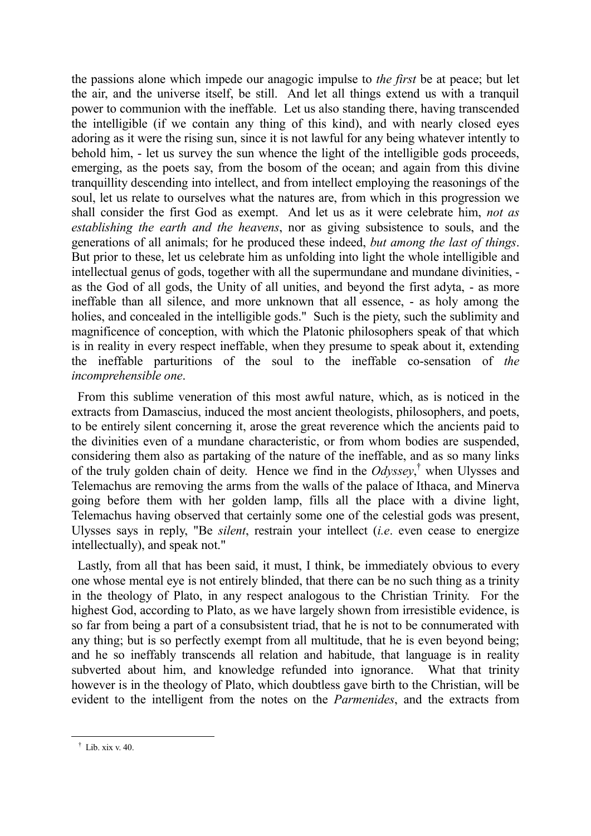the passions alone which impede our anagogic impulse to *the first* be at peace; but let the air, and the universe itself, be still. And let all things extend us with a tranquil power to communion with the ineffable. Let us also standing there, having transcended the intelligible (if we contain any thing of this kind), and with nearly closed eyes adoring as it were the rising sun, since it is not lawful for any being whatever intently to behold him, - let us survey the sun whence the light of the intelligible gods proceeds, emerging, as the poets say, from the bosom of the ocean; and again from this divine tranquillity descending into intellect, and from intellect employing the reasonings of the soul, let us relate to ourselves what the natures are, from which in this progression we shall consider the first God as exempt. And let us as it were celebrate him, *not as establishing the earth and the heavens*, nor as giving subsistence to souls, and the generations of all animals; for he produced these indeed, *but among the last of things*. But prior to these, let us celebrate him as unfolding into light the whole intelligible and intellectual genus of gods, together with all the supermundane and mundane divinities, as the God of all gods, the Unity of all unities, and beyond the first adyta, - as more ineffable than all silence, and more unknown that all essence, - as holy among the holies, and concealed in the intelligible gods." Such is the piety, such the sublimity and magnificence of conception, with which the Platonic philosophers speak of that which is in reality in every respect ineffable, when they presume to speak about it, extending the ineffable parturitions of the soul to the ineffable co-sensation of *the incomprehensible one*.

 From this sublime veneration of this most awful nature, which, as is noticed in the extracts from Damascius, induced the most ancient theologists, philosophers, and poets, to be entirely silent concerning it, arose the great reverence which the ancients paid to the divinities even of a mundane characteristic, or from whom bodies are suspended, considering them also as partaking of the nature of the ineffable, and as so many links of the truly golden chain of deity. Hence we find in the *Odyssey*, † when Ulysses and Telemachus are removing the arms from the walls of the palace of Ithaca, and Minerva going before them with her golden lamp, fills all the place with a divine light, Telemachus having observed that certainly some one of the celestial gods was present, Ulysses says in reply, "Be *silent*, restrain your intellect (*i.e*. even cease to energize intellectually), and speak not."

 Lastly, from all that has been said, it must, I think, be immediately obvious to every one whose mental eye is not entirely blinded, that there can be no such thing as a trinity in the theology of Plato, in any respect analogous to the Christian Trinity. For the highest God, according to Plato, as we have largely shown from irresistible evidence, is so far from being a part of a consubsistent triad, that he is not to be connumerated with any thing; but is so perfectly exempt from all multitude, that he is even beyond being; and he so ineffably transcends all relation and habitude, that language is in reality subverted about him, and knowledge refunded into ignorance. What that trinity however is in the theology of Plato, which doubtless gave birth to the Christian, will be evident to the intelligent from the notes on the *Parmenides*, and the extracts from

† Lib. xix v. 40.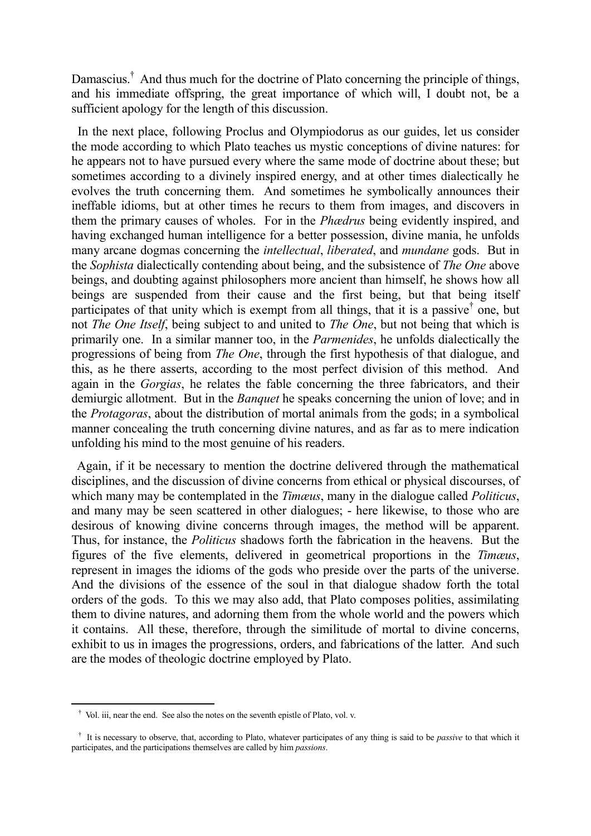Damascius.<sup>†</sup> And thus much for the doctrine of Plato concerning the principle of things, and his immediate offspring, the great importance of which will, I doubt not, be a sufficient apology for the length of this discussion.

 In the next place, following Proclus and Olympiodorus as our guides, let us consider the mode according to which Plato teaches us mystic conceptions of divine natures: for he appears not to have pursued every where the same mode of doctrine about these; but sometimes according to a divinely inspired energy, and at other times dialectically he evolves the truth concerning them. And sometimes he symbolically announces their ineffable idioms, but at other times he recurs to them from images, and discovers in them the primary causes of wholes. For in the *Phædrus* being evidently inspired, and having exchanged human intelligence for a better possession, divine mania, he unfolds many arcane dogmas concerning the *intellectual*, *liberated*, and *mundane* gods. But in the *Sophista* dialectically contending about being, and the subsistence of *The One* above beings, and doubting against philosophers more ancient than himself, he shows how all beings are suspended from their cause and the first being, but that being itself participates of that unity which is exempt from all things, that it is a passive<sup>†</sup> one, but not *The One Itself*, being subject to and united to *The One*, but not being that which is primarily one. In a similar manner too, in the *Parmenides*, he unfolds dialectically the progressions of being from *The One*, through the first hypothesis of that dialogue, and this, as he there asserts, according to the most perfect division of this method. And again in the *Gorgias*, he relates the fable concerning the three fabricators, and their demiurgic allotment. But in the *Banquet* he speaks concerning the union of love; and in the *Protagoras*, about the distribution of mortal animals from the gods; in a symbolical manner concealing the truth concerning divine natures, and as far as to mere indication unfolding his mind to the most genuine of his readers.

 Again, if it be necessary to mention the doctrine delivered through the mathematical disciplines, and the discussion of divine concerns from ethical or physical discourses, of which many may be contemplated in the *Timæus*, many in the dialogue called *Politicus*, and many may be seen scattered in other dialogues; - here likewise, to those who are desirous of knowing divine concerns through images, the method will be apparent. Thus, for instance, the *Politicus* shadows forth the fabrication in the heavens. But the figures of the five elements, delivered in geometrical proportions in the *Timæus*, represent in images the idioms of the gods who preside over the parts of the universe. And the divisions of the essence of the soul in that dialogue shadow forth the total orders of the gods. To this we may also add, that Plato composes polities, assimilating them to divine natures, and adorning them from the whole world and the powers which it contains. All these, therefore, through the similitude of mortal to divine concerns, exhibit to us in images the progressions, orders, and fabrications of the latter. And such are the modes of theologic doctrine employed by Plato.

† Vol. iii, near the end. See also the notes on the seventh epistle of Plato, vol. v.

<sup>&</sup>lt;sup>†</sup> It is necessary to observe, that, according to Plato, whatever participates of any thing is said to be *passive* to that which it participates, and the participations themselves are called by him *passions*.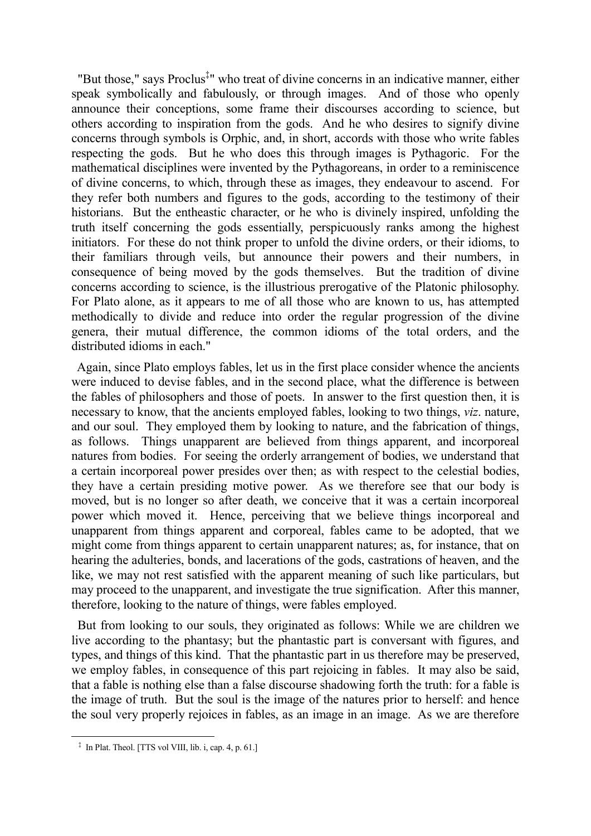"But those," says Proclus<sup>‡</sup>" who treat of divine concerns in an indicative manner, either speak symbolically and fabulously, or through images. And of those who openly announce their conceptions, some frame their discourses according to science, but others according to inspiration from the gods. And he who desires to signify divine concerns through symbols is Orphic, and, in short, accords with those who write fables respecting the gods. But he who does this through images is Pythagoric. For the mathematical disciplines were invented by the Pythagoreans, in order to a reminiscence of divine concerns, to which, through these as images, they endeavour to ascend. For they refer both numbers and figures to the gods, according to the testimony of their historians. But the entheastic character, or he who is divinely inspired, unfolding the truth itself concerning the gods essentially, perspicuously ranks among the highest initiators. For these do not think proper to unfold the divine orders, or their idioms, to their familiars through veils, but announce their powers and their numbers, in consequence of being moved by the gods themselves. But the tradition of divine concerns according to science, is the illustrious prerogative of the Platonic philosophy. For Plato alone, as it appears to me of all those who are known to us, has attempted methodically to divide and reduce into order the regular progression of the divine genera, their mutual difference, the common idioms of the total orders, and the distributed idioms in each."

 Again, since Plato employs fables, let us in the first place consider whence the ancients were induced to devise fables, and in the second place, what the difference is between the fables of philosophers and those of poets. In answer to the first question then, it is necessary to know, that the ancients employed fables, looking to two things, *viz*. nature, and our soul. They employed them by looking to nature, and the fabrication of things, as follows. Things unapparent are believed from things apparent, and incorporeal natures from bodies. For seeing the orderly arrangement of bodies, we understand that a certain incorporeal power presides over then; as with respect to the celestial bodies, they have a certain presiding motive power. As we therefore see that our body is moved, but is no longer so after death, we conceive that it was a certain incorporeal power which moved it. Hence, perceiving that we believe things incorporeal and unapparent from things apparent and corporeal, fables came to be adopted, that we might come from things apparent to certain unapparent natures; as, for instance, that on hearing the adulteries, bonds, and lacerations of the gods, castrations of heaven, and the like, we may not rest satisfied with the apparent meaning of such like particulars, but may proceed to the unapparent, and investigate the true signification. After this manner, therefore, looking to the nature of things, were fables employed.

 But from looking to our souls, they originated as follows: While we are children we live according to the phantasy; but the phantastic part is conversant with figures, and types, and things of this kind. That the phantastic part in us therefore may be preserved, we employ fables, in consequence of this part rejoicing in fables. It may also be said, that a fable is nothing else than a false discourse shadowing forth the truth: for a fable is the image of truth. But the soul is the image of the natures prior to herself: and hence the soul very properly rejoices in fables, as an image in an image. As we are therefore

‡ In Plat. Theol. [TTS vol VIII, lib. i, cap. 4, p. 61.]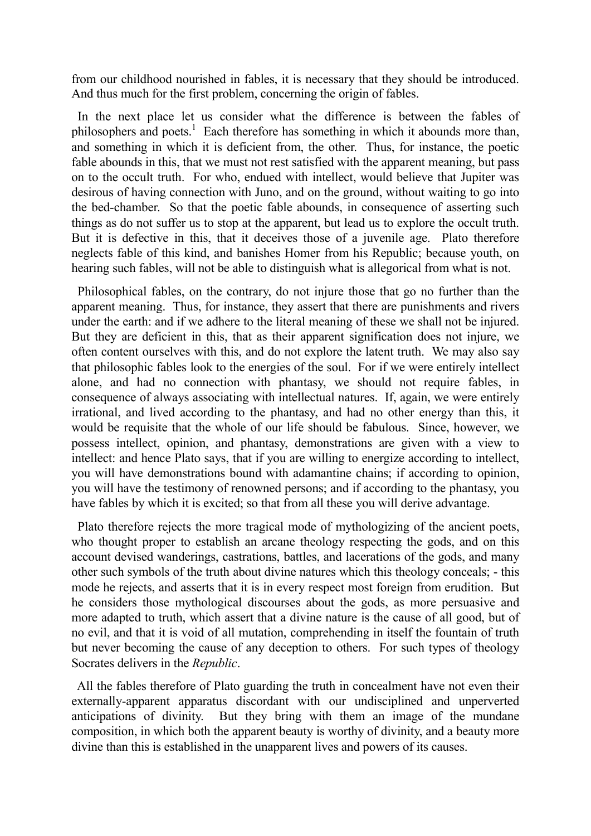from our childhood nourished in fables, it is necessary that they should be introduced. And thus much for the first problem, concerning the origin of fables.

 In the next place let us consider what the difference is between the fables of philosophers and poets.<sup>1</sup> Each therefore has something in which it abounds more than, and something in which it is deficient from, the other. Thus, for instance, the poetic fable abounds in this, that we must not rest satisfied with the apparent meaning, but pass on to the occult truth. For who, endued with intellect, would believe that Jupiter was desirous of having connection with Juno, and on the ground, without waiting to go into the bed-chamber. So that the poetic fable abounds, in consequence of asserting such things as do not suffer us to stop at the apparent, but lead us to explore the occult truth. But it is defective in this, that it deceives those of a juvenile age. Plato therefore neglects fable of this kind, and banishes Homer from his Republic; because youth, on hearing such fables, will not be able to distinguish what is allegorical from what is not.

 Philosophical fables, on the contrary, do not injure those that go no further than the apparent meaning. Thus, for instance, they assert that there are punishments and rivers under the earth: and if we adhere to the literal meaning of these we shall not be injured. But they are deficient in this, that as their apparent signification does not injure, we often content ourselves with this, and do not explore the latent truth. We may also say that philosophic fables look to the energies of the soul. For if we were entirely intellect alone, and had no connection with phantasy, we should not require fables, in consequence of always associating with intellectual natures. If, again, we were entirely irrational, and lived according to the phantasy, and had no other energy than this, it would be requisite that the whole of our life should be fabulous. Since, however, we possess intellect, opinion, and phantasy, demonstrations are given with a view to intellect: and hence Plato says, that if you are willing to energize according to intellect, you will have demonstrations bound with adamantine chains; if according to opinion, you will have the testimony of renowned persons; and if according to the phantasy, you have fables by which it is excited; so that from all these you will derive advantage.

 Plato therefore rejects the more tragical mode of mythologizing of the ancient poets, who thought proper to establish an arcane theology respecting the gods, and on this account devised wanderings, castrations, battles, and lacerations of the gods, and many other such symbols of the truth about divine natures which this theology conceals; - this mode he rejects, and asserts that it is in every respect most foreign from erudition. But he considers those mythological discourses about the gods, as more persuasive and more adapted to truth, which assert that a divine nature is the cause of all good, but of no evil, and that it is void of all mutation, comprehending in itself the fountain of truth but never becoming the cause of any deception to others. For such types of theology Socrates delivers in the *Republic*.

 All the fables therefore of Plato guarding the truth in concealment have not even their externally-apparent apparatus discordant with our undisciplined and unperverted anticipations of divinity. But they bring with them an image of the mundane composition, in which both the apparent beauty is worthy of divinity, and a beauty more divine than this is established in the unapparent lives and powers of its causes.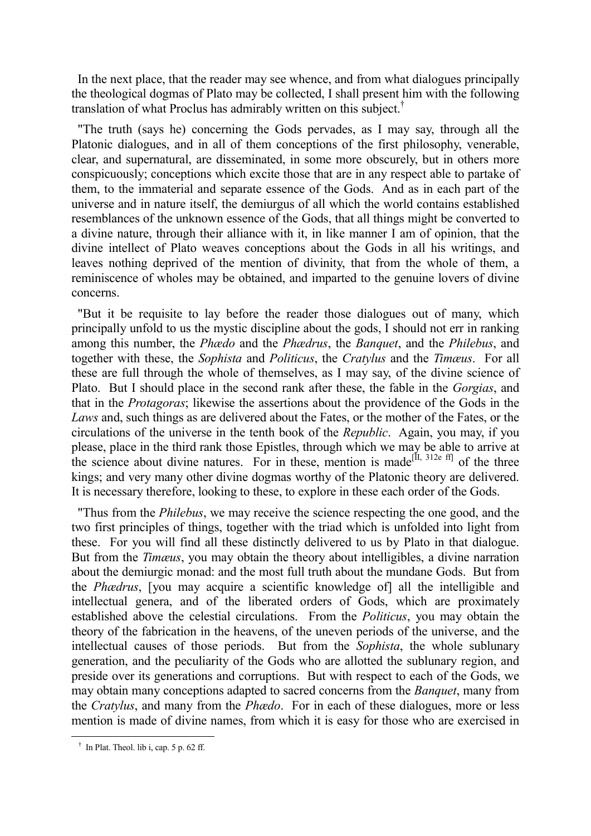In the next place, that the reader may see whence, and from what dialogues principally the theological dogmas of Plato may be collected, I shall present him with the following translation of what Proclus has admirably written on this subject.†

 "The truth (says he) concerning the Gods pervades, as I may say, through all the Platonic dialogues, and in all of them conceptions of the first philosophy, venerable, clear, and supernatural, are disseminated, in some more obscurely, but in others more conspicuously; conceptions which excite those that are in any respect able to partake of them, to the immaterial and separate essence of the Gods. And as in each part of the universe and in nature itself, the demiurgus of all which the world contains established resemblances of the unknown essence of the Gods, that all things might be converted to a divine nature, through their alliance with it, in like manner I am of opinion, that the divine intellect of Plato weaves conceptions about the Gods in all his writings, and leaves nothing deprived of the mention of divinity, that from the whole of them, a reminiscence of wholes may be obtained, and imparted to the genuine lovers of divine concerns.

 "But it be requisite to lay before the reader those dialogues out of many, which principally unfold to us the mystic discipline about the gods, I should not err in ranking among this number, the *Phædo* and the *Phædrus*, the *Banquet*, and the *Philebus*, and together with these, the *Sophista* and *Politicus*, the *Cratylus* and the *Timæus*. For all these are full through the whole of themselves, as I may say, of the divine science of Plato. But I should place in the second rank after these, the fable in the *Gorgias*, and that in the *Protagoras*; likewise the assertions about the providence of the Gods in the *Laws* and, such things as are delivered about the Fates, or the mother of the Fates, or the circulations of the universe in the tenth book of the *Republic*. Again, you may, if you please, place in the third rank those Epistles, through which we may be able to arrive at the science about divine natures. For in these, mention is made<sup>[II, 312e ff]</sup> of the three kings; and very many other divine dogmas worthy of the Platonic theory are delivered. It is necessary therefore, looking to these, to explore in these each order of the Gods.

 "Thus from the *Philebus*, we may receive the science respecting the one good, and the two first principles of things, together with the triad which is unfolded into light from these. For you will find all these distinctly delivered to us by Plato in that dialogue. But from the *Timæus*, you may obtain the theory about intelligibles, a divine narration about the demiurgic monad: and the most full truth about the mundane Gods. But from the *Phædrus*, [you may acquire a scientific knowledge of] all the intelligible and intellectual genera, and of the liberated orders of Gods, which are proximately established above the celestial circulations. From the *Politicus*, you may obtain the theory of the fabrication in the heavens, of the uneven periods of the universe, and the intellectual causes of those periods. But from the *Sophista*, the whole sublunary generation, and the peculiarity of the Gods who are allotted the sublunary region, and preside over its generations and corruptions. But with respect to each of the Gods, we may obtain many conceptions adapted to sacred concerns from the *Banquet*, many from the *Cratylus*, and many from the *Phædo*. For in each of these dialogues, more or less mention is made of divine names, from which it is easy for those who are exercised in

† In Plat. Theol. lib i, cap. 5 p. 62 ff.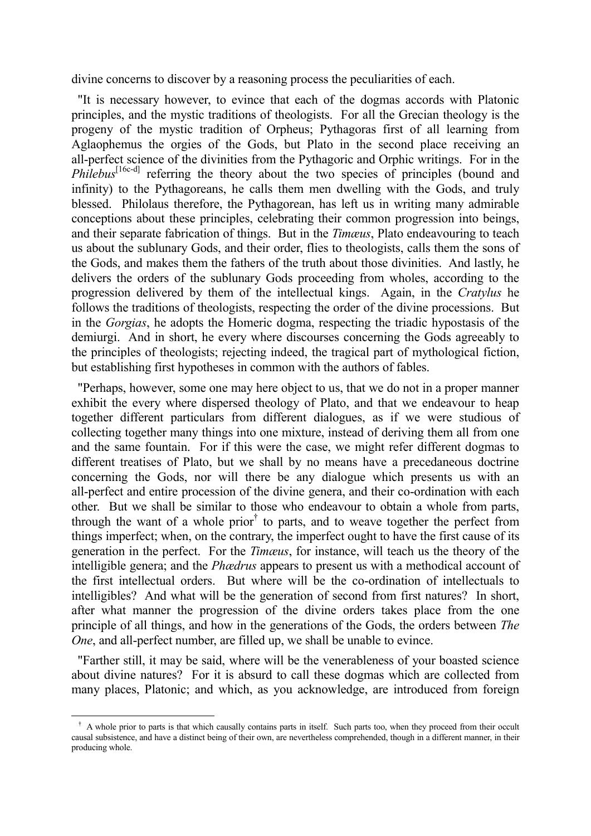divine concerns to discover by a reasoning process the peculiarities of each.

 "It is necessary however, to evince that each of the dogmas accords with Platonic principles, and the mystic traditions of theologists. For all the Grecian theology is the progeny of the mystic tradition of Orpheus; Pythagoras first of all learning from Aglaophemus the orgies of the Gods, but Plato in the second place receiving an all-perfect science of the divinities from the Pythagoric and Orphic writings. For in the *Philebus*<sup>[16c-d]</sup> referring the theory about the two species of principles (bound and infinity) to the Pythagoreans, he calls them men dwelling with the Gods, and truly blessed. Philolaus therefore, the Pythagorean, has left us in writing many admirable conceptions about these principles, celebrating their common progression into beings, and their separate fabrication of things. But in the *Timæus*, Plato endeavouring to teach us about the sublunary Gods, and their order, flies to theologists, calls them the sons of the Gods, and makes them the fathers of the truth about those divinities. And lastly, he delivers the orders of the sublunary Gods proceeding from wholes, according to the progression delivered by them of the intellectual kings. Again, in the *Cratylus* he follows the traditions of theologists, respecting the order of the divine processions. But in the *Gorgias*, he adopts the Homeric dogma, respecting the triadic hypostasis of the demiurgi. And in short, he every where discourses concerning the Gods agreeably to the principles of theologists; rejecting indeed, the tragical part of mythological fiction, but establishing first hypotheses in common with the authors of fables.

 "Perhaps, however, some one may here object to us, that we do not in a proper manner exhibit the every where dispersed theology of Plato, and that we endeavour to heap together different particulars from different dialogues, as if we were studious of collecting together many things into one mixture, instead of deriving them all from one and the same fountain. For if this were the case, we might refer different dogmas to different treatises of Plato, but we shall by no means have a precedaneous doctrine concerning the Gods, nor will there be any dialogue which presents us with an all-perfect and entire procession of the divine genera, and their co-ordination with each other. But we shall be similar to those who endeavour to obtain a whole from parts, through the want of a whole prior<sup>†</sup> to parts, and to weave together the perfect from things imperfect; when, on the contrary, the imperfect ought to have the first cause of its generation in the perfect. For the *Timæus*, for instance, will teach us the theory of the intelligible genera; and the *Phædrus* appears to present us with a methodical account of the first intellectual orders. But where will be the co-ordination of intellectuals to intelligibles? And what will be the generation of second from first natures? In short, after what manner the progression of the divine orders takes place from the one principle of all things, and how in the generations of the Gods, the orders between *The One*, and all-perfect number, are filled up, we shall be unable to evince.

 "Farther still, it may be said, where will be the venerableness of your boasted science about divine natures? For it is absurd to call these dogmas which are collected from many places, Platonic; and which, as you acknowledge, are introduced from foreign

<sup>&</sup>lt;sup>†</sup> A whole prior to parts is that which causally contains parts in itself. Such parts too, when they proceed from their occult causal subsistence, and have a distinct being of their own, are nevertheless comprehended, though in a different manner, in their producing whole.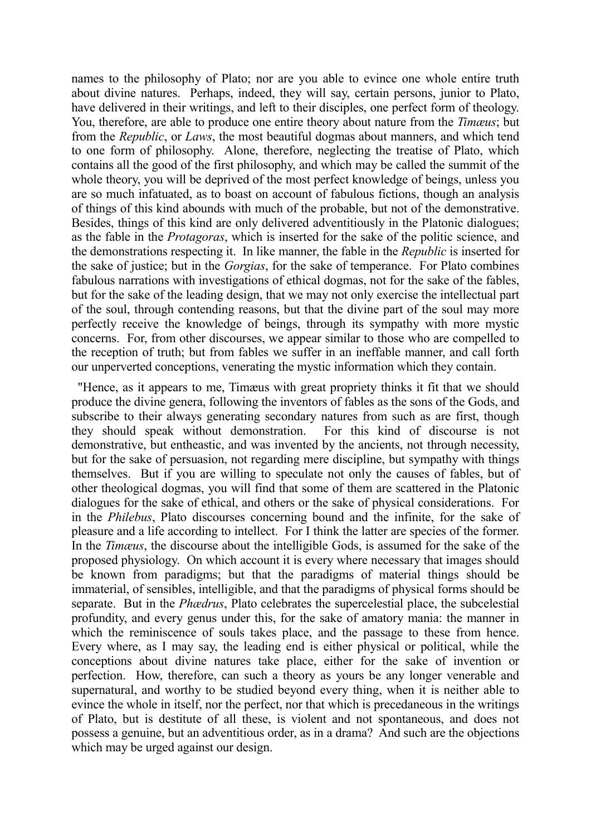names to the philosophy of Plato; nor are you able to evince one whole entire truth about divine natures. Perhaps, indeed, they will say, certain persons, junior to Plato, have delivered in their writings, and left to their disciples, one perfect form of theology. You, therefore, are able to produce one entire theory about nature from the *Timæus*; but from the *Republic*, or *Laws*, the most beautiful dogmas about manners, and which tend to one form of philosophy. Alone, therefore, neglecting the treatise of Plato, which contains all the good of the first philosophy, and which may be called the summit of the whole theory, you will be deprived of the most perfect knowledge of beings, unless you are so much infatuated, as to boast on account of fabulous fictions, though an analysis of things of this kind abounds with much of the probable, but not of the demonstrative. Besides, things of this kind are only delivered adventitiously in the Platonic dialogues; as the fable in the *Protagoras*, which is inserted for the sake of the politic science, and the demonstrations respecting it. In like manner, the fable in the *Republic* is inserted for the sake of justice; but in the *Gorgias*, for the sake of temperance. For Plato combines fabulous narrations with investigations of ethical dogmas, not for the sake of the fables, but for the sake of the leading design, that we may not only exercise the intellectual part of the soul, through contending reasons, but that the divine part of the soul may more perfectly receive the knowledge of beings, through its sympathy with more mystic concerns. For, from other discourses, we appear similar to those who are compelled to the reception of truth; but from fables we suffer in an ineffable manner, and call forth our unperverted conceptions, venerating the mystic information which they contain.

 "Hence, as it appears to me, Timæus with great propriety thinks it fit that we should produce the divine genera, following the inventors of fables as the sons of the Gods, and subscribe to their always generating secondary natures from such as are first, though they should speak without demonstration. For this kind of discourse is not demonstrative, but entheastic, and was invented by the ancients, not through necessity, but for the sake of persuasion, not regarding mere discipline, but sympathy with things themselves. But if you are willing to speculate not only the causes of fables, but of other theological dogmas, you will find that some of them are scattered in the Platonic dialogues for the sake of ethical, and others or the sake of physical considerations. For in the *Philebus*, Plato discourses concerning bound and the infinite, for the sake of pleasure and a life according to intellect. For I think the latter are species of the former. In the *Timæus*, the discourse about the intelligible Gods, is assumed for the sake of the proposed physiology. On which account it is every where necessary that images should be known from paradigms; but that the paradigms of material things should be immaterial, of sensibles, intelligible, and that the paradigms of physical forms should be separate. But in the *Phædrus*, Plato celebrates the supercelestial place, the subcelestial profundity, and every genus under this, for the sake of amatory mania: the manner in which the reminiscence of souls takes place, and the passage to these from hence. Every where, as I may say, the leading end is either physical or political, while the conceptions about divine natures take place, either for the sake of invention or perfection. How, therefore, can such a theory as yours be any longer venerable and supernatural, and worthy to be studied beyond every thing, when it is neither able to evince the whole in itself, nor the perfect, nor that which is precedaneous in the writings of Plato, but is destitute of all these, is violent and not spontaneous, and does not possess a genuine, but an adventitious order, as in a drama? And such are the objections which may be urged against our design.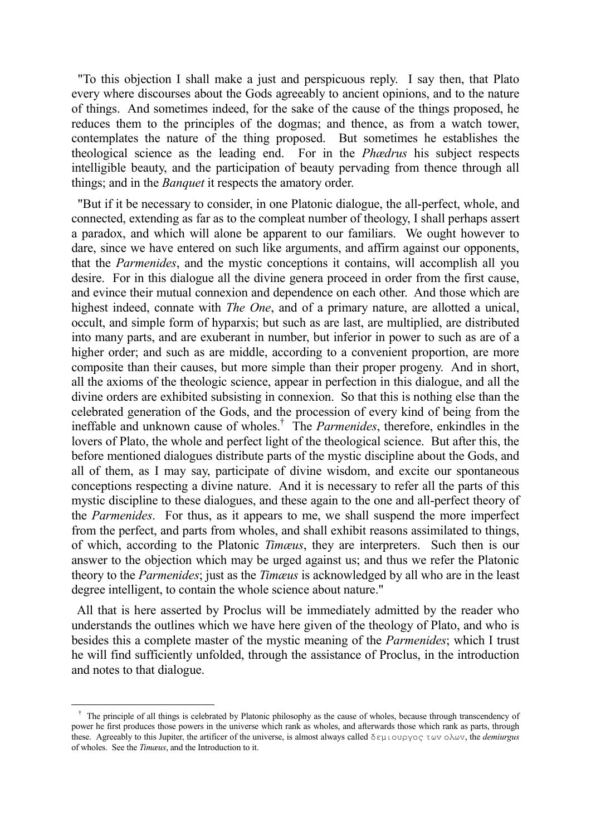"To this objection I shall make a just and perspicuous reply. I say then, that Plato every where discourses about the Gods agreeably to ancient opinions, and to the nature of things. And sometimes indeed, for the sake of the cause of the things proposed, he reduces them to the principles of the dogmas; and thence, as from a watch tower, contemplates the nature of the thing proposed. But sometimes he establishes the theological science as the leading end. For in the *Phædrus* his subject respects intelligible beauty, and the participation of beauty pervading from thence through all things; and in the *Banquet* it respects the amatory order.

 "But if it be necessary to consider, in one Platonic dialogue, the all-perfect, whole, and connected, extending as far as to the compleat number of theology, I shall perhaps assert a paradox, and which will alone be apparent to our familiars. We ought however to dare, since we have entered on such like arguments, and affirm against our opponents, that the *Parmenides*, and the mystic conceptions it contains, will accomplish all you desire. For in this dialogue all the divine genera proceed in order from the first cause, and evince their mutual connexion and dependence on each other. And those which are highest indeed, connate with *The One*, and of a primary nature, are allotted a unical, occult, and simple form of hyparxis; but such as are last, are multiplied, are distributed into many parts, and are exuberant in number, but inferior in power to such as are of a higher order; and such as are middle, according to a convenient proportion, are more composite than their causes, but more simple than their proper progeny. And in short, all the axioms of the theologic science, appear in perfection in this dialogue, and all the divine orders are exhibited subsisting in connexion. So that this is nothing else than the celebrated generation of the Gods, and the procession of every kind of being from the ineffable and unknown cause of wholes.† The *Parmenides*, therefore, enkindles in the lovers of Plato, the whole and perfect light of the theological science. But after this, the before mentioned dialogues distribute parts of the mystic discipline about the Gods, and all of them, as I may say, participate of divine wisdom, and excite our spontaneous conceptions respecting a divine nature. And it is necessary to refer all the parts of this mystic discipline to these dialogues, and these again to the one and all-perfect theory of the *Parmenides*. For thus, as it appears to me, we shall suspend the more imperfect from the perfect, and parts from wholes, and shall exhibit reasons assimilated to things, of which, according to the Platonic *Timæus*, they are interpreters. Such then is our answer to the objection which may be urged against us; and thus we refer the Platonic theory to the *Parmenides*; just as the *Timæus* is acknowledged by all who are in the least degree intelligent, to contain the whole science about nature."

 All that is here asserted by Proclus will be immediately admitted by the reader who understands the outlines which we have here given of the theology of Plato, and who is besides this a complete master of the mystic meaning of the *Parmenides*; which I trust he will find sufficiently unfolded, through the assistance of Proclus, in the introduction and notes to that dialogue.

<sup>&</sup>lt;sup>†</sup> The principle of all things is celebrated by Platonic philosophy as the cause of wholes, because through transcendency of power he first produces those powers in the universe which rank as wholes, and afterwards those which rank as parts, through these. Agreeably to this Jupiter, the artificer of the universe, is almost always called δεμιoυργoς τωv oλωv, the *demiurgus* of wholes. See the *Timæus*, and the Introduction to it.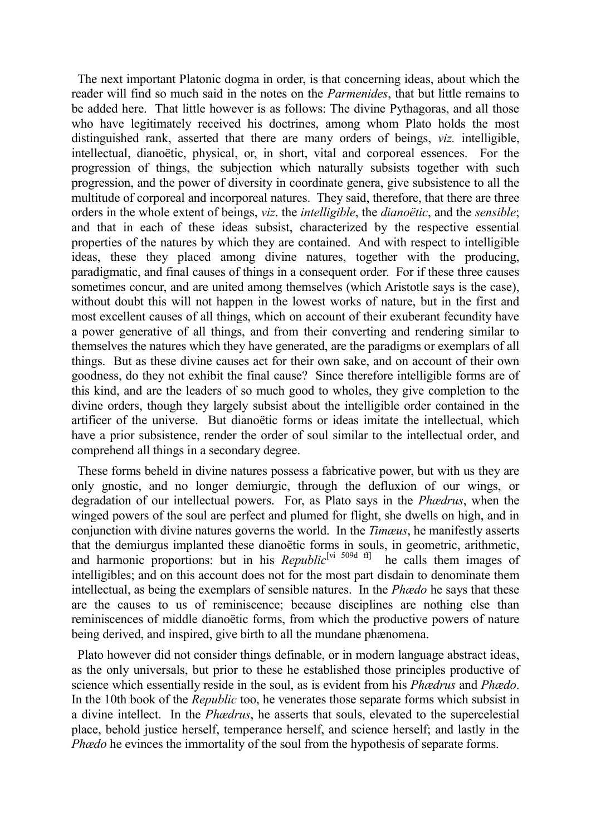The next important Platonic dogma in order, is that concerning ideas, about which the reader will find so much said in the notes on the *Parmenides*, that but little remains to be added here. That little however is as follows: The divine Pythagoras, and all those who have legitimately received his doctrines, among whom Plato holds the most distinguished rank, asserted that there are many orders of beings, *viz.* intelligible, intellectual, dianoëtic, physical, or, in short, vital and corporeal essences. For the progression of things, the subjection which naturally subsists together with such progression, and the power of diversity in coordinate genera, give subsistence to all the multitude of corporeal and incorporeal natures. They said, therefore, that there are three orders in the whole extent of beings, *viz*. the *intelligible*, the *dianoëtic*, and the *sensible*; and that in each of these ideas subsist, characterized by the respective essential properties of the natures by which they are contained. And with respect to intelligible ideas, these they placed among divine natures, together with the producing, paradigmatic, and final causes of things in a consequent order. For if these three causes sometimes concur, and are united among themselves (which Aristotle says is the case), without doubt this will not happen in the lowest works of nature, but in the first and most excellent causes of all things, which on account of their exuberant fecundity have a power generative of all things, and from their converting and rendering similar to themselves the natures which they have generated, are the paradigms or exemplars of all things. But as these divine causes act for their own sake, and on account of their own goodness, do they not exhibit the final cause? Since therefore intelligible forms are of this kind, and are the leaders of so much good to wholes, they give completion to the divine orders, though they largely subsist about the intelligible order contained in the artificer of the universe. But dianoëtic forms or ideas imitate the intellectual, which have a prior subsistence, render the order of soul similar to the intellectual order, and comprehend all things in a secondary degree.

 These forms beheld in divine natures possess a fabricative power, but with us they are only gnostic, and no longer demiurgic, through the defluxion of our wings, or degradation of our intellectual powers. For, as Plato says in the *Phædrus*, when the winged powers of the soul are perfect and plumed for flight, she dwells on high, and in conjunction with divine natures governs the world. In the *Timæus*, he manifestly asserts that the demiurgus implanted these dianoëtic forms in souls, in geometric, arithmetic, and harmonic proportions: but in his *Republic*<sup>[vi 509d ff]</sup> he calls them images of intelligibles; and on this account does not for the most part disdain to denominate them intellectual, as being the exemplars of sensible natures. In the *Phædo* he says that these are the causes to us of reminiscence; because disciplines are nothing else than reminiscences of middle dianoëtic forms, from which the productive powers of nature being derived, and inspired, give birth to all the mundane phænomena.

 Plato however did not consider things definable, or in modern language abstract ideas, as the only universals, but prior to these he established those principles productive of science which essentially reside in the soul, as is evident from his *Phædrus* and *Phædo*. In the 10th book of the *Republic* too, he venerates those separate forms which subsist in a divine intellect. In the *Phædrus*, he asserts that souls, elevated to the supercelestial place, behold justice herself, temperance herself, and science herself; and lastly in the *Phædo* he evinces the immortality of the soul from the hypothesis of separate forms.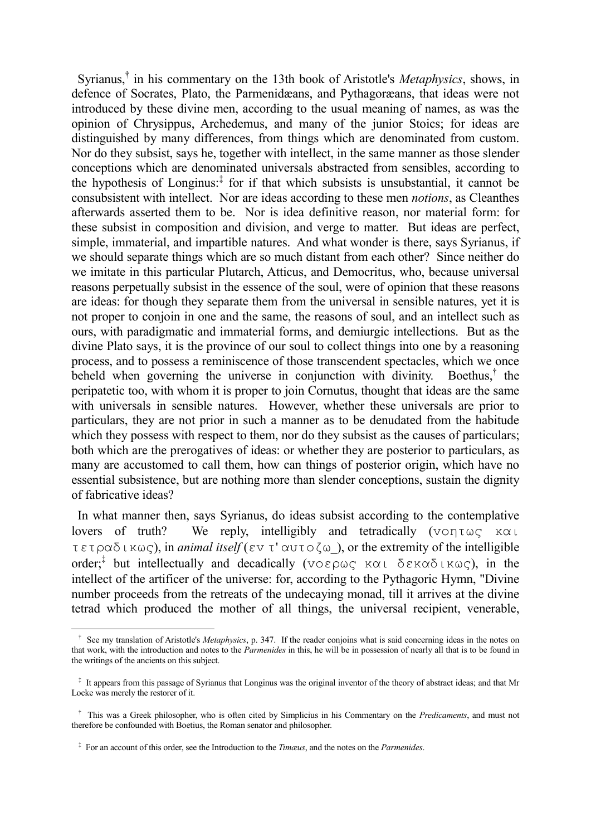Syrianus,† in his commentary on the 13th book of Aristotle's *Metaphysics*, shows, in defence of Socrates, Plato, the Parmenidæans, and Pythagoræans, that ideas were not introduced by these divine men, according to the usual meaning of names, as was the opinion of Chrysippus, Archedemus, and many of the junior Stoics; for ideas are distinguished by many differences, from things which are denominated from custom. Nor do they subsist, says he, together with intellect, in the same manner as those slender conceptions which are denominated universals abstracted from sensibles, according to the hypothesis of Longinus:‡ for if that which subsists is unsubstantial, it cannot be consubsistent with intellect. Nor are ideas according to these men *notions*, as Cleanthes afterwards asserted them to be. Nor is idea definitive reason, nor material form: for these subsist in composition and division, and verge to matter. But ideas are perfect, simple, immaterial, and impartible natures. And what wonder is there, says Syrianus, if we should separate things which are so much distant from each other? Since neither do we imitate in this particular Plutarch, Atticus, and Democritus, who, because universal reasons perpetually subsist in the essence of the soul, were of opinion that these reasons are ideas: for though they separate them from the universal in sensible natures, yet it is not proper to conjoin in one and the same, the reasons of soul, and an intellect such as ours, with paradigmatic and immaterial forms, and demiurgic intellections. But as the divine Plato says, it is the province of our soul to collect things into one by a reasoning process, and to possess a reminiscence of those transcendent spectacles, which we once beheld when governing the universe in conjunction with divinity. Boethus, $\dagger$  the peripatetic too, with whom it is proper to join Cornutus, thought that ideas are the same with universals in sensible natures. However, whether these universals are prior to particulars, they are not prior in such a manner as to be denudated from the habitude which they possess with respect to them, nor do they subsist as the causes of particulars; both which are the prerogatives of ideas: or whether they are posterior to particulars, as many are accustomed to call them, how can things of posterior origin, which have no essential subsistence, but are nothing more than slender conceptions, sustain the dignity of fabricative ideas?

 In what manner then, says Syrianus, do ideas subsist according to the contemplative lovers of truth? We reply, intelligibly and tetradically (voητως και τετραδικως), in *animal itself* (εv τ' αυτoζω\_), or the extremity of the intelligible order;‡ but intellectually and decadically (voερως και δεκαδικως), in the intellect of the artificer of the universe: for, according to the Pythagoric Hymn, "Divine number proceeds from the retreats of the undecaying monad, till it arrives at the divine tetrad which produced the mother of all things, the universal recipient, venerable,

<sup>&</sup>lt;sup>†</sup> See my translation of Aristotle's *Metaphysics*, p. 347. If the reader conjoins what is said concerning ideas in the notes on that work, with the introduction and notes to the *Parmenides* in this, he will be in possession of nearly all that is to be found in the writings of the ancients on this subject.

‡ It appears from this passage of Syrianus that Longinus was the original inventor of the theory of abstract ideas; and that Mr Locke was merely the restorer of it.

† This was a Greek philosopher, who is often cited by Simplicius in his Commentary on the *Predicaments*, and must not therefore be confounded with Boetius, the Roman senator and philosopher.

‡ For an account of this order, see the Introduction to the *Timæus*, and the notes on the *Parmenides*.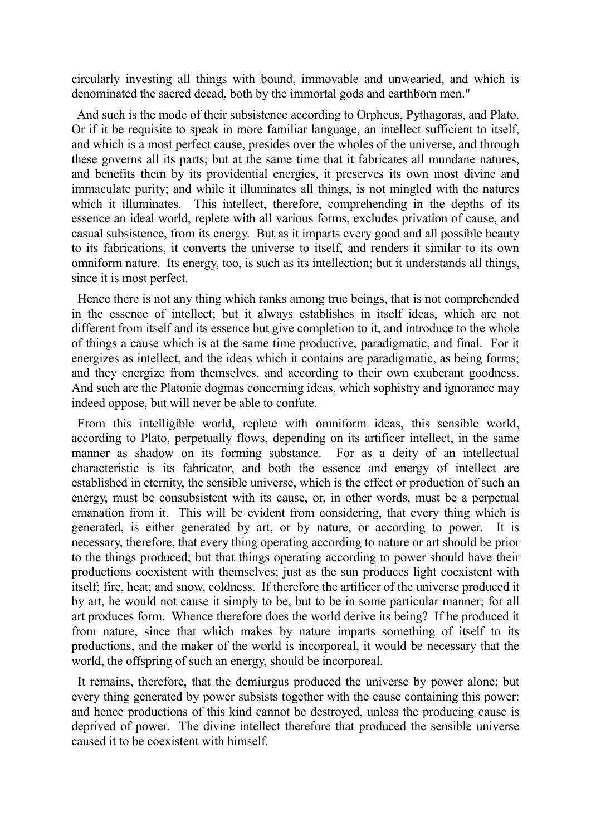circularly investing all things with bound, immovable and unwearied, and which is denominated the sacred decad, both by the immortal gods and earthborn men."

 And such is the mode of their subsistence according to Orpheus, Pythagoras, and Plato. Or if it be requisite to speak in more familiar language, an intellect sufficient to itself, and which is a most perfect cause, presides over the wholes of the universe, and through these governs all its parts; but at the same time that it fabricates all mundane natures, and benefits them by its providential energies, it preserves its own most divine and immaculate purity; and while it illuminates all things, is not mingled with the natures which it illuminates. This intellect, therefore, comprehending in the depths of its essence an ideal world, replete with all various forms, excludes privation of cause, and casual subsistence, from its energy. But as it imparts every good and all possible beauty to its fabrications, it converts the universe to itself, and renders it similar to its own omniform nature. Its energy, too, is such as its intellection; but it understands all things, since it is most perfect.

 Hence there is not any thing which ranks among true beings, that is not comprehended in the essence of intellect; but it always establishes in itself ideas, which are not different from itself and its essence but give completion to it, and introduce to the whole of things a cause which is at the same time productive, paradigmatic, and final. For it energizes as intellect, and the ideas which it contains are paradigmatic, as being forms; and they energize from themselves, and according to their own exuberant goodness. And such are the Platonic dogmas concerning ideas, which sophistry and ignorance may indeed oppose, but will never be able to confute.

 From this intelligible world, replete with omniform ideas, this sensible world, according to Plato, perpetually flows, depending on its artificer intellect, in the same manner as shadow on its forming substance. For as a deity of an intellectual characteristic is its fabricator, and both the essence and energy of intellect are established in eternity, the sensible universe, which is the effect or production of such an energy, must be consubsistent with its cause, or, in other words, must be a perpetual emanation from it. This will be evident from considering, that every thing which is generated, is either generated by art, or by nature, or according to power. It is necessary, therefore, that every thing operating according to nature or art should be prior to the things produced; but that things operating according to power should have their productions coexistent with themselves; just as the sun produces light coexistent with itself; fire, heat; and snow, coldness. If therefore the artificer of the universe produced it by art, he would not cause it simply to be, but to be in some particular manner; for all art produces form. Whence therefore does the world derive its being? If he produced it from nature, since that which makes by nature imparts something of itself to its productions, and the maker of the world is incorporeal, it would be necessary that the world, the offspring of such an energy, should be incorporeal.

 It remains, therefore, that the demiurgus produced the universe by power alone; but every thing generated by power subsists together with the cause containing this power: and hence productions of this kind cannot be destroyed, unless the producing cause is deprived of power. The divine intellect therefore that produced the sensible universe caused it to be coexistent with himself.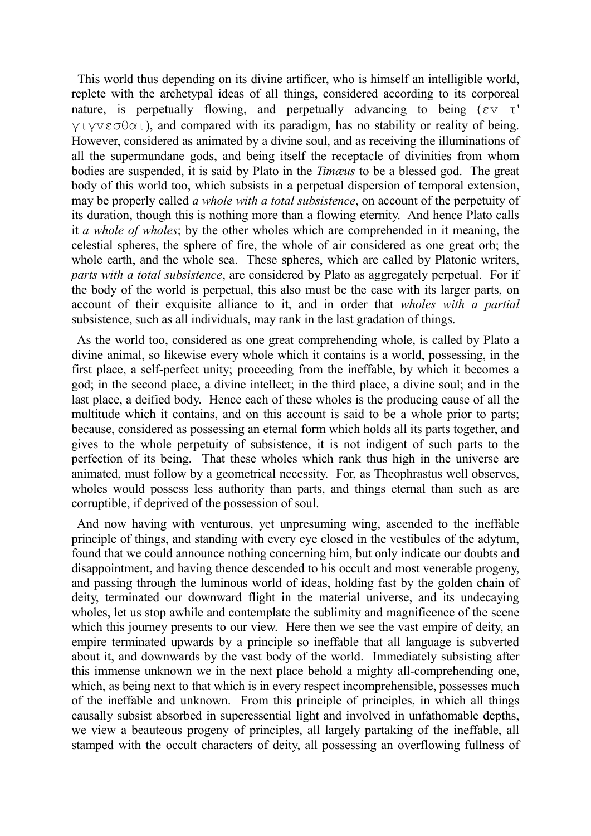This world thus depending on its divine artificer, who is himself an intelligible world, replete with the archetypal ideas of all things, considered according to its corporeal nature, is perpetually flowing, and perpetually advancing to being ( $\epsilon v \tau'$ ) γιγvεσθαι), and compared with its paradigm, has no stability or reality of being. However, considered as animated by a divine soul, and as receiving the illuminations of all the supermundane gods, and being itself the receptacle of divinities from whom bodies are suspended, it is said by Plato in the *Timæus* to be a blessed god. The great body of this world too, which subsists in a perpetual dispersion of temporal extension, may be properly called *a whole with a total subsistence*, on account of the perpetuity of its duration, though this is nothing more than a flowing eternity. And hence Plato calls it *a whole of wholes*; by the other wholes which are comprehended in it meaning, the celestial spheres, the sphere of fire, the whole of air considered as one great orb; the whole earth, and the whole sea. These spheres, which are called by Platonic writers, *parts with a total subsistence*, are considered by Plato as aggregately perpetual. For if the body of the world is perpetual, this also must be the case with its larger parts, on account of their exquisite alliance to it, and in order that *wholes with a partial* subsistence, such as all individuals, may rank in the last gradation of things.

 As the world too, considered as one great comprehending whole, is called by Plato a divine animal, so likewise every whole which it contains is a world, possessing, in the first place, a self-perfect unity; proceeding from the ineffable, by which it becomes a god; in the second place, a divine intellect; in the third place, a divine soul; and in the last place, a deified body. Hence each of these wholes is the producing cause of all the multitude which it contains, and on this account is said to be a whole prior to parts; because, considered as possessing an eternal form which holds all its parts together, and gives to the whole perpetuity of subsistence, it is not indigent of such parts to the perfection of its being. That these wholes which rank thus high in the universe are animated, must follow by a geometrical necessity. For, as Theophrastus well observes, wholes would possess less authority than parts, and things eternal than such as are corruptible, if deprived of the possession of soul.

 And now having with venturous, yet unpresuming wing, ascended to the ineffable principle of things, and standing with every eye closed in the vestibules of the adytum, found that we could announce nothing concerning him, but only indicate our doubts and disappointment, and having thence descended to his occult and most venerable progeny, and passing through the luminous world of ideas, holding fast by the golden chain of deity, terminated our downward flight in the material universe, and its undecaying wholes, let us stop awhile and contemplate the sublimity and magnificence of the scene which this journey presents to our view. Here then we see the vast empire of deity, an empire terminated upwards by a principle so ineffable that all language is subverted about it, and downwards by the vast body of the world. Immediately subsisting after this immense unknown we in the next place behold a mighty all-comprehending one, which, as being next to that which is in every respect incomprehensible, possesses much of the ineffable and unknown. From this principle of principles, in which all things causally subsist absorbed in superessential light and involved in unfathomable depths, we view a beauteous progeny of principles, all largely partaking of the ineffable, all stamped with the occult characters of deity, all possessing an overflowing fullness of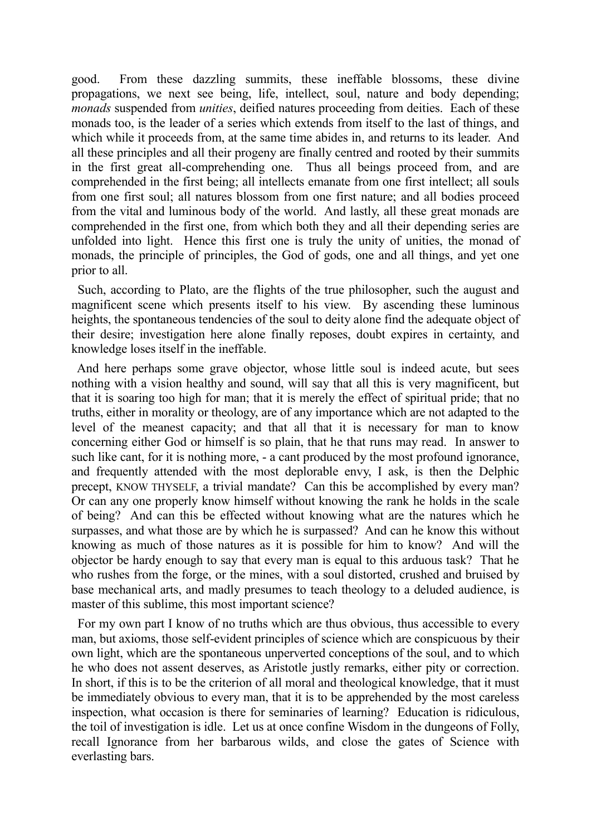good. From these dazzling summits, these ineffable blossoms, these divine propagations, we next see being, life, intellect, soul, nature and body depending; *monads* suspended from *unities*, deified natures proceeding from deities. Each of these monads too, is the leader of a series which extends from itself to the last of things, and which while it proceeds from, at the same time abides in, and returns to its leader. And all these principles and all their progeny are finally centred and rooted by their summits in the first great all-comprehending one. Thus all beings proceed from, and are comprehended in the first being; all intellects emanate from one first intellect; all souls from one first soul; all natures blossom from one first nature; and all bodies proceed from the vital and luminous body of the world. And lastly, all these great monads are comprehended in the first one, from which both they and all their depending series are unfolded into light. Hence this first one is truly the unity of unities, the monad of monads, the principle of principles, the God of gods, one and all things, and yet one prior to all.

 Such, according to Plato, are the flights of the true philosopher, such the august and magnificent scene which presents itself to his view. By ascending these luminous heights, the spontaneous tendencies of the soul to deity alone find the adequate object of their desire; investigation here alone finally reposes, doubt expires in certainty, and knowledge loses itself in the ineffable.

 And here perhaps some grave objector, whose little soul is indeed acute, but sees nothing with a vision healthy and sound, will say that all this is very magnificent, but that it is soaring too high for man; that it is merely the effect of spiritual pride; that no truths, either in morality or theology, are of any importance which are not adapted to the level of the meanest capacity; and that all that it is necessary for man to know concerning either God or himself is so plain, that he that runs may read. In answer to such like cant, for it is nothing more, - a cant produced by the most profound ignorance, and frequently attended with the most deplorable envy, I ask, is then the Delphic precept, KNOW THYSELF, a trivial mandate? Can this be accomplished by every man? Or can any one properly know himself without knowing the rank he holds in the scale of being? And can this be effected without knowing what are the natures which he surpasses, and what those are by which he is surpassed? And can he know this without knowing as much of those natures as it is possible for him to know? And will the objector be hardy enough to say that every man is equal to this arduous task? That he who rushes from the forge, or the mines, with a soul distorted, crushed and bruised by base mechanical arts, and madly presumes to teach theology to a deluded audience, is master of this sublime, this most important science?

 For my own part I know of no truths which are thus obvious, thus accessible to every man, but axioms, those self-evident principles of science which are conspicuous by their own light, which are the spontaneous unperverted conceptions of the soul, and to which he who does not assent deserves, as Aristotle justly remarks, either pity or correction. In short, if this is to be the criterion of all moral and theological knowledge, that it must be immediately obvious to every man, that it is to be apprehended by the most careless inspection, what occasion is there for seminaries of learning? Education is ridiculous, the toil of investigation is idle. Let us at once confine Wisdom in the dungeons of Folly, recall Ignorance from her barbarous wilds, and close the gates of Science with everlasting bars.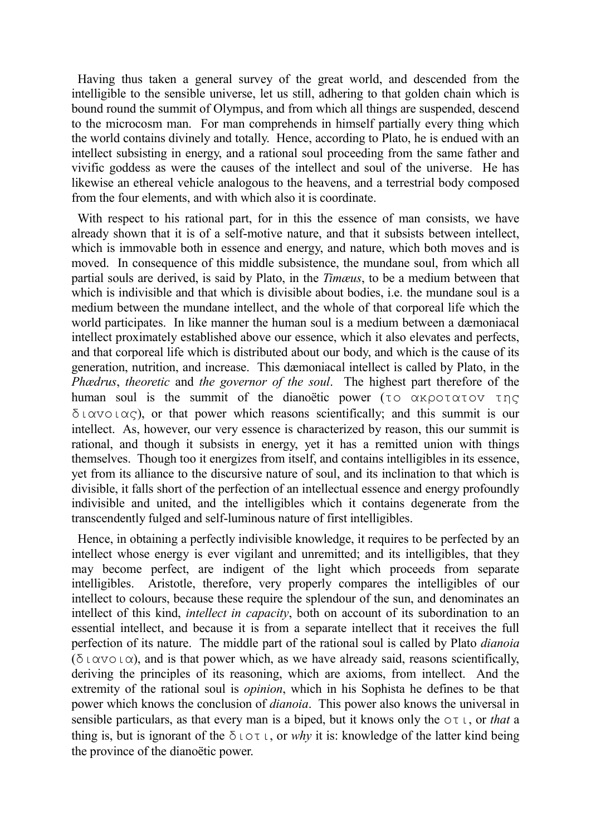Having thus taken a general survey of the great world, and descended from the intelligible to the sensible universe, let us still, adhering to that golden chain which is bound round the summit of Olympus, and from which all things are suspended, descend to the microcosm man. For man comprehends in himself partially every thing which the world contains divinely and totally. Hence, according to Plato, he is endued with an intellect subsisting in energy, and a rational soul proceeding from the same father and vivific goddess as were the causes of the intellect and soul of the universe. He has likewise an ethereal vehicle analogous to the heavens, and a terrestrial body composed from the four elements, and with which also it is coordinate.

 With respect to his rational part, for in this the essence of man consists, we have already shown that it is of a self-motive nature, and that it subsists between intellect, which is immovable both in essence and energy, and nature, which both moves and is moved. In consequence of this middle subsistence, the mundane soul, from which all partial souls are derived, is said by Plato, in the *Timæus*, to be a medium between that which is indivisible and that which is divisible about bodies, i.e. the mundane soul is a medium between the mundane intellect, and the whole of that corporeal life which the world participates. In like manner the human soul is a medium between a dæmoniacal intellect proximately established above our essence, which it also elevates and perfects, and that corporeal life which is distributed about our body, and which is the cause of its generation, nutrition, and increase. This dæmoniacal intellect is called by Plato, in the *Phædrus*, *theoretic* and *the governor of the soul*. The highest part therefore of the human soul is the summit of the dianoëtic power (τo ακρoτατov της  $\delta \iota$   $\alpha$   $\sigma$   $\iota$   $\alpha$  c), or that power which reasons scientifically; and this summit is our intellect. As, however, our very essence is characterized by reason, this our summit is rational, and though it subsists in energy, yet it has a remitted union with things themselves. Though too it energizes from itself, and contains intelligibles in its essence, yet from its alliance to the discursive nature of soul, and its inclination to that which is divisible, it falls short of the perfection of an intellectual essence and energy profoundly indivisible and united, and the intelligibles which it contains degenerate from the transcendently fulged and self-luminous nature of first intelligibles.

 Hence, in obtaining a perfectly indivisible knowledge, it requires to be perfected by an intellect whose energy is ever vigilant and unremitted; and its intelligibles, that they may become perfect, are indigent of the light which proceeds from separate intelligibles. Aristotle, therefore, very properly compares the intelligibles of our intellect to colours, because these require the splendour of the sun, and denominates an intellect of this kind, *intellect in capacity*, both on account of its subordination to an essential intellect, and because it is from a separate intellect that it receives the full perfection of its nature. The middle part of the rational soul is called by Plato *dianoia* (διανοια), and is that power which, as we have already said, reasons scientifically, deriving the principles of its reasoning, which are axioms, from intellect. And the extremity of the rational soul is *opinion*, which in his Sophista he defines to be that power which knows the conclusion of *dianoia*. This power also knows the universal in sensible particulars, as that every man is a biped, but it knows only the oτι, or *that* a thing is, but is ignorant of the  $\delta$  ιστι, or *why* it is: knowledge of the latter kind being the province of the dianoëtic power.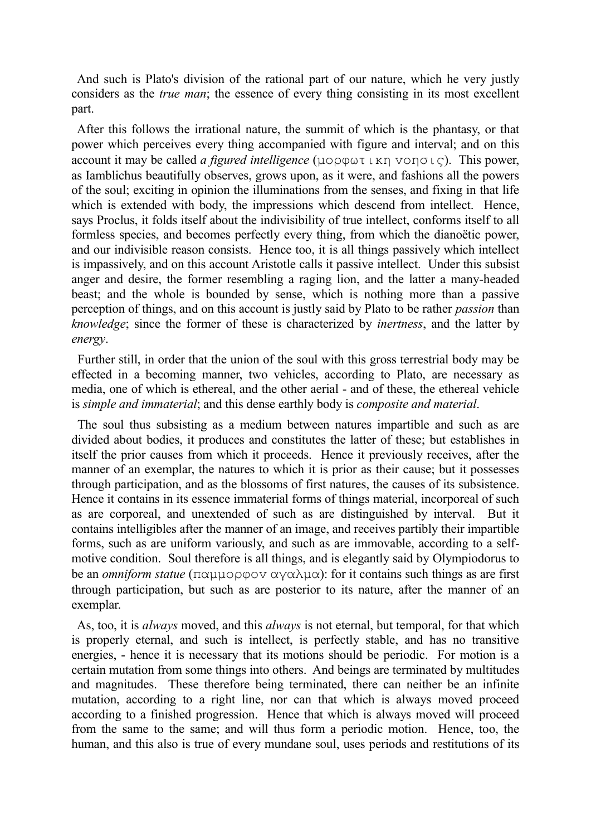And such is Plato's division of the rational part of our nature, which he very justly considers as the *true man*; the essence of every thing consisting in its most excellent part.

 After this follows the irrational nature, the summit of which is the phantasy, or that power which perceives every thing accompanied with figure and interval; and on this account it may be called *a figured intelligence* (μoρφωτικη voησις). This power, as Iamblichus beautifully observes, grows upon, as it were, and fashions all the powers of the soul; exciting in opinion the illuminations from the senses, and fixing in that life which is extended with body, the impressions which descend from intellect. Hence, says Proclus, it folds itself about the indivisibility of true intellect, conforms itself to all formless species, and becomes perfectly every thing, from which the dianoëtic power, and our indivisible reason consists. Hence too, it is all things passively which intellect is impassively, and on this account Aristotle calls it passive intellect. Under this subsist anger and desire, the former resembling a raging lion, and the latter a many-headed beast; and the whole is bounded by sense, which is nothing more than a passive perception of things, and on this account is justly said by Plato to be rather *passion* than *knowledge*; since the former of these is characterized by *inertness*, and the latter by *energy*.

 Further still, in order that the union of the soul with this gross terrestrial body may be effected in a becoming manner, two vehicles, according to Plato, are necessary as media, one of which is ethereal, and the other aerial - and of these, the ethereal vehicle is *simple and immaterial*; and this dense earthly body is *composite and material*.

 The soul thus subsisting as a medium between natures impartible and such as are divided about bodies, it produces and constitutes the latter of these; but establishes in itself the prior causes from which it proceeds. Hence it previously receives, after the manner of an exemplar, the natures to which it is prior as their cause; but it possesses through participation, and as the blossoms of first natures, the causes of its subsistence. Hence it contains in its essence immaterial forms of things material, incorporeal of such as are corporeal, and unextended of such as are distinguished by interval. But it contains intelligibles after the manner of an image, and receives partibly their impartible forms, such as are uniform variously, and such as are immovable, according to a selfmotive condition. Soul therefore is all things, and is elegantly said by Olympiodorus to be an *omniform statue* (παμμoρφov αγαλμα): for it contains such things as are first through participation, but such as are posterior to its nature, after the manner of an exemplar.

 As, too, it is *always* moved, and this *always* is not eternal, but temporal, for that which is properly eternal, and such is intellect, is perfectly stable, and has no transitive energies, - hence it is necessary that its motions should be periodic. For motion is a certain mutation from some things into others. And beings are terminated by multitudes and magnitudes. These therefore being terminated, there can neither be an infinite mutation, according to a right line, nor can that which is always moved proceed according to a finished progression. Hence that which is always moved will proceed from the same to the same; and will thus form a periodic motion. Hence, too, the human, and this also is true of every mundane soul, uses periods and restitutions of its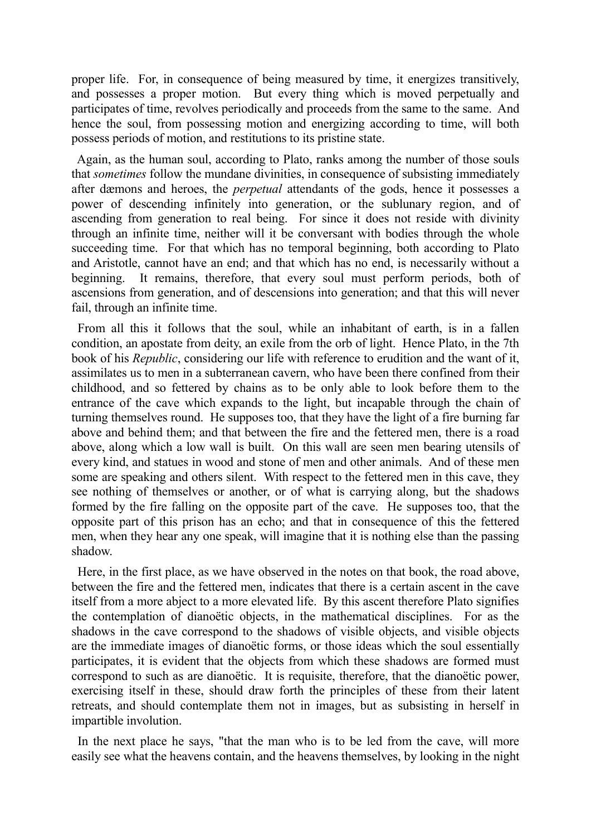proper life. For, in consequence of being measured by time, it energizes transitively, and possesses a proper motion. But every thing which is moved perpetually and participates of time, revolves periodically and proceeds from the same to the same. And hence the soul, from possessing motion and energizing according to time, will both possess periods of motion, and restitutions to its pristine state.

 Again, as the human soul, according to Plato, ranks among the number of those souls that *sometimes* follow the mundane divinities, in consequence of subsisting immediately after dæmons and heroes, the *perpetual* attendants of the gods, hence it possesses a power of descending infinitely into generation, or the sublunary region, and of ascending from generation to real being. For since it does not reside with divinity through an infinite time, neither will it be conversant with bodies through the whole succeeding time. For that which has no temporal beginning, both according to Plato and Aristotle, cannot have an end; and that which has no end, is necessarily without a beginning. It remains, therefore, that every soul must perform periods, both of ascensions from generation, and of descensions into generation; and that this will never fail, through an infinite time.

 From all this it follows that the soul, while an inhabitant of earth, is in a fallen condition, an apostate from deity, an exile from the orb of light. Hence Plato, in the 7th book of his *Republic*, considering our life with reference to erudition and the want of it, assimilates us to men in a subterranean cavern, who have been there confined from their childhood, and so fettered by chains as to be only able to look before them to the entrance of the cave which expands to the light, but incapable through the chain of turning themselves round. He supposes too, that they have the light of a fire burning far above and behind them; and that between the fire and the fettered men, there is a road above, along which a low wall is built. On this wall are seen men bearing utensils of every kind, and statues in wood and stone of men and other animals. And of these men some are speaking and others silent. With respect to the fettered men in this cave, they see nothing of themselves or another, or of what is carrying along, but the shadows formed by the fire falling on the opposite part of the cave. He supposes too, that the opposite part of this prison has an echo; and that in consequence of this the fettered men, when they hear any one speak, will imagine that it is nothing else than the passing shadow.

 Here, in the first place, as we have observed in the notes on that book, the road above, between the fire and the fettered men, indicates that there is a certain ascent in the cave itself from a more abject to a more elevated life. By this ascent therefore Plato signifies the contemplation of dianoëtic objects, in the mathematical disciplines. For as the shadows in the cave correspond to the shadows of visible objects, and visible objects are the immediate images of dianoëtic forms, or those ideas which the soul essentially participates, it is evident that the objects from which these shadows are formed must correspond to such as are dianoëtic. It is requisite, therefore, that the dianoëtic power, exercising itself in these, should draw forth the principles of these from their latent retreats, and should contemplate them not in images, but as subsisting in herself in impartible involution.

 In the next place he says, "that the man who is to be led from the cave, will more easily see what the heavens contain, and the heavens themselves, by looking in the night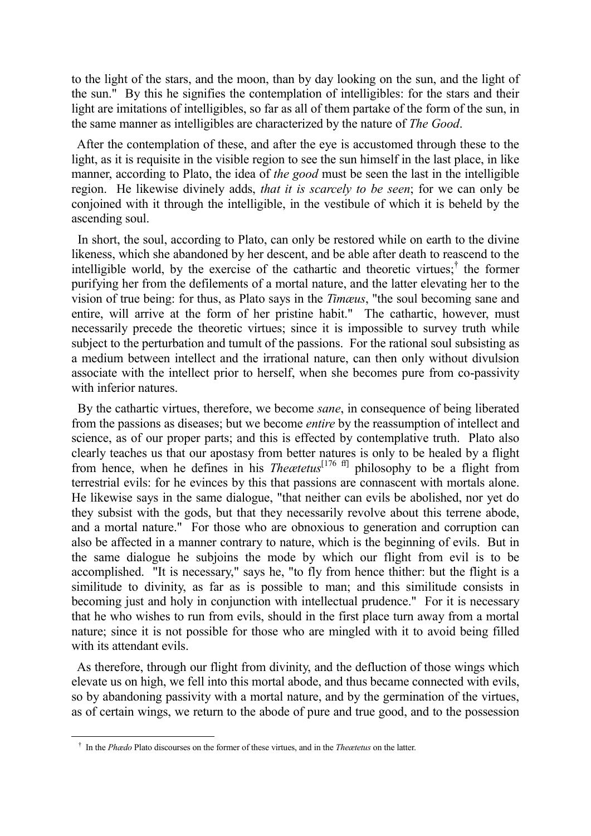to the light of the stars, and the moon, than by day looking on the sun, and the light of the sun." By this he signifies the contemplation of intelligibles: for the stars and their light are imitations of intelligibles, so far as all of them partake of the form of the sun, in the same manner as intelligibles are characterized by the nature of *The Good*.

 After the contemplation of these, and after the eye is accustomed through these to the light, as it is requisite in the visible region to see the sun himself in the last place, in like manner, according to Plato, the idea of *the good* must be seen the last in the intelligible region. He likewise divinely adds, *that it is scarcely to be seen*; for we can only be conjoined with it through the intelligible, in the vestibule of which it is beheld by the ascending soul.

 In short, the soul, according to Plato, can only be restored while on earth to the divine likeness, which she abandoned by her descent, and be able after death to reascend to the intelligible world, by the exercise of the cathartic and theoretic virtues;<sup>†</sup> the former purifying her from the defilements of a mortal nature, and the latter elevating her to the vision of true being: for thus, as Plato says in the *Timæus*, "the soul becoming sane and entire, will arrive at the form of her pristine habit." The cathartic, however, must necessarily precede the theoretic virtues; since it is impossible to survey truth while subject to the perturbation and tumult of the passions. For the rational soul subsisting as a medium between intellect and the irrational nature, can then only without divulsion associate with the intellect prior to herself, when she becomes pure from co-passivity with inferior natures.

 By the cathartic virtues, therefore, we become *sane*, in consequence of being liberated from the passions as diseases; but we become *entire* by the reassumption of intellect and science, as of our proper parts; and this is effected by contemplative truth. Plato also clearly teaches us that our apostasy from better natures is only to be healed by a flight from hence, when he defines in his *Theætetus*[176 ff] philosophy to be a flight from terrestrial evils: for he evinces by this that passions are connascent with mortals alone. He likewise says in the same dialogue, "that neither can evils be abolished, nor yet do they subsist with the gods, but that they necessarily revolve about this terrene abode, and a mortal nature." For those who are obnoxious to generation and corruption can also be affected in a manner contrary to nature, which is the beginning of evils. But in the same dialogue he subjoins the mode by which our flight from evil is to be accomplished. "It is necessary," says he, "to fly from hence thither: but the flight is a similitude to divinity, as far as is possible to man; and this similitude consists in becoming just and holy in conjunction with intellectual prudence." For it is necessary that he who wishes to run from evils, should in the first place turn away from a mortal nature; since it is not possible for those who are mingled with it to avoid being filled with its attendant evils.

 As therefore, through our flight from divinity, and the defluction of those wings which elevate us on high, we fell into this mortal abode, and thus became connected with evils, so by abandoning passivity with a mortal nature, and by the germination of the virtues, as of certain wings, we return to the abode of pure and true good, and to the possession

† In the *Phædo* Plato discourses on the former of these virtues, and in the *Theætetus* on the latter.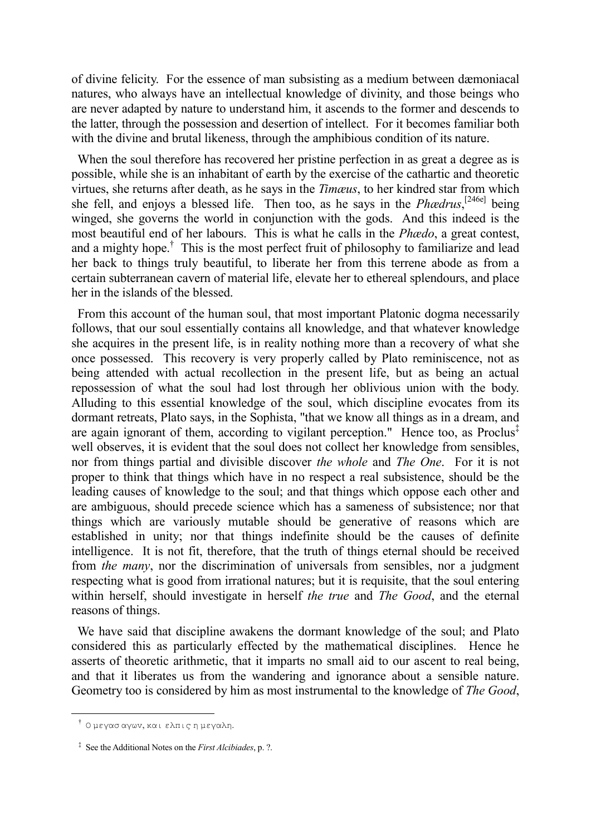of divine felicity. For the essence of man subsisting as a medium between dæmoniacal natures, who always have an intellectual knowledge of divinity, and those beings who are never adapted by nature to understand him, it ascends to the former and descends to the latter, through the possession and desertion of intellect. For it becomes familiar both with the divine and brutal likeness, through the amphibious condition of its nature.

 When the soul therefore has recovered her pristine perfection in as great a degree as is possible, while she is an inhabitant of earth by the exercise of the cathartic and theoretic virtues, she returns after death, as he says in the *Timæus*, to her kindred star from which she fell, and enjoys a blessed life. Then too, as he says in the *Phædrus*, [246e] being winged, she governs the world in conjunction with the gods. And this indeed is the most beautiful end of her labours. This is what he calls in the *Phædo*, a great contest, and a mighty hope.<sup>†</sup> This is the most perfect fruit of philosophy to familiarize and lead her back to things truly beautiful, to liberate her from this terrene abode as from a certain subterranean cavern of material life, elevate her to ethereal splendours, and place her in the islands of the blessed.

 From this account of the human soul, that most important Platonic dogma necessarily follows, that our soul essentially contains all knowledge, and that whatever knowledge she acquires in the present life, is in reality nothing more than a recovery of what she once possessed. This recovery is very properly called by Plato reminiscence, not as being attended with actual recollection in the present life, but as being an actual repossession of what the soul had lost through her oblivious union with the body. Alluding to this essential knowledge of the soul, which discipline evocates from its dormant retreats, Plato says, in the Sophista, "that we know all things as in a dream, and are again ignorant of them, according to vigilant perception." Hence too, as Proclus‡ well observes, it is evident that the soul does not collect her knowledge from sensibles, nor from things partial and divisible discover *the whole* and *The One*. For it is not proper to think that things which have in no respect a real subsistence, should be the leading causes of knowledge to the soul; and that things which oppose each other and are ambiguous, should precede science which has a sameness of subsistence; nor that things which are variously mutable should be generative of reasons which are established in unity; nor that things indefinite should be the causes of definite intelligence. It is not fit, therefore, that the truth of things eternal should be received from *the many*, nor the discrimination of universals from sensibles, nor a judgment respecting what is good from irrational natures; but it is requisite, that the soul entering within herself, should investigate in herself *the true* and *The Good*, and the eternal reasons of things.

 We have said that discipline awakens the dormant knowledge of the soul; and Plato considered this as particularly effected by the mathematical disciplines. Hence he asserts of theoretic arithmetic, that it imparts no small aid to our ascent to real being, and that it liberates us from the wandering and ignorance about a sensible nature. Geometry too is considered by him as most instrumental to the knowledge of *The Good*,

† Ο μεγασ αγωv, και ελπις η μεγαλη.

‡ See the Additional Notes on the *First Alcibiades*, p. ?.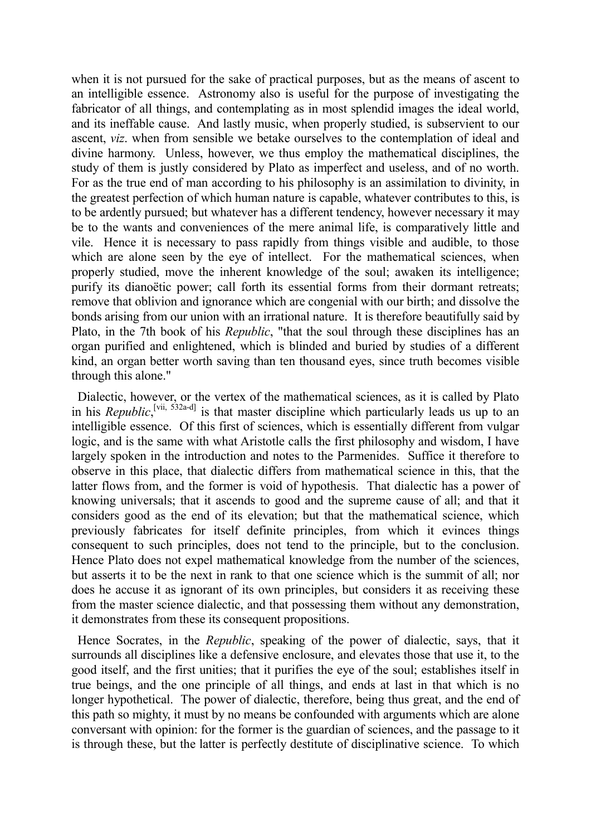when it is not pursued for the sake of practical purposes, but as the means of ascent to an intelligible essence. Astronomy also is useful for the purpose of investigating the fabricator of all things, and contemplating as in most splendid images the ideal world, and its ineffable cause. And lastly music, when properly studied, is subservient to our ascent, *viz*. when from sensible we betake ourselves to the contemplation of ideal and divine harmony. Unless, however, we thus employ the mathematical disciplines, the study of them is justly considered by Plato as imperfect and useless, and of no worth. For as the true end of man according to his philosophy is an assimilation to divinity, in the greatest perfection of which human nature is capable, whatever contributes to this, is to be ardently pursued; but whatever has a different tendency, however necessary it may be to the wants and conveniences of the mere animal life, is comparatively little and vile. Hence it is necessary to pass rapidly from things visible and audible, to those which are alone seen by the eye of intellect. For the mathematical sciences, when properly studied, move the inherent knowledge of the soul; awaken its intelligence; purify its dianoëtic power; call forth its essential forms from their dormant retreats; remove that oblivion and ignorance which are congenial with our birth; and dissolve the bonds arising from our union with an irrational nature. It is therefore beautifully said by Plato, in the 7th book of his *Republic*, "that the soul through these disciplines has an organ purified and enlightened, which is blinded and buried by studies of a different kind, an organ better worth saving than ten thousand eyes, since truth becomes visible through this alone."

 Dialectic, however, or the vertex of the mathematical sciences, as it is called by Plato in his *Republic*,<sup>[vii, 532a-d]</sup> is that master discipline which particularly leads us up to an intelligible essence. Of this first of sciences, which is essentially different from vulgar logic, and is the same with what Aristotle calls the first philosophy and wisdom, I have largely spoken in the introduction and notes to the Parmenides. Suffice it therefore to observe in this place, that dialectic differs from mathematical science in this, that the latter flows from, and the former is void of hypothesis. That dialectic has a power of knowing universals; that it ascends to good and the supreme cause of all; and that it considers good as the end of its elevation; but that the mathematical science, which previously fabricates for itself definite principles, from which it evinces things consequent to such principles, does not tend to the principle, but to the conclusion. Hence Plato does not expel mathematical knowledge from the number of the sciences, but asserts it to be the next in rank to that one science which is the summit of all; nor does he accuse it as ignorant of its own principles, but considers it as receiving these from the master science dialectic, and that possessing them without any demonstration, it demonstrates from these its consequent propositions.

 Hence Socrates, in the *Republic*, speaking of the power of dialectic, says, that it surrounds all disciplines like a defensive enclosure, and elevates those that use it, to the good itself, and the first unities; that it purifies the eye of the soul; establishes itself in true beings, and the one principle of all things, and ends at last in that which is no longer hypothetical. The power of dialectic, therefore, being thus great, and the end of this path so mighty, it must by no means be confounded with arguments which are alone conversant with opinion: for the former is the guardian of sciences, and the passage to it is through these, but the latter is perfectly destitute of disciplinative science. To which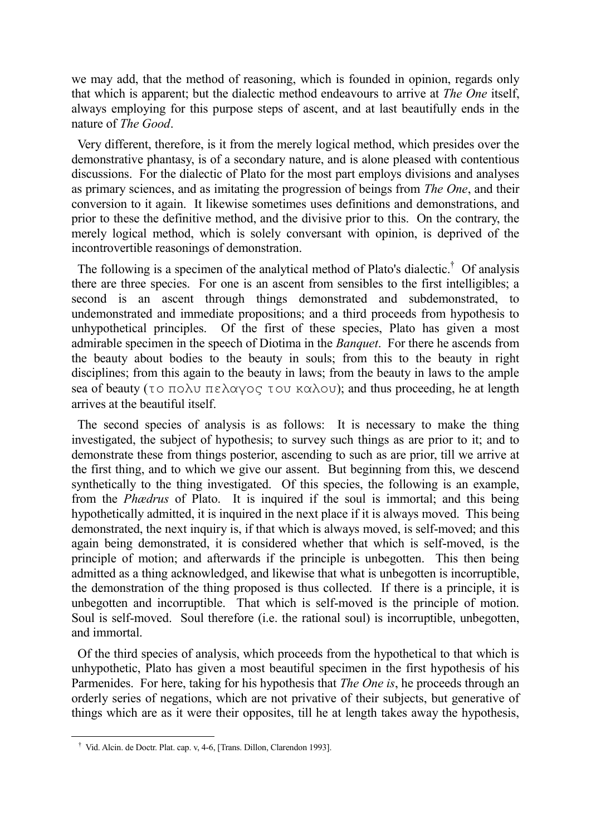we may add, that the method of reasoning, which is founded in opinion, regards only that which is apparent; but the dialectic method endeavours to arrive at *The One* itself, always employing for this purpose steps of ascent, and at last beautifully ends in the nature of *The Good*.

 Very different, therefore, is it from the merely logical method, which presides over the demonstrative phantasy, is of a secondary nature, and is alone pleased with contentious discussions. For the dialectic of Plato for the most part employs divisions and analyses as primary sciences, and as imitating the progression of beings from *The One*, and their conversion to it again. It likewise sometimes uses definitions and demonstrations, and prior to these the definitive method, and the divisive prior to this. On the contrary, the merely logical method, which is solely conversant with opinion, is deprived of the incontrovertible reasonings of demonstration.

The following is a specimen of the analytical method of Plato's dialectic.<sup>†</sup> Of analysis there are three species. For one is an ascent from sensibles to the first intelligibles; a second is an ascent through things demonstrated and subdemonstrated, to undemonstrated and immediate propositions; and a third proceeds from hypothesis to unhypothetical principles. Of the first of these species, Plato has given a most admirable specimen in the speech of Diotima in the *Banquet*. For there he ascends from the beauty about bodies to the beauty in souls; from this to the beauty in right disciplines; from this again to the beauty in laws; from the beauty in laws to the ample sea of beauty (το πολυ πελαγος του καλου); and thus proceeding, he at length arrives at the beautiful itself.

 The second species of analysis is as follows: It is necessary to make the thing investigated, the subject of hypothesis; to survey such things as are prior to it; and to demonstrate these from things posterior, ascending to such as are prior, till we arrive at the first thing, and to which we give our assent. But beginning from this, we descend synthetically to the thing investigated. Of this species, the following is an example, from the *Phædrus* of Plato. It is inquired if the soul is immortal; and this being hypothetically admitted, it is inquired in the next place if it is always moved. This being demonstrated, the next inquiry is, if that which is always moved, is self-moved; and this again being demonstrated, it is considered whether that which is self-moved, is the principle of motion; and afterwards if the principle is unbegotten. This then being admitted as a thing acknowledged, and likewise that what is unbegotten is incorruptible, the demonstration of the thing proposed is thus collected. If there is a principle, it is unbegotten and incorruptible. That which is self-moved is the principle of motion. Soul is self-moved. Soul therefore (i.e. the rational soul) is incorruptible, unbegotten, and immortal.

 Of the third species of analysis, which proceeds from the hypothetical to that which is unhypothetic, Plato has given a most beautiful specimen in the first hypothesis of his Parmenides. For here, taking for his hypothesis that *The One is*, he proceeds through an orderly series of negations, which are not privative of their subjects, but generative of things which are as it were their opposites, till he at length takes away the hypothesis,

† Vid. Alcin. de Doctr. Plat. cap. v, 4-6, [Trans. Dillon, Clarendon 1993].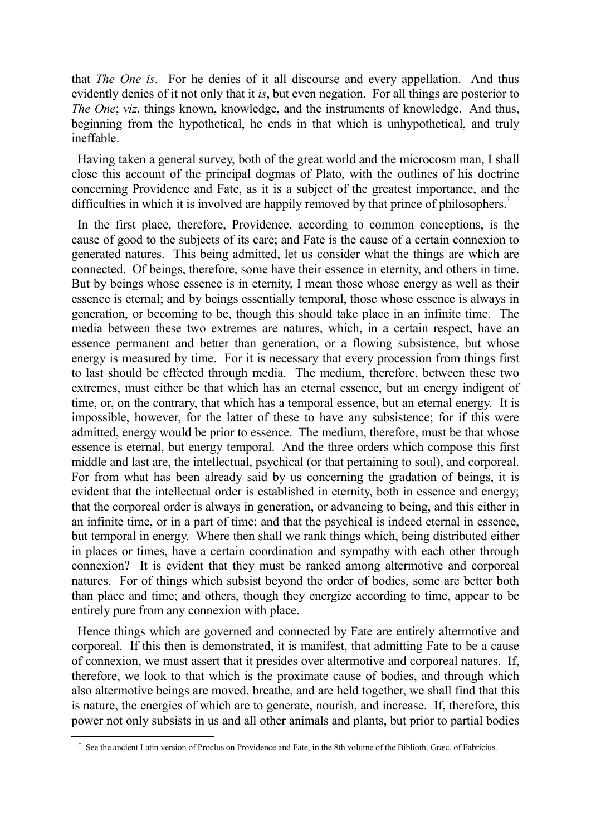that *The One is*. For he denies of it all discourse and every appellation. And thus evidently denies of it not only that it *is*, but even negation. For all things are posterior to *The One*; *viz*. things known, knowledge, and the instruments of knowledge. And thus, beginning from the hypothetical, he ends in that which is unhypothetical, and truly ineffable.

 Having taken a general survey, both of the great world and the microcosm man, I shall close this account of the principal dogmas of Plato, with the outlines of his doctrine concerning Providence and Fate, as it is a subject of the greatest importance, and the difficulties in which it is involved are happily removed by that prince of philosophers.<sup>†</sup>

 In the first place, therefore, Providence, according to common conceptions, is the cause of good to the subjects of its care; and Fate is the cause of a certain connexion to generated natures. This being admitted, let us consider what the things are which are connected. Of beings, therefore, some have their essence in eternity, and others in time. But by beings whose essence is in eternity, I mean those whose energy as well as their essence is eternal; and by beings essentially temporal, those whose essence is always in generation, or becoming to be, though this should take place in an infinite time. The media between these two extremes are natures, which, in a certain respect, have an essence permanent and better than generation, or a flowing subsistence, but whose energy is measured by time. For it is necessary that every procession from things first to last should be effected through media. The medium, therefore, between these two extremes, must either be that which has an eternal essence, but an energy indigent of time, or, on the contrary, that which has a temporal essence, but an eternal energy. It is impossible, however, for the latter of these to have any subsistence; for if this were admitted, energy would be prior to essence. The medium, therefore, must be that whose essence is eternal, but energy temporal. And the three orders which compose this first middle and last are, the intellectual, psychical (or that pertaining to soul), and corporeal. For from what has been already said by us concerning the gradation of beings, it is evident that the intellectual order is established in eternity, both in essence and energy; that the corporeal order is always in generation, or advancing to being, and this either in an infinite time, or in a part of time; and that the psychical is indeed eternal in essence, but temporal in energy. Where then shall we rank things which, being distributed either in places or times, have a certain coordination and sympathy with each other through connexion? It is evident that they must be ranked among altermotive and corporeal natures. For of things which subsist beyond the order of bodies, some are better both than place and time; and others, though they energize according to time, appear to be entirely pure from any connexion with place.

 Hence things which are governed and connected by Fate are entirely altermotive and corporeal. If this then is demonstrated, it is manifest, that admitting Fate to be a cause of connexion, we must assert that it presides over altermotive and corporeal natures. If, therefore, we look to that which is the proximate cause of bodies, and through which also altermotive beings are moved, breathe, and are held together, we shall find that this is nature, the energies of which are to generate, nourish, and increase. If, therefore, this power not only subsists in us and all other animals and plants, but prior to partial bodies

† See the ancient Latin version of Proclus on Providence and Fate, in the 8th volume of the Biblioth. Græc. of Fabricius.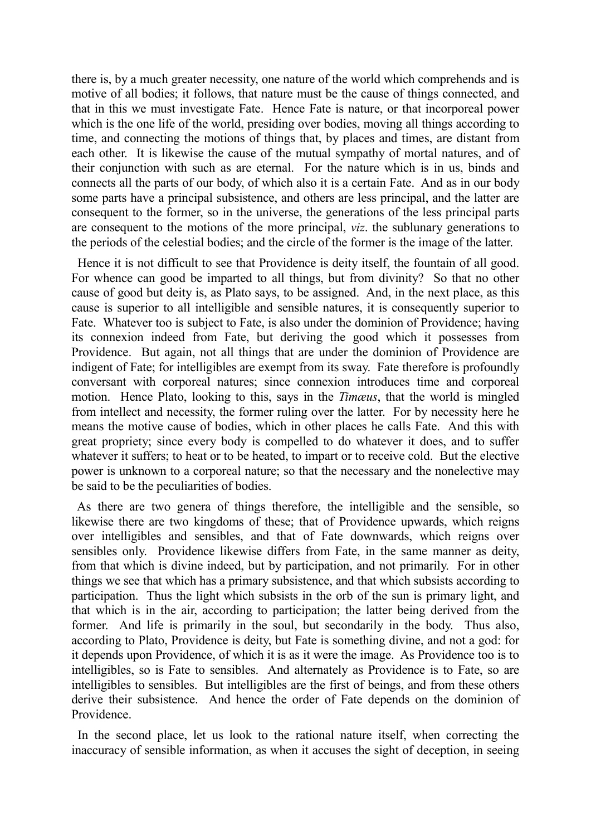there is, by a much greater necessity, one nature of the world which comprehends and is motive of all bodies; it follows, that nature must be the cause of things connected, and that in this we must investigate Fate. Hence Fate is nature, or that incorporeal power which is the one life of the world, presiding over bodies, moving all things according to time, and connecting the motions of things that, by places and times, are distant from each other. It is likewise the cause of the mutual sympathy of mortal natures, and of their conjunction with such as are eternal. For the nature which is in us, binds and connects all the parts of our body, of which also it is a certain Fate. And as in our body some parts have a principal subsistence, and others are less principal, and the latter are consequent to the former, so in the universe, the generations of the less principal parts are consequent to the motions of the more principal, *viz*. the sublunary generations to the periods of the celestial bodies; and the circle of the former is the image of the latter.

 Hence it is not difficult to see that Providence is deity itself, the fountain of all good. For whence can good be imparted to all things, but from divinity? So that no other cause of good but deity is, as Plato says, to be assigned. And, in the next place, as this cause is superior to all intelligible and sensible natures, it is consequently superior to Fate. Whatever too is subject to Fate, is also under the dominion of Providence; having its connexion indeed from Fate, but deriving the good which it possesses from Providence. But again, not all things that are under the dominion of Providence are indigent of Fate; for intelligibles are exempt from its sway. Fate therefore is profoundly conversant with corporeal natures; since connexion introduces time and corporeal motion. Hence Plato, looking to this, says in the *Timæus*, that the world is mingled from intellect and necessity, the former ruling over the latter. For by necessity here he means the motive cause of bodies, which in other places he calls Fate. And this with great propriety; since every body is compelled to do whatever it does, and to suffer whatever it suffers; to heat or to be heated, to impart or to receive cold. But the elective power is unknown to a corporeal nature; so that the necessary and the nonelective may be said to be the peculiarities of bodies.

 As there are two genera of things therefore, the intelligible and the sensible, so likewise there are two kingdoms of these; that of Providence upwards, which reigns over intelligibles and sensibles, and that of Fate downwards, which reigns over sensibles only. Providence likewise differs from Fate, in the same manner as deity, from that which is divine indeed, but by participation, and not primarily. For in other things we see that which has a primary subsistence, and that which subsists according to participation. Thus the light which subsists in the orb of the sun is primary light, and that which is in the air, according to participation; the latter being derived from the former. And life is primarily in the soul, but secondarily in the body. Thus also, according to Plato, Providence is deity, but Fate is something divine, and not a god: for it depends upon Providence, of which it is as it were the image. As Providence too is to intelligibles, so is Fate to sensibles. And alternately as Providence is to Fate, so are intelligibles to sensibles. But intelligibles are the first of beings, and from these others derive their subsistence. And hence the order of Fate depends on the dominion of Providence.

 In the second place, let us look to the rational nature itself, when correcting the inaccuracy of sensible information, as when it accuses the sight of deception, in seeing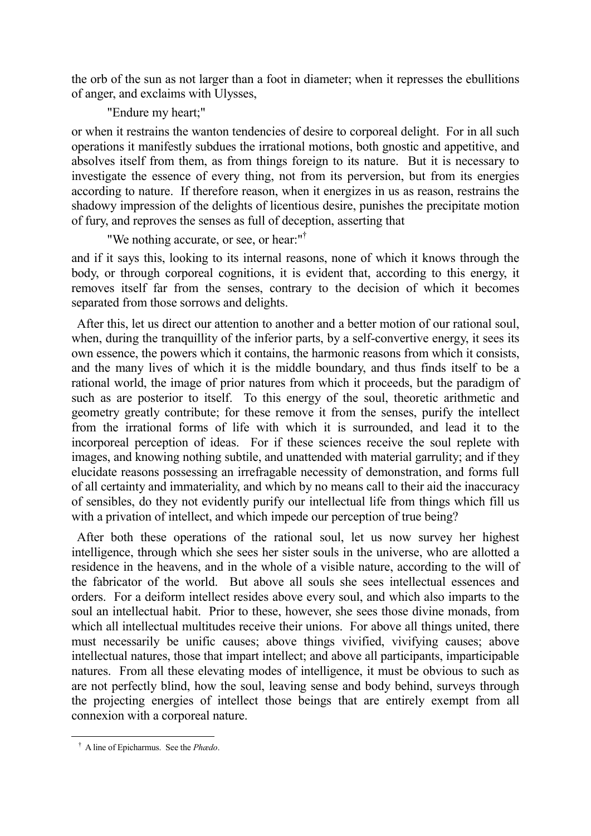the orb of the sun as not larger than a foot in diameter; when it represses the ebullitions of anger, and exclaims with Ulysses,

"Endure my heart;"

or when it restrains the wanton tendencies of desire to corporeal delight. For in all such operations it manifestly subdues the irrational motions, both gnostic and appetitive, and absolves itself from them, as from things foreign to its nature. But it is necessary to investigate the essence of every thing, not from its perversion, but from its energies according to nature. If therefore reason, when it energizes in us as reason, restrains the shadowy impression of the delights of licentious desire, punishes the precipitate motion of fury, and reproves the senses as full of deception, asserting that

"We nothing accurate, or see, or hear:"†

and if it says this, looking to its internal reasons, none of which it knows through the body, or through corporeal cognitions, it is evident that, according to this energy, it removes itself far from the senses, contrary to the decision of which it becomes separated from those sorrows and delights.

 After this, let us direct our attention to another and a better motion of our rational soul, when, during the tranquillity of the inferior parts, by a self-convertive energy, it sees its own essence, the powers which it contains, the harmonic reasons from which it consists, and the many lives of which it is the middle boundary, and thus finds itself to be a rational world, the image of prior natures from which it proceeds, but the paradigm of such as are posterior to itself. To this energy of the soul, theoretic arithmetic and geometry greatly contribute; for these remove it from the senses, purify the intellect from the irrational forms of life with which it is surrounded, and lead it to the incorporeal perception of ideas. For if these sciences receive the soul replete with images, and knowing nothing subtile, and unattended with material garrulity; and if they elucidate reasons possessing an irrefragable necessity of demonstration, and forms full of all certainty and immateriality, and which by no means call to their aid the inaccuracy of sensibles, do they not evidently purify our intellectual life from things which fill us with a privation of intellect, and which impede our perception of true being?

 After both these operations of the rational soul, let us now survey her highest intelligence, through which she sees her sister souls in the universe, who are allotted a residence in the heavens, and in the whole of a visible nature, according to the will of the fabricator of the world. But above all souls she sees intellectual essences and orders. For a deiform intellect resides above every soul, and which also imparts to the soul an intellectual habit. Prior to these, however, she sees those divine monads, from which all intellectual multitudes receive their unions. For above all things united, there must necessarily be unific causes; above things vivified, vivifying causes; above intellectual natures, those that impart intellect; and above all participants, imparticipable natures. From all these elevating modes of intelligence, it must be obvious to such as are not perfectly blind, how the soul, leaving sense and body behind, surveys through the projecting energies of intellect those beings that are entirely exempt from all connexion with a corporeal nature.

† A line of Epicharmus. See the *Phædo*.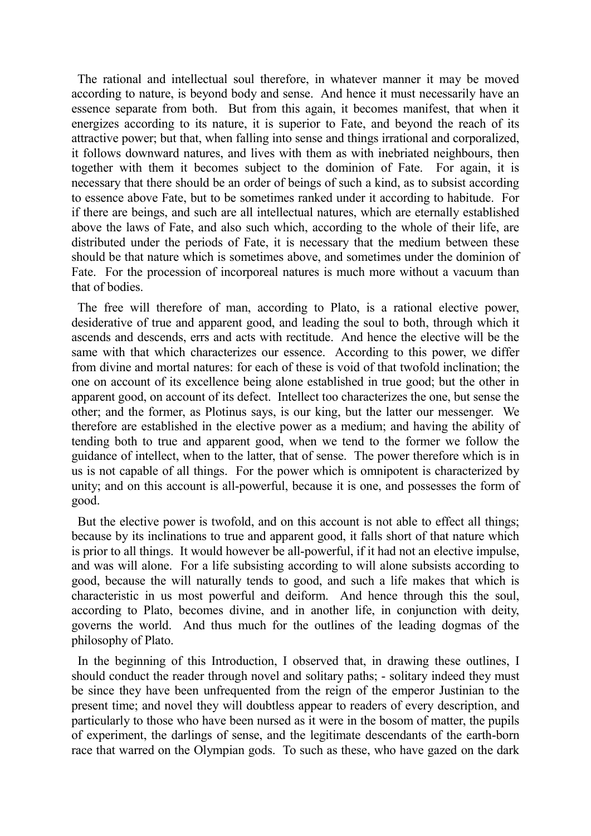The rational and intellectual soul therefore, in whatever manner it may be moved according to nature, is beyond body and sense. And hence it must necessarily have an essence separate from both. But from this again, it becomes manifest, that when it energizes according to its nature, it is superior to Fate, and beyond the reach of its attractive power; but that, when falling into sense and things irrational and corporalized, it follows downward natures, and lives with them as with inebriated neighbours, then together with them it becomes subject to the dominion of Fate. For again, it is necessary that there should be an order of beings of such a kind, as to subsist according to essence above Fate, but to be sometimes ranked under it according to habitude. For if there are beings, and such are all intellectual natures, which are eternally established above the laws of Fate, and also such which, according to the whole of their life, are distributed under the periods of Fate, it is necessary that the medium between these should be that nature which is sometimes above, and sometimes under the dominion of Fate. For the procession of incorporeal natures is much more without a vacuum than that of bodies.

 The free will therefore of man, according to Plato, is a rational elective power, desiderative of true and apparent good, and leading the soul to both, through which it ascends and descends, errs and acts with rectitude. And hence the elective will be the same with that which characterizes our essence. According to this power, we differ from divine and mortal natures: for each of these is void of that twofold inclination; the one on account of its excellence being alone established in true good; but the other in apparent good, on account of its defect. Intellect too characterizes the one, but sense the other; and the former, as Plotinus says, is our king, but the latter our messenger. We therefore are established in the elective power as a medium; and having the ability of tending both to true and apparent good, when we tend to the former we follow the guidance of intellect, when to the latter, that of sense. The power therefore which is in us is not capable of all things. For the power which is omnipotent is characterized by unity; and on this account is all-powerful, because it is one, and possesses the form of good.

 But the elective power is twofold, and on this account is not able to effect all things; because by its inclinations to true and apparent good, it falls short of that nature which is prior to all things. It would however be all-powerful, if it had not an elective impulse, and was will alone. For a life subsisting according to will alone subsists according to good, because the will naturally tends to good, and such a life makes that which is characteristic in us most powerful and deiform. And hence through this the soul, according to Plato, becomes divine, and in another life, in conjunction with deity, governs the world. And thus much for the outlines of the leading dogmas of the philosophy of Plato.

 In the beginning of this Introduction, I observed that, in drawing these outlines, I should conduct the reader through novel and solitary paths; - solitary indeed they must be since they have been unfrequented from the reign of the emperor Justinian to the present time; and novel they will doubtless appear to readers of every description, and particularly to those who have been nursed as it were in the bosom of matter, the pupils of experiment, the darlings of sense, and the legitimate descendants of the earth-born race that warred on the Olympian gods. To such as these, who have gazed on the dark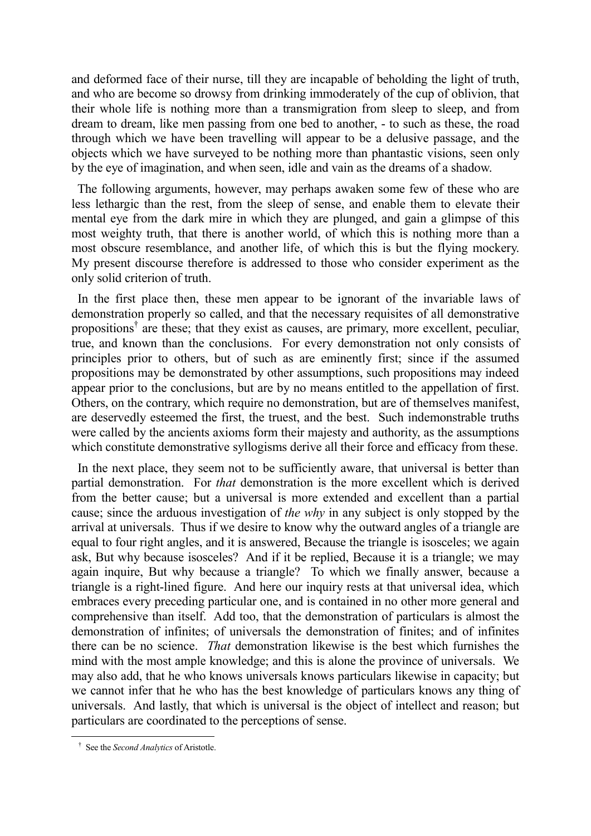and deformed face of their nurse, till they are incapable of beholding the light of truth, and who are become so drowsy from drinking immoderately of the cup of oblivion, that their whole life is nothing more than a transmigration from sleep to sleep, and from dream to dream, like men passing from one bed to another, - to such as these, the road through which we have been travelling will appear to be a delusive passage, and the objects which we have surveyed to be nothing more than phantastic visions, seen only by the eye of imagination, and when seen, idle and vain as the dreams of a shadow.

 The following arguments, however, may perhaps awaken some few of these who are less lethargic than the rest, from the sleep of sense, and enable them to elevate their mental eye from the dark mire in which they are plunged, and gain a glimpse of this most weighty truth, that there is another world, of which this is nothing more than a most obscure resemblance, and another life, of which this is but the flying mockery. My present discourse therefore is addressed to those who consider experiment as the only solid criterion of truth.

 In the first place then, these men appear to be ignorant of the invariable laws of demonstration properly so called, and that the necessary requisites of all demonstrative propositions<sup>†</sup> are these; that they exist as causes, are primary, more excellent, peculiar, true, and known than the conclusions. For every demonstration not only consists of principles prior to others, but of such as are eminently first; since if the assumed propositions may be demonstrated by other assumptions, such propositions may indeed appear prior to the conclusions, but are by no means entitled to the appellation of first. Others, on the contrary, which require no demonstration, but are of themselves manifest, are deservedly esteemed the first, the truest, and the best. Such indemonstrable truths were called by the ancients axioms form their majesty and authority, as the assumptions which constitute demonstrative syllogisms derive all their force and efficacy from these.

In the next place, they seem not to be sufficiently aware, that universal is better than partial demonstration. For *that* demonstration is the more excellent which is derived from the better cause; but a universal is more extended and excellent than a partial cause; since the arduous investigation of *the why* in any subject is only stopped by the arrival at universals. Thus if we desire to know why the outward angles of a triangle are equal to four right angles, and it is answered, Because the triangle is isosceles; we again ask, But why because isosceles? And if it be replied, Because it is a triangle; we may again inquire, But why because a triangle? To which we finally answer, because a triangle is a right-lined figure. And here our inquiry rests at that universal idea, which embraces every preceding particular one, and is contained in no other more general and comprehensive than itself. Add too, that the demonstration of particulars is almost the demonstration of infinites; of universals the demonstration of finites; and of infinites there can be no science. *That* demonstration likewise is the best which furnishes the mind with the most ample knowledge; and this is alone the province of universals. We may also add, that he who knows universals knows particulars likewise in capacity; but we cannot infer that he who has the best knowledge of particulars knows any thing of universals. And lastly, that which is universal is the object of intellect and reason; but particulars are coordinated to the perceptions of sense.

† See the *Second Analytics* of Aristotle.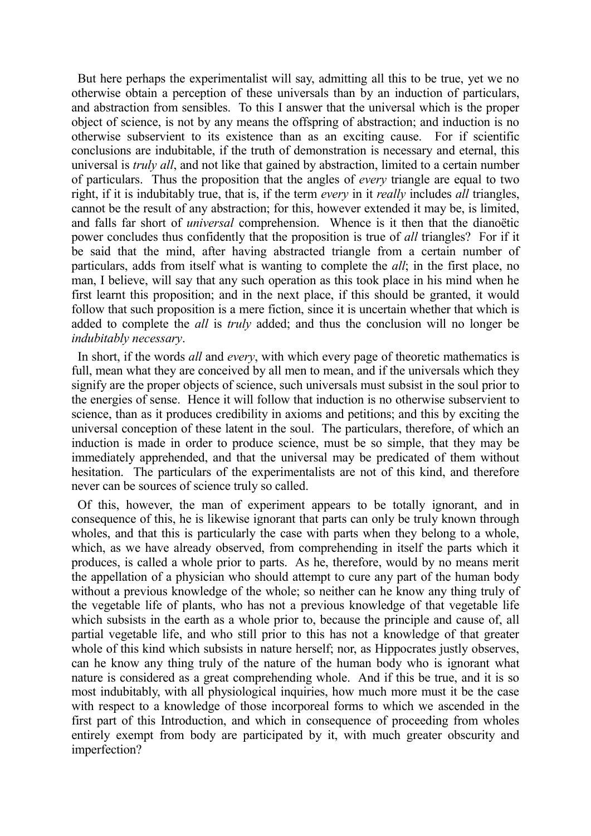But here perhaps the experimentalist will say, admitting all this to be true, yet we no otherwise obtain a perception of these universals than by an induction of particulars, and abstraction from sensibles. To this I answer that the universal which is the proper object of science, is not by any means the offspring of abstraction; and induction is no otherwise subservient to its existence than as an exciting cause. For if scientific conclusions are indubitable, if the truth of demonstration is necessary and eternal, this universal is *truly all*, and not like that gained by abstraction, limited to a certain number of particulars. Thus the proposition that the angles of *every* triangle are equal to two right, if it is indubitably true, that is, if the term *every* in it *really* includes *all* triangles, cannot be the result of any abstraction; for this, however extended it may be, is limited, and falls far short of *universal* comprehension. Whence is it then that the dianoëtic power concludes thus confidently that the proposition is true of *all* triangles? For if it be said that the mind, after having abstracted triangle from a certain number of particulars, adds from itself what is wanting to complete the *all*; in the first place, no man, I believe, will say that any such operation as this took place in his mind when he first learnt this proposition; and in the next place, if this should be granted, it would follow that such proposition is a mere fiction, since it is uncertain whether that which is added to complete the *all* is *truly* added; and thus the conclusion will no longer be *indubitably necessary*.

 In short, if the words *all* and *every*, with which every page of theoretic mathematics is full, mean what they are conceived by all men to mean, and if the universals which they signify are the proper objects of science, such universals must subsist in the soul prior to the energies of sense. Hence it will follow that induction is no otherwise subservient to science, than as it produces credibility in axioms and petitions; and this by exciting the universal conception of these latent in the soul. The particulars, therefore, of which an induction is made in order to produce science, must be so simple, that they may be immediately apprehended, and that the universal may be predicated of them without hesitation. The particulars of the experimentalists are not of this kind, and therefore never can be sources of science truly so called.

Of this, however, the man of experiment appears to be totally ignorant, and in consequence of this, he is likewise ignorant that parts can only be truly known through wholes, and that this is particularly the case with parts when they belong to a whole, which, as we have already observed, from comprehending in itself the parts which it produces, is called a whole prior to parts. As he, therefore, would by no means merit the appellation of a physician who should attempt to cure any part of the human body without a previous knowledge of the whole; so neither can he know any thing truly of the vegetable life of plants, who has not a previous knowledge of that vegetable life which subsists in the earth as a whole prior to, because the principle and cause of, all partial vegetable life, and who still prior to this has not a knowledge of that greater whole of this kind which subsists in nature herself; nor, as Hippocrates justly observes, can he know any thing truly of the nature of the human body who is ignorant what nature is considered as a great comprehending whole. And if this be true, and it is so most indubitably, with all physiological inquiries, how much more must it be the case with respect to a knowledge of those incorporeal forms to which we ascended in the first part of this Introduction, and which in consequence of proceeding from wholes entirely exempt from body are participated by it, with much greater obscurity and imperfection?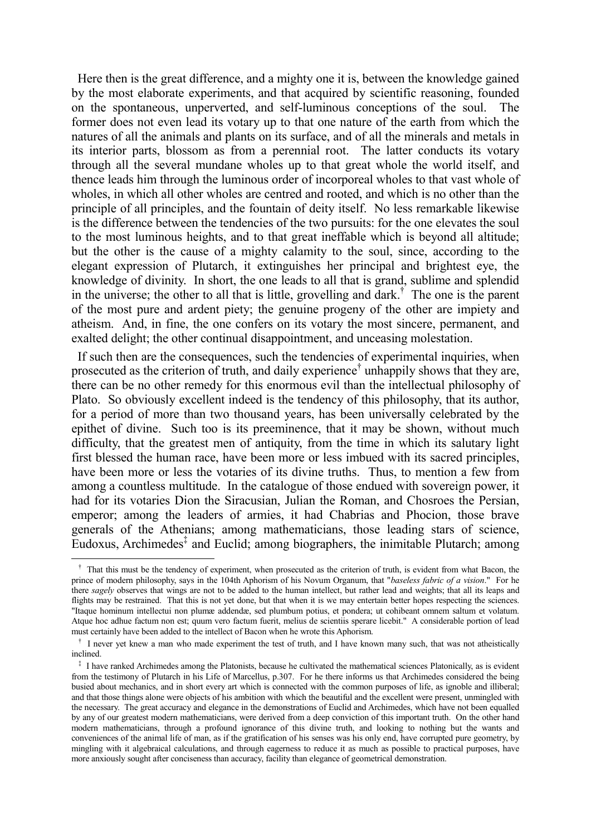Here then is the great difference, and a mighty one it is, between the knowledge gained by the most elaborate experiments, and that acquired by scientific reasoning, founded on the spontaneous, unperverted, and self-luminous conceptions of the soul. The former does not even lead its votary up to that one nature of the earth from which the natures of all the animals and plants on its surface, and of all the minerals and metals in its interior parts, blossom as from a perennial root. The latter conducts its votary through all the several mundane wholes up to that great whole the world itself, and thence leads him through the luminous order of incorporeal wholes to that vast whole of wholes, in which all other wholes are centred and rooted, and which is no other than the principle of all principles, and the fountain of deity itself. No less remarkable likewise is the difference between the tendencies of the two pursuits: for the one elevates the soul to the most luminous heights, and to that great ineffable which is beyond all altitude; but the other is the cause of a mighty calamity to the soul, since, according to the elegant expression of Plutarch, it extinguishes her principal and brightest eye, the knowledge of divinity. In short, the one leads to all that is grand, sublime and splendid in the universe; the other to all that is little, grovelling and dark.† The one is the parent of the most pure and ardent piety; the genuine progeny of the other are impiety and atheism. And, in fine, the one confers on its votary the most sincere, permanent, and exalted delight; the other continual disappointment, and unceasing molestation.

 If such then are the consequences, such the tendencies of experimental inquiries, when prosecuted as the criterion of truth, and daily experience<sup>†</sup> unhappily shows that they are, there can be no other remedy for this enormous evil than the intellectual philosophy of Plato. So obviously excellent indeed is the tendency of this philosophy, that its author, for a period of more than two thousand years, has been universally celebrated by the epithet of divine. Such too is its preeminence, that it may be shown, without much difficulty, that the greatest men of antiquity, from the time in which its salutary light first blessed the human race, have been more or less imbued with its sacred principles, have been more or less the votaries of its divine truths. Thus, to mention a few from among a countless multitude. In the catalogue of those endued with sovereign power, it had for its votaries Dion the Siracusian, Julian the Roman, and Chosroes the Persian, emperor; among the leaders of armies, it had Chabrias and Phocion, those brave generals of the Athenians; among mathematicians, those leading stars of science, Eudoxus, Archimedes‡ and Euclid; among biographers, the inimitable Plutarch; among

<sup>&</sup>lt;sup>†</sup> That this must be the tendency of experiment, when prosecuted as the criterion of truth, is evident from what Bacon, the prince of modern philosophy, says in the 104th Aphorism of his Novum Organum, that "*baseless fabric of a vision*." For he there *sagely* observes that wings are not to be added to the human intellect, but rather lead and weights; that all its leaps and flights may be restrained. That this is not yet done, but that when it is we may entertain better hopes respecting the sciences. "Itaque hominum intellectui non plumæ addendæ, sed plumbum potius, et pondera; ut cohibeant omnem saltum et volatum. Atque hoc adhue factum non est; quum vero factum fuerit, melius de scientiis sperare licebit." A considerable portion of lead must certainly have been added to the intellect of Bacon when he wrote this Aphorism.

† I never yet knew a man who made experiment the test of truth, and I have known many such, that was not atheistically inclined.

<sup>&</sup>lt;sup>‡</sup> I have ranked Archimedes among the Platonists, because he cultivated the mathematical sciences Platonically, as is evident from the testimony of Plutarch in his Life of Marcellus, p.307. For he there informs us that Archimedes considered the being busied about mechanics, and in short every art which is connected with the common purposes of life, as ignoble and illiberal; and that those things alone were objects of his ambition with which the beautiful and the excellent were present, unmingled with the necessary. The great accuracy and elegance in the demonstrations of Euclid and Archimedes, which have not been equalled by any of our greatest modern mathematicians, were derived from a deep conviction of this important truth. On the other hand modern mathematicians, through a profound ignorance of this divine truth, and looking to nothing but the wants and conveniences of the animal life of man, as if the gratification of his senses was his only end, have corrupted pure geometry, by mingling with it algebraical calculations, and through eagerness to reduce it as much as possible to practical purposes, have more anxiously sought after conciseness than accuracy, facility than elegance of geometrical demonstration.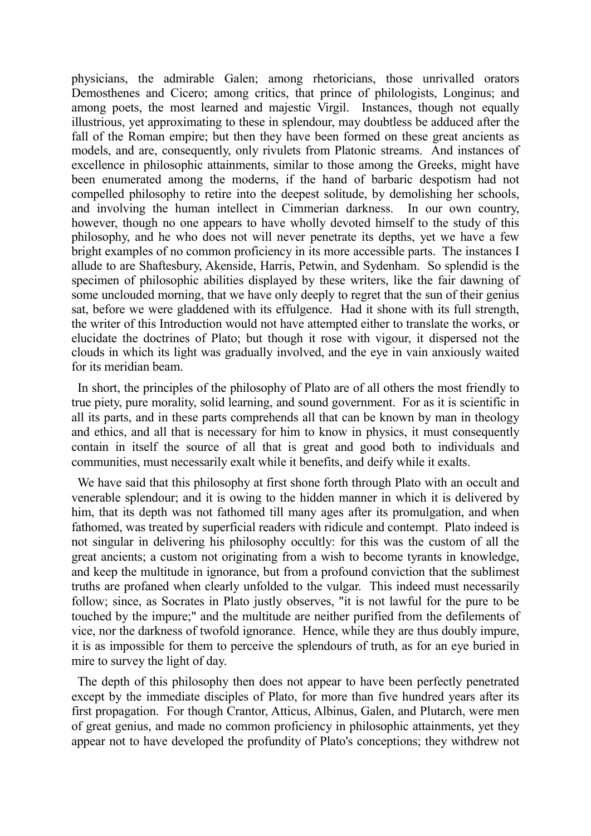physicians, the admirable Galen; among rhetoricians, those unrivalled orators Demosthenes and Cicero; among critics, that prince of philologists, Longinus; and among poets, the most learned and majestic Virgil. Instances, though not equally illustrious, yet approximating to these in splendour, may doubtless be adduced after the fall of the Roman empire; but then they have been formed on these great ancients as models, and are, consequently, only rivulets from Platonic streams. And instances of excellence in philosophic attainments, similar to those among the Greeks, might have been enumerated among the moderns, if the hand of barbaric despotism had not compelled philosophy to retire into the deepest solitude, by demolishing her schools, and involving the human intellect in Cimmerian darkness. In our own country, however, though no one appears to have wholly devoted himself to the study of this philosophy, and he who does not will never penetrate its depths, yet we have a few bright examples of no common proficiency in its more accessible parts. The instances I allude to are Shaftesbury, Akenside, Harris, Petwin, and Sydenham. So splendid is the specimen of philosophic abilities displayed by these writers, like the fair dawning of some unclouded morning, that we have only deeply to regret that the sun of their genius sat, before we were gladdened with its effulgence. Had it shone with its full strength, the writer of this Introduction would not have attempted either to translate the works, or elucidate the doctrines of Plato; but though it rose with vigour, it dispersed not the clouds in which its light was gradually involved, and the eye in vain anxiously waited for its meridian beam.

 In short, the principles of the philosophy of Plato are of all others the most friendly to true piety, pure morality, solid learning, and sound government. For as it is scientific in all its parts, and in these parts comprehends all that can be known by man in theology and ethics, and all that is necessary for him to know in physics, it must consequently contain in itself the source of all that is great and good both to individuals and communities, must necessarily exalt while it benefits, and deify while it exalts.

 We have said that this philosophy at first shone forth through Plato with an occult and venerable splendour; and it is owing to the hidden manner in which it is delivered by him, that its depth was not fathomed till many ages after its promulgation, and when fathomed, was treated by superficial readers with ridicule and contempt. Plato indeed is not singular in delivering his philosophy occultly: for this was the custom of all the great ancients; a custom not originating from a wish to become tyrants in knowledge, and keep the multitude in ignorance, but from a profound conviction that the sublimest truths are profaned when clearly unfolded to the vulgar. This indeed must necessarily follow; since, as Socrates in Plato justly observes, "it is not lawful for the pure to be touched by the impure;" and the multitude are neither purified from the defilements of vice, nor the darkness of twofold ignorance. Hence, while they are thus doubly impure, it is as impossible for them to perceive the splendours of truth, as for an eye buried in mire to survey the light of day.

 The depth of this philosophy then does not appear to have been perfectly penetrated except by the immediate disciples of Plato, for more than five hundred years after its first propagation. For though Crantor, Atticus, Albinus, Galen, and Plutarch, were men of great genius, and made no common proficiency in philosophic attainments, yet they appear not to have developed the profundity of Plato's conceptions; they withdrew not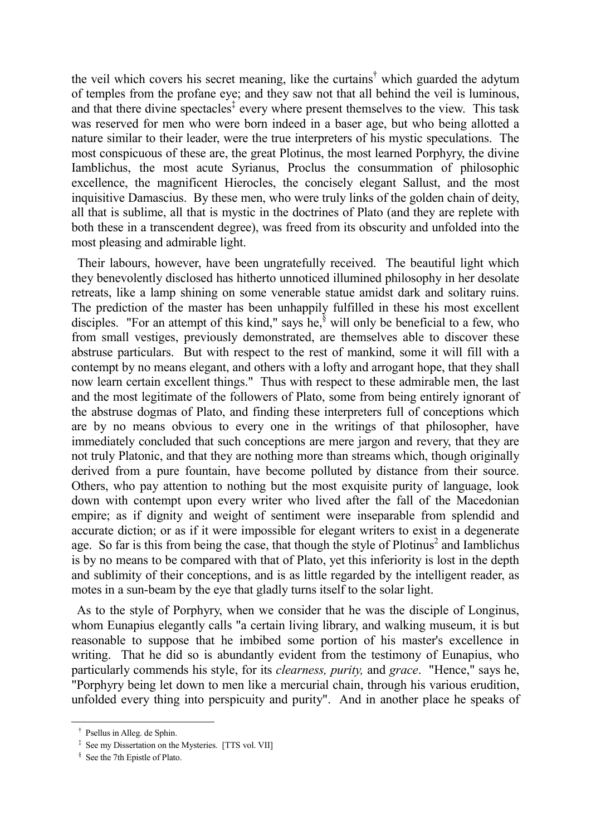the veil which covers his secret meaning, like the curtains† which guarded the adytum of temples from the profane eye; and they saw not that all behind the veil is luminous, and that there divine spectacles<sup>‡</sup> every where present themselves to the view. This task was reserved for men who were born indeed in a baser age, but who being allotted a nature similar to their leader, were the true interpreters of his mystic speculations. The most conspicuous of these are, the great Plotinus, the most learned Porphyry, the divine Iamblichus, the most acute Syrianus, Proclus the consummation of philosophic excellence, the magnificent Hierocles, the concisely elegant Sallust, and the most inquisitive Damascius. By these men, who were truly links of the golden chain of deity, all that is sublime, all that is mystic in the doctrines of Plato (and they are replete with both these in a transcendent degree), was freed from its obscurity and unfolded into the most pleasing and admirable light.

 Their labours, however, have been ungratefully received. The beautiful light which they benevolently disclosed has hitherto unnoticed illumined philosophy in her desolate retreats, like a lamp shining on some venerable statue amidst dark and solitary ruins. The prediction of the master has been unhappily fulfilled in these his most excellent disciples. "For an attempt of this kind," says he, $\frac{8}{3}$  will only be beneficial to a few, who from small vestiges, previously demonstrated, are themselves able to discover these abstruse particulars. But with respect to the rest of mankind, some it will fill with a contempt by no means elegant, and others with a lofty and arrogant hope, that they shall now learn certain excellent things." Thus with respect to these admirable men, the last and the most legitimate of the followers of Plato, some from being entirely ignorant of the abstruse dogmas of Plato, and finding these interpreters full of conceptions which are by no means obvious to every one in the writings of that philosopher, have immediately concluded that such conceptions are mere jargon and revery, that they are not truly Platonic, and that they are nothing more than streams which, though originally derived from a pure fountain, have become polluted by distance from their source. Others, who pay attention to nothing but the most exquisite purity of language, look down with contempt upon every writer who lived after the fall of the Macedonian empire; as if dignity and weight of sentiment were inseparable from splendid and accurate diction; or as if it were impossible for elegant writers to exist in a degenerate age. So far is this from being the case, that though the style of Plotinus<sup>2</sup> and Iamblichus is by no means to be compared with that of Plato, yet this inferiority is lost in the depth and sublimity of their conceptions, and is as little regarded by the intelligent reader, as motes in a sun-beam by the eye that gladly turns itself to the solar light.

 As to the style of Porphyry, when we consider that he was the disciple of Longinus, whom Eunapius elegantly calls "a certain living library, and walking museum, it is but reasonable to suppose that he imbibed some portion of his master's excellence in writing. That he did so is abundantly evident from the testimony of Eunapius, who particularly commends his style, for its *clearness, purity,* and *grace*. "Hence," says he, "Porphyry being let down to men like a mercurial chain, through his various erudition, unfolded every thing into perspicuity and purity". And in another place he speaks of

† Psellus in Alleg. de Sphin.

<sup>&</sup>lt;sup>‡</sup> See my Dissertation on the Mysteries. [TTS vol. VII]

 <sup>§</sup> See the 7th Epistle of Plato.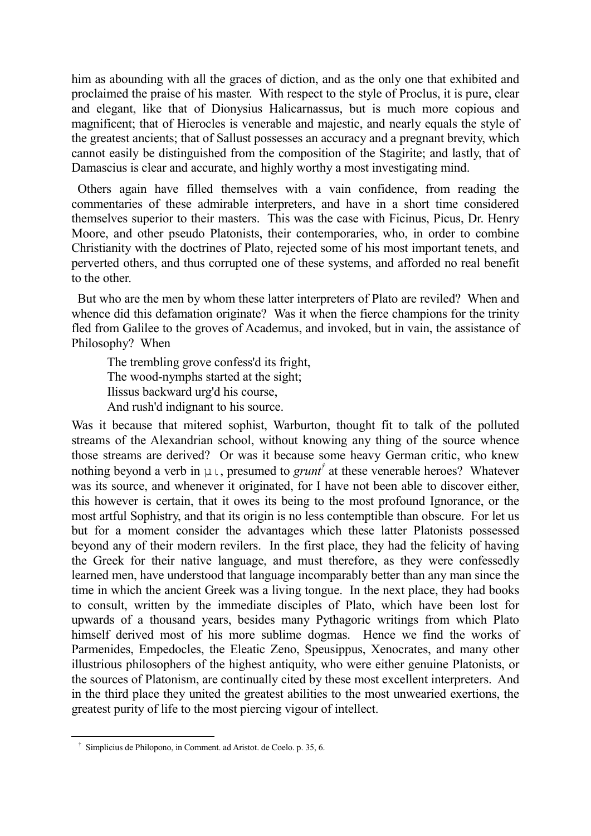him as abounding with all the graces of diction, and as the only one that exhibited and proclaimed the praise of his master. With respect to the style of Proclus, it is pure, clear and elegant, like that of Dionysius Halicarnassus, but is much more copious and magnificent; that of Hierocles is venerable and majestic, and nearly equals the style of the greatest ancients; that of Sallust possesses an accuracy and a pregnant brevity, which cannot easily be distinguished from the composition of the Stagirite; and lastly, that of Damascius is clear and accurate, and highly worthy a most investigating mind.

 Others again have filled themselves with a vain confidence, from reading the commentaries of these admirable interpreters, and have in a short time considered themselves superior to their masters. This was the case with Ficinus, Picus, Dr. Henry Moore, and other pseudo Platonists, their contemporaries, who, in order to combine Christianity with the doctrines of Plato, rejected some of his most important tenets, and perverted others, and thus corrupted one of these systems, and afforded no real benefit to the other.

 But who are the men by whom these latter interpreters of Plato are reviled? When and whence did this defamation originate? Was it when the fierce champions for the trinity fled from Galilee to the groves of Academus, and invoked, but in vain, the assistance of Philosophy? When

The trembling grove confess'd its fright, The wood-nymphs started at the sight; Ilissus backward urg'd his course, And rush'd indignant to his source.

Was it because that mitered sophist, Warburton, thought fit to talk of the polluted streams of the Alexandrian school, without knowing any thing of the source whence those streams are derived? Or was it because some heavy German critic, who knew nothing beyond a verb in  $\mu \iota$ , presumed to *grunt<sup>†</sup>* at these venerable heroes? Whatever was its source, and whenever it originated, for I have not been able to discover either, this however is certain, that it owes its being to the most profound Ignorance, or the most artful Sophistry, and that its origin is no less contemptible than obscure. For let us but for a moment consider the advantages which these latter Platonists possessed beyond any of their modern revilers. In the first place, they had the felicity of having the Greek for their native language, and must therefore, as they were confessedly learned men, have understood that language incomparably better than any man since the time in which the ancient Greek was a living tongue. In the next place, they had books to consult, written by the immediate disciples of Plato, which have been lost for upwards of a thousand years, besides many Pythagoric writings from which Plato himself derived most of his more sublime dogmas. Hence we find the works of Parmenides, Empedocles, the Eleatic Zeno, Speusippus, Xenocrates, and many other illustrious philosophers of the highest antiquity, who were either genuine Platonists, or the sources of Platonism, are continually cited by these most excellent interpreters. And in the third place they united the greatest abilities to the most unwearied exertions, the greatest purity of life to the most piercing vigour of intellect.

† Simplicius de Philopono, in Comment. ad Aristot. de Coelo. p. 35, 6.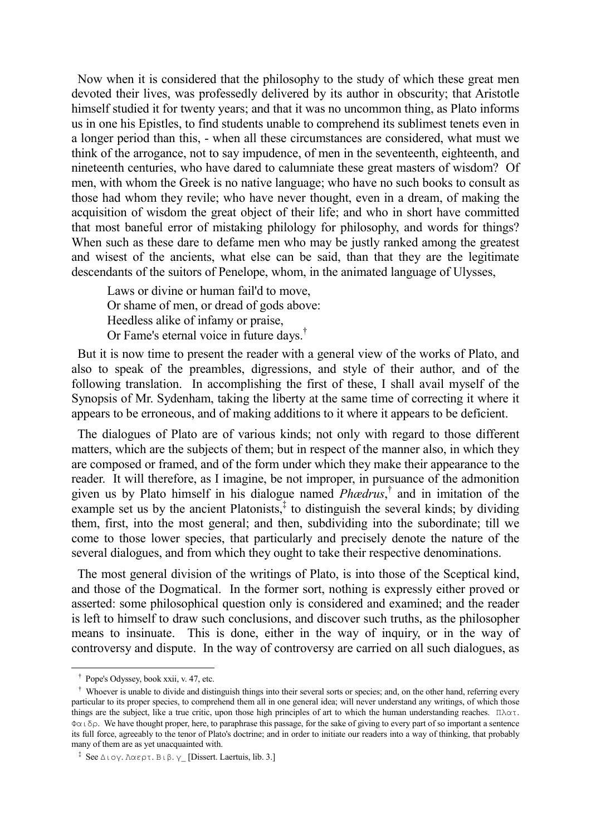Now when it is considered that the philosophy to the study of which these great men devoted their lives, was professedly delivered by its author in obscurity; that Aristotle himself studied it for twenty years; and that it was no uncommon thing, as Plato informs us in one his Epistles, to find students unable to comprehend its sublimest tenets even in a longer period than this, - when all these circumstances are considered, what must we think of the arrogance, not to say impudence, of men in the seventeenth, eighteenth, and nineteenth centuries, who have dared to calumniate these great masters of wisdom? Of men, with whom the Greek is no native language; who have no such books to consult as those had whom they revile; who have never thought, even in a dream, of making the acquisition of wisdom the great object of their life; and who in short have committed that most baneful error of mistaking philology for philosophy, and words for things? When such as these dare to defame men who may be justly ranked among the greatest and wisest of the ancients, what else can be said, than that they are the legitimate descendants of the suitors of Penelope, whom, in the animated language of Ulysses,

Laws or divine or human fail'd to move, Or shame of men, or dread of gods above: Heedless alike of infamy or praise, Or Fame's eternal voice in future days.†

 But it is now time to present the reader with a general view of the works of Plato, and also to speak of the preambles, digressions, and style of their author, and of the following translation. In accomplishing the first of these, I shall avail myself of the Synopsis of Mr. Sydenham, taking the liberty at the same time of correcting it where it appears to be erroneous, and of making additions to it where it appears to be deficient.

 The dialogues of Plato are of various kinds; not only with regard to those different matters, which are the subjects of them; but in respect of the manner also, in which they are composed or framed, and of the form under which they make their appearance to the reader. It will therefore, as I imagine, be not improper, in pursuance of the admonition given us by Plato himself in his dialogue named *Phædrus*, † and in imitation of the example set us by the ancient Platonists, $\frac{1}{x}$  to distinguish the several kinds; by dividing them, first, into the most general; and then, subdividing into the subordinate; till we come to those lower species, that particularly and precisely denote the nature of the several dialogues, and from which they ought to take their respective denominations.

 The most general division of the writings of Plato, is into those of the Sceptical kind, and those of the Dogmatical. In the former sort, nothing is expressly either proved or asserted: some philosophical question only is considered and examined; and the reader is left to himself to draw such conclusions, and discover such truths, as the philosopher means to insinuate. This is done, either in the way of inquiry, or in the way of controversy and dispute. In the way of controversy are carried on all such dialogues, as

† Pope's Odyssey, book xxii, v. 47, etc.

<sup>&</sup>lt;sup>†</sup> Whoever is unable to divide and distinguish things into their several sorts or species; and, on the other hand, referring every particular to its proper species, to comprehend them all in one general idea; will never understand any writings, of which those things are the subject, like a true critic, upon those high principles of art to which the human understanding reaches. Πλατ. Φαιδρ. We have thought proper, here, to paraphrase this passage, for the sake of giving to every part of so important a sentence its full force, agreeably to the tenor of Plato's doctrine; and in order to initiate our readers into a way of thinking, that probably many of them are as yet unacquainted with.

<sup>&</sup>lt;sup>‡</sup> See Διογ. Λαερτ. Βιβ. γ [Dissert. Laertuis, lib. 3.]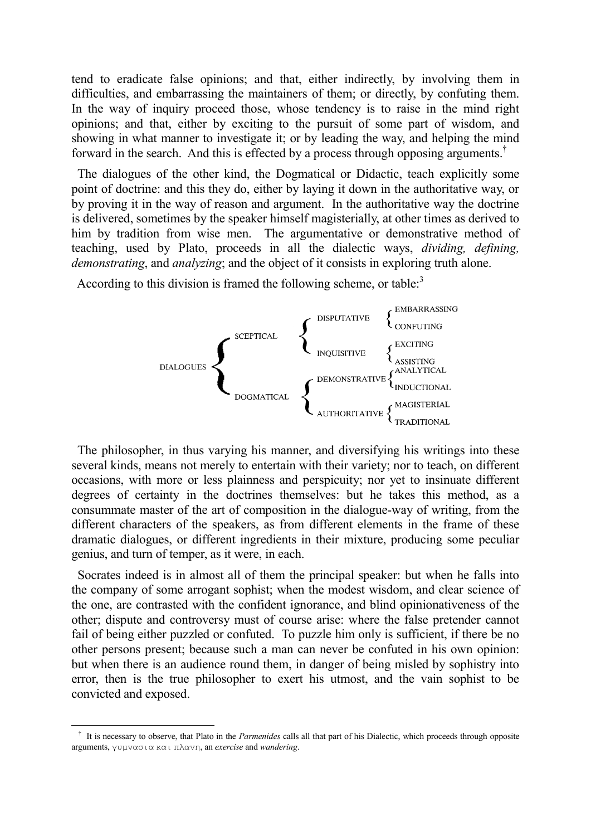tend to eradicate false opinions; and that, either indirectly, by involving them in difficulties, and embarrassing the maintainers of them; or directly, by confuting them. In the way of inquiry proceed those, whose tendency is to raise in the mind right opinions; and that, either by exciting to the pursuit of some part of wisdom, and showing in what manner to investigate it; or by leading the way, and helping the mind forward in the search. And this is effected by a process through opposing arguments.†

 The dialogues of the other kind, the Dogmatical or Didactic, teach explicitly some point of doctrine: and this they do, either by laying it down in the authoritative way, or by proving it in the way of reason and argument. In the authoritative way the doctrine is delivered, sometimes by the speaker himself magisterially, at other times as derived to him by tradition from wise men. The argumentative or demonstrative method of teaching, used by Plato, proceeds in all the dialectic ways, *dividing, defining, demonstrating*, and *analyzing*; and the object of it consists in exploring truth alone.

According to this division is framed the following scheme, or table: $3$ 



 The philosopher, in thus varying his manner, and diversifying his writings into these several kinds, means not merely to entertain with their variety; nor to teach, on different occasions, with more or less plainness and perspicuity; nor yet to insinuate different degrees of certainty in the doctrines themselves: but he takes this method, as a consummate master of the art of composition in the dialogue-way of writing, from the different characters of the speakers, as from different elements in the frame of these dramatic dialogues, or different ingredients in their mixture, producing some peculiar genius, and turn of temper, as it were, in each.

 Socrates indeed is in almost all of them the principal speaker: but when he falls into the company of some arrogant sophist; when the modest wisdom, and clear science of the one, are contrasted with the confident ignorance, and blind opinionativeness of the other; dispute and controversy must of course arise: where the false pretender cannot fail of being either puzzled or confuted. To puzzle him only is sufficient, if there be no other persons present; because such a man can never be confuted in his own opinion: but when there is an audience round them, in danger of being misled by sophistry into error, then is the true philosopher to exert his utmost, and the vain sophist to be convicted and exposed.

<sup>&</sup>lt;sup>†</sup> It is necessary to observe, that Plato in the *Parmenides* calls all that part of his Dialectic, which proceeds through opposite arguments, γυμvασια και πλαvη, an *exercise* and *wandering*.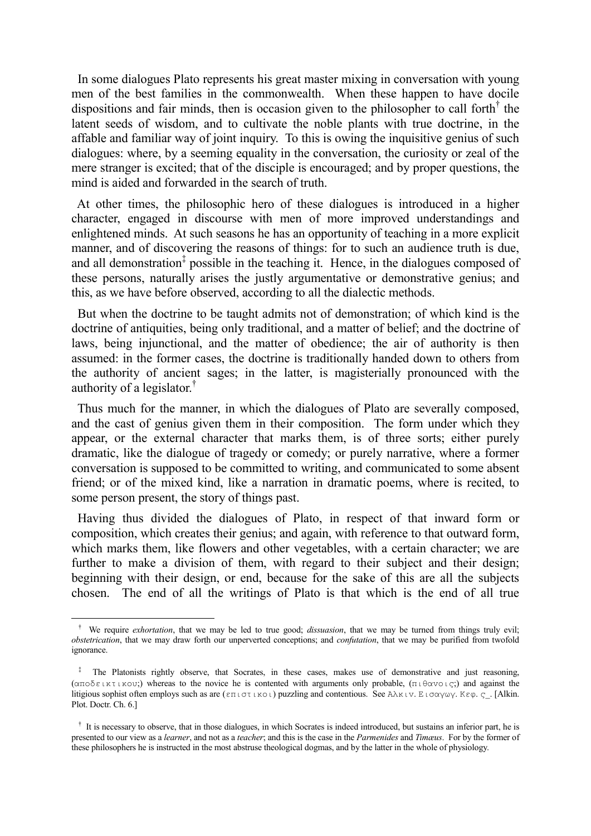In some dialogues Plato represents his great master mixing in conversation with young men of the best families in the commonwealth. When these happen to have docile dispositions and fair minds, then is occasion given to the philosopher to call forth<sup>†</sup> the latent seeds of wisdom, and to cultivate the noble plants with true doctrine, in the affable and familiar way of joint inquiry. To this is owing the inquisitive genius of such dialogues: where, by a seeming equality in the conversation, the curiosity or zeal of the mere stranger is excited; that of the disciple is encouraged; and by proper questions, the mind is aided and forwarded in the search of truth.

 At other times, the philosophic hero of these dialogues is introduced in a higher character, engaged in discourse with men of more improved understandings and enlightened minds. At such seasons he has an opportunity of teaching in a more explicit manner, and of discovering the reasons of things: for to such an audience truth is due, and all demonstration<sup>‡</sup> possible in the teaching it. Hence, in the dialogues composed of these persons, naturally arises the justly argumentative or demonstrative genius; and this, as we have before observed, according to all the dialectic methods.

 But when the doctrine to be taught admits not of demonstration; of which kind is the doctrine of antiquities, being only traditional, and a matter of belief; and the doctrine of laws, being injunctional, and the matter of obedience; the air of authority is then assumed: in the former cases, the doctrine is traditionally handed down to others from the authority of ancient sages; in the latter, is magisterially pronounced with the authority of a legislator.†

 Thus much for the manner, in which the dialogues of Plato are severally composed, and the cast of genius given them in their composition. The form under which they appear, or the external character that marks them, is of three sorts; either purely dramatic, like the dialogue of tragedy or comedy; or purely narrative, where a former conversation is supposed to be committed to writing, and communicated to some absent friend; or of the mixed kind, like a narration in dramatic poems, where is recited, to some person present, the story of things past.

 Having thus divided the dialogues of Plato, in respect of that inward form or composition, which creates their genius; and again, with reference to that outward form, which marks them, like flowers and other vegetables, with a certain character; we are further to make a division of them, with regard to their subject and their design; beginning with their design, or end, because for the sake of this are all the subjects chosen. The end of all the writings of Plato is that which is the end of all true

† We require *exhortation*, that we may be led to true good; *dissuasion*, that we may be turned from things truly evil; *obstetrication*, that we may draw forth our unperverted conceptions; and *confutation*, that we may be purified from twofold ignorance.

<sup>&</sup>lt;sup>‡</sup> The Platonists rightly observe, that Socrates, in these cases, makes use of demonstrative and just reasoning, (απoδεικτικoυ;) whereas to the novice he is contented with arguments only probable, (πιθαvoις;) and against the litigious sophist often employs such as are  $(\epsilon \pi \log \epsilon)$  puzzling and contentious. See Aλκιν. Εισαγωγ. Κεφ. ς\_. [Alkin. Plot. Doctr. Ch. 6.]

<sup>&</sup>lt;sup>†</sup> It is necessary to observe, that in those dialogues, in which Socrates is indeed introduced, but sustains an inferior part, he is presented to our view as a *learner*, and not as a *teacher*; and this is the case in the *Parmenides* and *Timæus*. For by the former of these philosophers he is instructed in the most abstruse theological dogmas, and by the latter in the whole of physiology.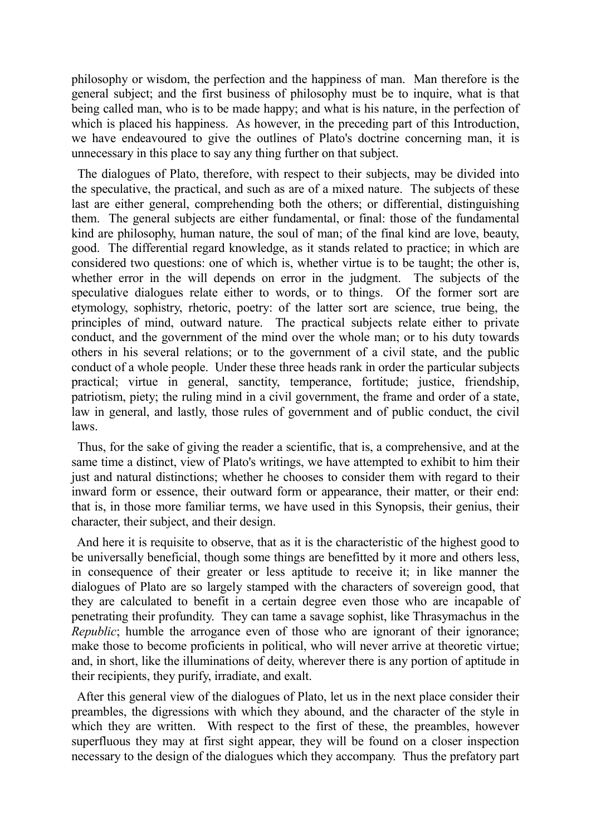philosophy or wisdom, the perfection and the happiness of man. Man therefore is the general subject; and the first business of philosophy must be to inquire, what is that being called man, who is to be made happy; and what is his nature, in the perfection of which is placed his happiness. As however, in the preceding part of this Introduction, we have endeavoured to give the outlines of Plato's doctrine concerning man, it is unnecessary in this place to say any thing further on that subject.

 The dialogues of Plato, therefore, with respect to their subjects, may be divided into the speculative, the practical, and such as are of a mixed nature. The subjects of these last are either general, comprehending both the others; or differential, distinguishing them. The general subjects are either fundamental, or final: those of the fundamental kind are philosophy, human nature, the soul of man; of the final kind are love, beauty, good. The differential regard knowledge, as it stands related to practice; in which are considered two questions: one of which is, whether virtue is to be taught; the other is, whether error in the will depends on error in the judgment. The subjects of the speculative dialogues relate either to words, or to things. Of the former sort are etymology, sophistry, rhetoric, poetry: of the latter sort are science, true being, the principles of mind, outward nature. The practical subjects relate either to private conduct, and the government of the mind over the whole man; or to his duty towards others in his several relations; or to the government of a civil state, and the public conduct of a whole people. Under these three heads rank in order the particular subjects practical; virtue in general, sanctity, temperance, fortitude; justice, friendship, patriotism, piety; the ruling mind in a civil government, the frame and order of a state, law in general, and lastly, those rules of government and of public conduct, the civil laws.

 Thus, for the sake of giving the reader a scientific, that is, a comprehensive, and at the same time a distinct, view of Plato's writings, we have attempted to exhibit to him their just and natural distinctions; whether he chooses to consider them with regard to their inward form or essence, their outward form or appearance, their matter, or their end: that is, in those more familiar terms, we have used in this Synopsis, their genius, their character, their subject, and their design.

 And here it is requisite to observe, that as it is the characteristic of the highest good to be universally beneficial, though some things are benefitted by it more and others less, in consequence of their greater or less aptitude to receive it; in like manner the dialogues of Plato are so largely stamped with the characters of sovereign good, that they are calculated to benefit in a certain degree even those who are incapable of penetrating their profundity. They can tame a savage sophist, like Thrasymachus in the *Republic*; humble the arrogance even of those who are ignorant of their ignorance; make those to become proficients in political, who will never arrive at theoretic virtue; and, in short, like the illuminations of deity, wherever there is any portion of aptitude in their recipients, they purify, irradiate, and exalt.

 After this general view of the dialogues of Plato, let us in the next place consider their preambles, the digressions with which they abound, and the character of the style in which they are written. With respect to the first of these, the preambles, however superfluous they may at first sight appear, they will be found on a closer inspection necessary to the design of the dialogues which they accompany. Thus the prefatory part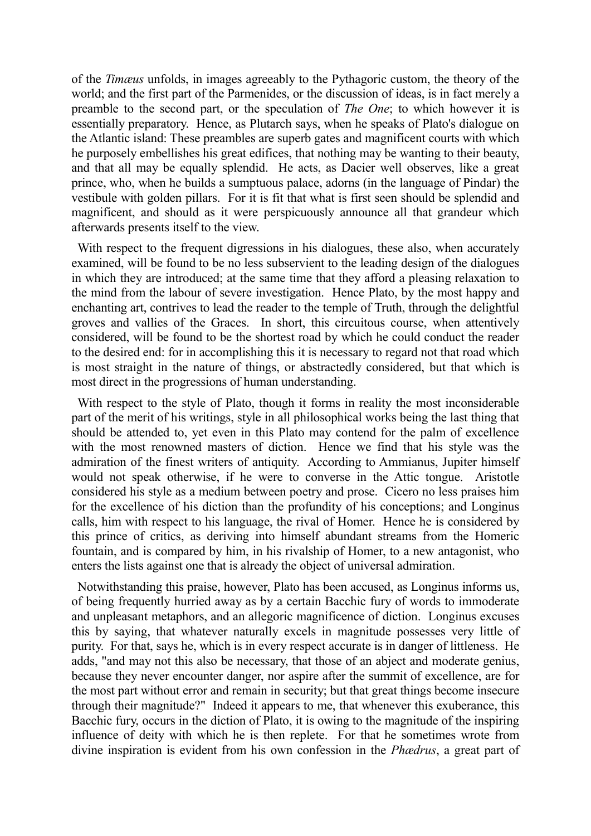of the *Timæus* unfolds, in images agreeably to the Pythagoric custom, the theory of the world; and the first part of the Parmenides, or the discussion of ideas, is in fact merely a preamble to the second part, or the speculation of *The One*; to which however it is essentially preparatory. Hence, as Plutarch says, when he speaks of Plato's dialogue on the Atlantic island: These preambles are superb gates and magnificent courts with which he purposely embellishes his great edifices, that nothing may be wanting to their beauty, and that all may be equally splendid. He acts, as Dacier well observes, like a great prince, who, when he builds a sumptuous palace, adorns (in the language of Pindar) the vestibule with golden pillars. For it is fit that what is first seen should be splendid and magnificent, and should as it were perspicuously announce all that grandeur which afterwards presents itself to the view.

With respect to the frequent digressions in his dialogues, these also, when accurately examined, will be found to be no less subservient to the leading design of the dialogues in which they are introduced; at the same time that they afford a pleasing relaxation to the mind from the labour of severe investigation. Hence Plato, by the most happy and enchanting art, contrives to lead the reader to the temple of Truth, through the delightful groves and vallies of the Graces. In short, this circuitous course, when attentively considered, will be found to be the shortest road by which he could conduct the reader to the desired end: for in accomplishing this it is necessary to regard not that road which is most straight in the nature of things, or abstractedly considered, but that which is most direct in the progressions of human understanding.

 With respect to the style of Plato, though it forms in reality the most inconsiderable part of the merit of his writings, style in all philosophical works being the last thing that should be attended to, yet even in this Plato may contend for the palm of excellence with the most renowned masters of diction. Hence we find that his style was the admiration of the finest writers of antiquity. According to Ammianus, Jupiter himself would not speak otherwise, if he were to converse in the Attic tongue. Aristotle considered his style as a medium between poetry and prose. Cicero no less praises him for the excellence of his diction than the profundity of his conceptions; and Longinus calls, him with respect to his language, the rival of Homer. Hence he is considered by this prince of critics, as deriving into himself abundant streams from the Homeric fountain, and is compared by him, in his rivalship of Homer, to a new antagonist, who enters the lists against one that is already the object of universal admiration.

 Notwithstanding this praise, however, Plato has been accused, as Longinus informs us, of being frequently hurried away as by a certain Bacchic fury of words to immoderate and unpleasant metaphors, and an allegoric magnificence of diction. Longinus excuses this by saying, that whatever naturally excels in magnitude possesses very little of purity. For that, says he, which is in every respect accurate is in danger of littleness. He adds, "and may not this also be necessary, that those of an abject and moderate genius, because they never encounter danger, nor aspire after the summit of excellence, are for the most part without error and remain in security; but that great things become insecure through their magnitude?" Indeed it appears to me, that whenever this exuberance, this Bacchic fury, occurs in the diction of Plato, it is owing to the magnitude of the inspiring influence of deity with which he is then replete. For that he sometimes wrote from divine inspiration is evident from his own confession in the *Phædrus*, a great part of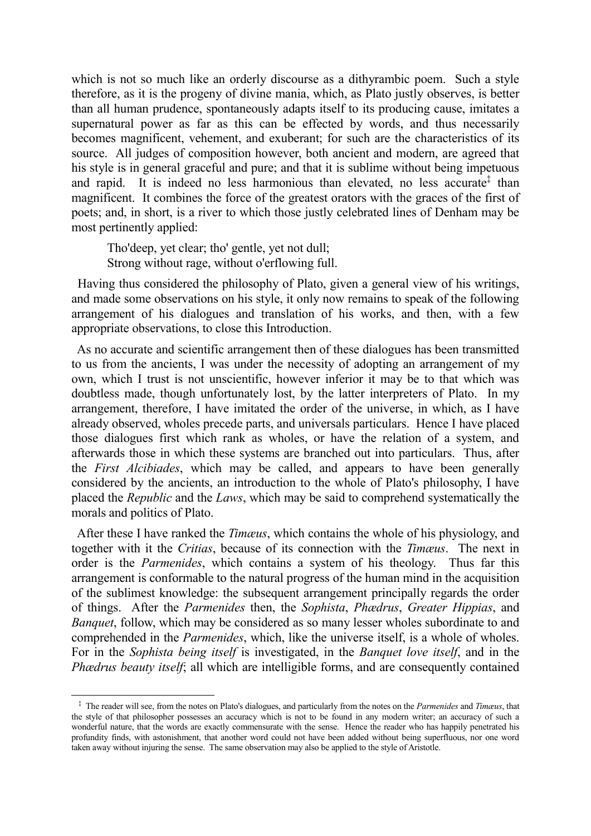which is not so much like an orderly discourse as a dithyrambic poem. Such a style therefore, as it is the progeny of divine mania, which, as Plato justly observes, is better than all human prudence, spontaneously adapts itself to its producing cause, imitates a supernatural power as far as this can be effected by words, and thus necessarily becomes magnificent, vehement, and exuberant; for such are the characteristics of its source. All judges of composition however, both ancient and modern, are agreed that his style is in general graceful and pure; and that it is sublime without being impetuous and rapid. It is indeed no less harmonious than elevated, no less accurate<sup>‡</sup> than magnificent. It combines the force of the greatest orators with the graces of the first of poets; and, in short, is a river to which those justly celebrated lines of Denham may be most pertinently applied:

Tho'deep, yet clear; tho' gentle, yet not dull; Strong without rage, without o'erflowing full.

 Having thus considered the philosophy of Plato, given a general view of his writings, and made some observations on his style, it only now remains to speak of the following arrangement of his dialogues and translation of his works, and then, with a few appropriate observations, to close this Introduction.

 As no accurate and scientific arrangement then of these dialogues has been transmitted to us from the ancients, I was under the necessity of adopting an arrangement of my own, which I trust is not unscientific, however inferior it may be to that which was doubtless made, though unfortunately lost, by the latter interpreters of Plato. In my arrangement, therefore, I have imitated the order of the universe, in which, as I have already observed, wholes precede parts, and universals particulars. Hence I have placed those dialogues first which rank as wholes, or have the relation of a system, and afterwards those in which these systems are branched out into particulars. Thus, after the *First Alcibiades*, which may be called, and appears to have been generally considered by the ancients, an introduction to the whole of Plato's philosophy, I have placed the *Republic* and the *Laws*, which may be said to comprehend systematically the morals and politics of Plato.

 After these I have ranked the *Timæus*, which contains the whole of his physiology, and together with it the *Critias*, because of its connection with the *Timæus*. The next in order is the *Parmenides*, which contains a system of his theology. Thus far this arrangement is conformable to the natural progress of the human mind in the acquisition of the sublimest knowledge: the subsequent arrangement principally regards the order of things. After the *Parmenides* then, the *Sophista*, *Phædrus*, *Greater Hippias*, and *Banquet*, follow, which may be considered as so many lesser wholes subordinate to and comprehended in the *Parmenides*, which, like the universe itself, is a whole of wholes. For in the *Sophista being itself* is investigated, in the *Banquet love itself*, and in the *Phædrus beauty itself*; all which are intelligible forms, and are consequently contained

‡ The reader will see, from the notes on Plato's dialogues, and particularly from the notes on the *Parmenides* and *Timæus*, that the style of that philosopher possesses an accuracy which is not to be found in any modern writer; an accuracy of such a wonderful nature, that the words are exactly commensurate with the sense. Hence the reader who has happily penetrated his profundity finds, with astonishment, that another word could not have been added without being superfluous, nor one word taken away without injuring the sense. The same observation may also be applied to the style of Aristotle.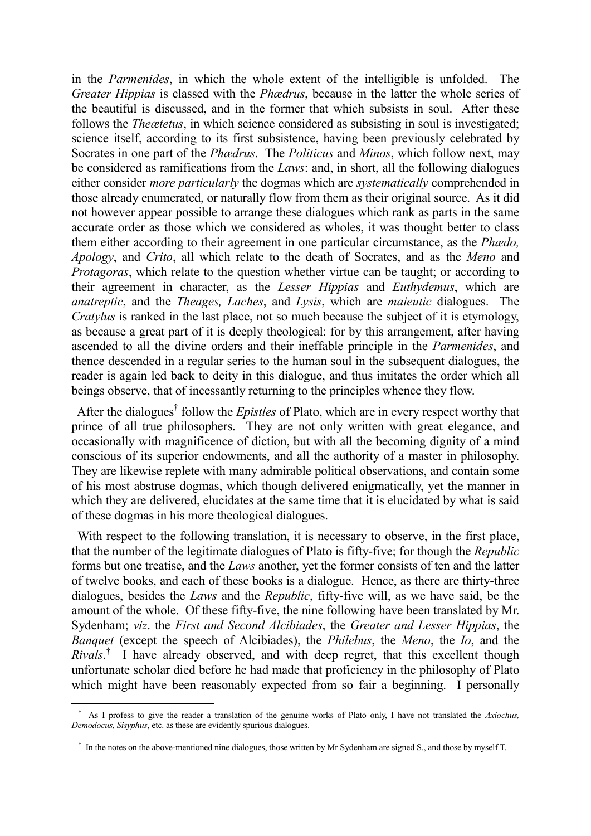in the *Parmenides*, in which the whole extent of the intelligible is unfolded. The *Greater Hippias* is classed with the *Phædrus*, because in the latter the whole series of the beautiful is discussed, and in the former that which subsists in soul. After these follows the *Theœtetus*, in which science considered as subsisting in soul is investigated; science itself, according to its first subsistence, having been previously celebrated by Socrates in one part of the *Phædrus*. The *Politicus* and *Minos*, which follow next, may be considered as ramifications from the *Laws*: and, in short, all the following dialogues either consider *more particularly* the dogmas which are *systematically* comprehended in those already enumerated, or naturally flow from them as their original source. As it did not however appear possible to arrange these dialogues which rank as parts in the same accurate order as those which we considered as wholes, it was thought better to class them either according to their agreement in one particular circumstance, as the *Phædo, Apology*, and *Crito*, all which relate to the death of Socrates, and as the *Meno* and *Protagoras*, which relate to the question whether virtue can be taught; or according to their agreement in character, as the *Lesser Hippias* and *Euthydemus*, which are *anatreptic*, and the *Theages, Laches*, and *Lysis*, which are *maieutic* dialogues. The *Cratylus* is ranked in the last place, not so much because the subject of it is etymology, as because a great part of it is deeply theological: for by this arrangement, after having ascended to all the divine orders and their ineffable principle in the *Parmenides*, and thence descended in a regular series to the human soul in the subsequent dialogues, the reader is again led back to deity in this dialogue, and thus imitates the order which all beings observe, that of incessantly returning to the principles whence they flow.

 After the dialogues† follow the *Epistles* of Plato, which are in every respect worthy that prince of all true philosophers. They are not only written with great elegance, and occasionally with magnificence of diction, but with all the becoming dignity of a mind conscious of its superior endowments, and all the authority of a master in philosophy. They are likewise replete with many admirable political observations, and contain some of his most abstruse dogmas, which though delivered enigmatically, yet the manner in which they are delivered, elucidates at the same time that it is elucidated by what is said of these dogmas in his more theological dialogues.

 With respect to the following translation, it is necessary to observe, in the first place, that the number of the legitimate dialogues of Plato is fifty-five; for though the *Republic* forms but one treatise, and the *Laws* another, yet the former consists of ten and the latter of twelve books, and each of these books is a dialogue. Hence, as there are thirty-three dialogues, besides the *Laws* and the *Republic*, fifty-five will, as we have said, be the amount of the whole. Of these fifty-five, the nine following have been translated by Mr. Sydenham; *viz*. the *First and Second Alcibiades*, the *Greater and Lesser Hippias*, the *Banquet* (except the speech of Alcibiades), the *Philebus*, the *Meno*, the *Io*, and the *Rivals*.<sup>†</sup> I have already observed, and with deep regret, that this excellent though unfortunate scholar died before he had made that proficiency in the philosophy of Plato which might have been reasonably expected from so fair a beginning. I personally

† As I profess to give the reader a translation of the genuine works of Plato only, I have not translated the *Axiochus, Demodocus, Sisyphus*, etc. as these are evidently spurious dialogues.

† In the notes on the above-mentioned nine dialogues, those written by Mr Sydenham are signed S., and those by myself T.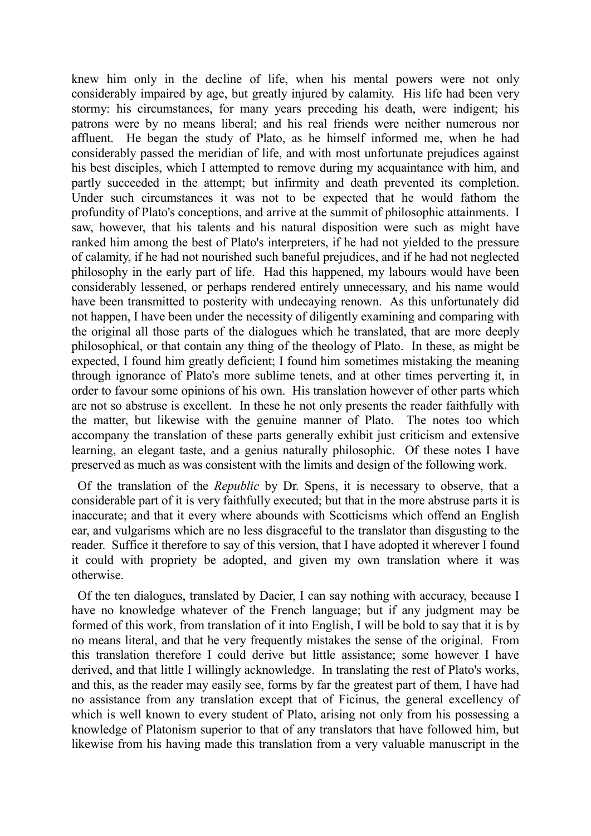knew him only in the decline of life, when his mental powers were not only considerably impaired by age, but greatly injured by calamity. His life had been very stormy: his circumstances, for many years preceding his death, were indigent; his patrons were by no means liberal; and his real friends were neither numerous nor affluent. He began the study of Plato, as he himself informed me, when he had considerably passed the meridian of life, and with most unfortunate prejudices against his best disciples, which I attempted to remove during my acquaintance with him, and partly succeeded in the attempt; but infirmity and death prevented its completion. Under such circumstances it was not to be expected that he would fathom the profundity of Plato's conceptions, and arrive at the summit of philosophic attainments. I saw, however, that his talents and his natural disposition were such as might have ranked him among the best of Plato's interpreters, if he had not yielded to the pressure of calamity, if he had not nourished such baneful prejudices, and if he had not neglected philosophy in the early part of life. Had this happened, my labours would have been considerably lessened, or perhaps rendered entirely unnecessary, and his name would have been transmitted to posterity with undecaying renown. As this unfortunately did not happen, I have been under the necessity of diligently examining and comparing with the original all those parts of the dialogues which he translated, that are more deeply philosophical, or that contain any thing of the theology of Plato. In these, as might be expected, I found him greatly deficient; I found him sometimes mistaking the meaning through ignorance of Plato's more sublime tenets, and at other times perverting it, in order to favour some opinions of his own. His translation however of other parts which are not so abstruse is excellent. In these he not only presents the reader faithfully with the matter, but likewise with the genuine manner of Plato. The notes too which accompany the translation of these parts generally exhibit just criticism and extensive learning, an elegant taste, and a genius naturally philosophic. Of these notes I have preserved as much as was consistent with the limits and design of the following work.

 Of the translation of the *Republic* by Dr. Spens, it is necessary to observe, that a considerable part of it is very faithfully executed; but that in the more abstruse parts it is inaccurate; and that it every where abounds with Scotticisms which offend an English ear, and vulgarisms which are no less disgraceful to the translator than disgusting to the reader. Suffice it therefore to say of this version, that I have adopted it wherever I found it could with propriety be adopted, and given my own translation where it was otherwise.

 Of the ten dialogues, translated by Dacier, I can say nothing with accuracy, because I have no knowledge whatever of the French language; but if any judgment may be formed of this work, from translation of it into English, I will be bold to say that it is by no means literal, and that he very frequently mistakes the sense of the original. From this translation therefore I could derive but little assistance; some however I have derived, and that little I willingly acknowledge. In translating the rest of Plato's works, and this, as the reader may easily see, forms by far the greatest part of them, I have had no assistance from any translation except that of Ficinus, the general excellency of which is well known to every student of Plato, arising not only from his possessing a knowledge of Platonism superior to that of any translators that have followed him, but likewise from his having made this translation from a very valuable manuscript in the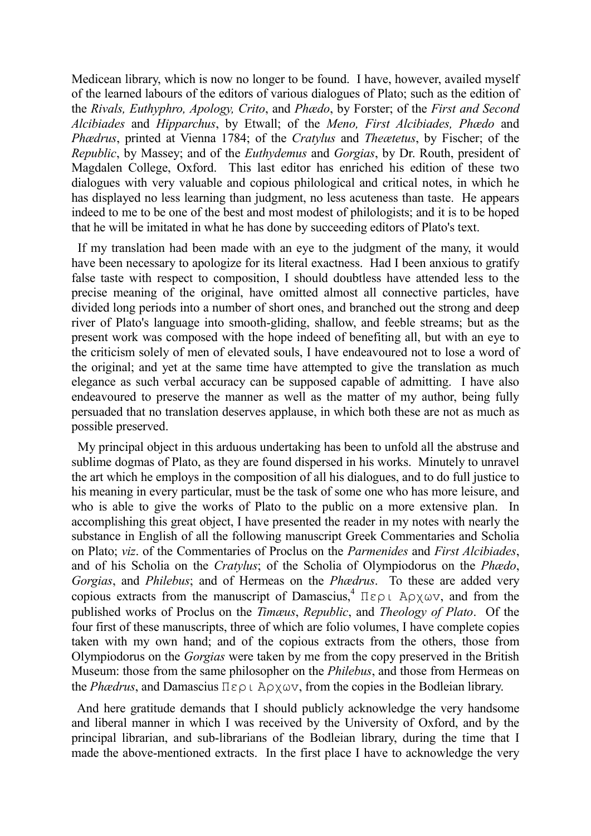Medicean library, which is now no longer to be found. I have, however, availed myself of the learned labours of the editors of various dialogues of Plato; such as the edition of the *Rivals, Euthyphro, Apology, Crito*, and *Phædo*, by Forster; of the *First and Second Alcibiades* and *Hipparchus*, by Etwall; of the *Meno, First Alcibiades, Phædo* and *Phædrus*, printed at Vienna 1784; of the *Cratylus* and *Theætetus*, by Fischer; of the *Republic*, by Massey; and of the *Euthydemus* and *Gorgias*, by Dr. Routh, president of Magdalen College, Oxford. This last editor has enriched his edition of these two dialogues with very valuable and copious philological and critical notes, in which he has displayed no less learning than judgment, no less acuteness than taste. He appears indeed to me to be one of the best and most modest of philologists; and it is to be hoped that he will be imitated in what he has done by succeeding editors of Plato's text.

 If my translation had been made with an eye to the judgment of the many, it would have been necessary to apologize for its literal exactness. Had I been anxious to gratify false taste with respect to composition, I should doubtless have attended less to the precise meaning of the original, have omitted almost all connective particles, have divided long periods into a number of short ones, and branched out the strong and deep river of Plato's language into smooth-gliding, shallow, and feeble streams; but as the present work was composed with the hope indeed of benefiting all, but with an eye to the criticism solely of men of elevated souls, I have endeavoured not to lose a word of the original; and yet at the same time have attempted to give the translation as much elegance as such verbal accuracy can be supposed capable of admitting. I have also endeavoured to preserve the manner as well as the matter of my author, being fully persuaded that no translation deserves applause, in which both these are not as much as possible preserved.

 My principal object in this arduous undertaking has been to unfold all the abstruse and sublime dogmas of Plato, as they are found dispersed in his works. Minutely to unravel the art which he employs in the composition of all his dialogues, and to do full justice to his meaning in every particular, must be the task of some one who has more leisure, and who is able to give the works of Plato to the public on a more extensive plan. In accomplishing this great object, I have presented the reader in my notes with nearly the substance in English of all the following manuscript Greek Commentaries and Scholia on Plato; *viz*. of the Commentaries of Proclus on the *Parmenides* and *First Alcibiades*, and of his Scholia on the *Cratylus*; of the Scholia of Olympiodorus on the *Phædo*, *Gorgias*, and *Philebus*; and of Hermeas on the *Phædrus*. To these are added very copious extracts from the manuscript of Damascius,<sup>4</sup> Περι Αρχων, and from the published works of Proclus on the *Timæus*, *Republic*, and *Theology of Plato*. Of the four first of these manuscripts, three of which are folio volumes, I have complete copies taken with my own hand; and of the copious extracts from the others, those from Olympiodorus on the *Gorgias* were taken by me from the copy preserved in the British Museum: those from the same philosopher on the *Philebus*, and those from Hermeas on the *Phædrus*, and Damascius Περι Αρχωv, from the copies in the Bodleian library.

 And here gratitude demands that I should publicly acknowledge the very handsome and liberal manner in which I was received by the University of Oxford, and by the principal librarian, and sub-librarians of the Bodleian library, during the time that I made the above-mentioned extracts. In the first place I have to acknowledge the very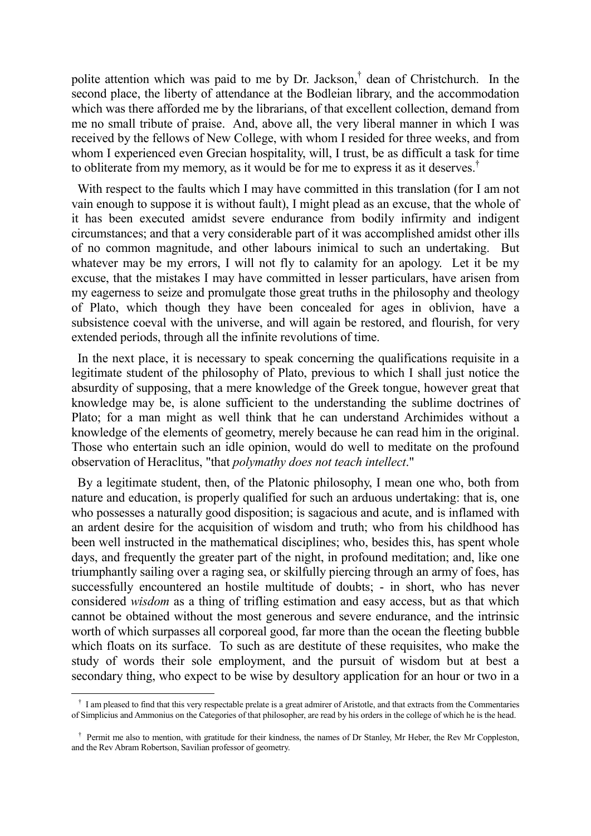polite attention which was paid to me by Dr. Jackson,<sup>†</sup> dean of Christchurch. In the second place, the liberty of attendance at the Bodleian library, and the accommodation which was there afforded me by the librarians, of that excellent collection, demand from me no small tribute of praise. And, above all, the very liberal manner in which I was received by the fellows of New College, with whom I resided for three weeks, and from whom I experienced even Grecian hospitality, will, I trust, be as difficult a task for time to obliterate from my memory, as it would be for me to express it as it deserves.<sup>†</sup>

With respect to the faults which I may have committed in this translation (for I am not vain enough to suppose it is without fault), I might plead as an excuse, that the whole of it has been executed amidst severe endurance from bodily infirmity and indigent circumstances; and that a very considerable part of it was accomplished amidst other ills of no common magnitude, and other labours inimical to such an undertaking. But whatever may be my errors, I will not fly to calamity for an apology. Let it be my excuse, that the mistakes I may have committed in lesser particulars, have arisen from my eagerness to seize and promulgate those great truths in the philosophy and theology of Plato, which though they have been concealed for ages in oblivion, have a subsistence coeval with the universe, and will again be restored, and flourish, for very extended periods, through all the infinite revolutions of time.

 In the next place, it is necessary to speak concerning the qualifications requisite in a legitimate student of the philosophy of Plato, previous to which I shall just notice the absurdity of supposing, that a mere knowledge of the Greek tongue, however great that knowledge may be, is alone sufficient to the understanding the sublime doctrines of Plato; for a man might as well think that he can understand Archimides without a knowledge of the elements of geometry, merely because he can read him in the original. Those who entertain such an idle opinion, would do well to meditate on the profound observation of Heraclitus, "that *polymathy does not teach intellect*."

 By a legitimate student, then, of the Platonic philosophy, I mean one who, both from nature and education, is properly qualified for such an arduous undertaking: that is, one who possesses a naturally good disposition; is sagacious and acute, and is inflamed with an ardent desire for the acquisition of wisdom and truth; who from his childhood has been well instructed in the mathematical disciplines; who, besides this, has spent whole days, and frequently the greater part of the night, in profound meditation; and, like one triumphantly sailing over a raging sea, or skilfully piercing through an army of foes, has successfully encountered an hostile multitude of doubts; - in short, who has never considered *wisdom* as a thing of trifling estimation and easy access, but as that which cannot be obtained without the most generous and severe endurance, and the intrinsic worth of which surpasses all corporeal good, far more than the ocean the fleeting bubble which floats on its surface. To such as are destitute of these requisites, who make the study of words their sole employment, and the pursuit of wisdom but at best a secondary thing, who expect to be wise by desultory application for an hour or two in a

<u>.</u>

† I am pleased to find that this very respectable prelate is a great admirer of Aristotle, and that extracts from the Commentaries of Simplicius and Ammonius on the Categories of that philosopher, are read by his orders in the college of which he is the head.

<sup>&</sup>lt;sup>†</sup> Permit me also to mention, with gratitude for their kindness, the names of Dr Stanley, Mr Heber, the Rev Mr Coppleston, and the Rev Abram Robertson, Savilian professor of geometry.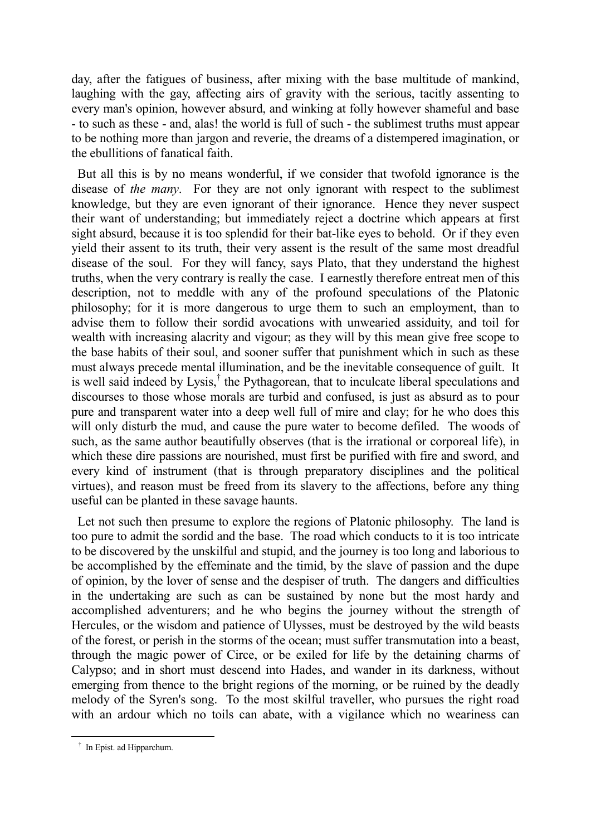day, after the fatigues of business, after mixing with the base multitude of mankind, laughing with the gay, affecting airs of gravity with the serious, tacitly assenting to every man's opinion, however absurd, and winking at folly however shameful and base - to such as these - and, alas! the world is full of such - the sublimest truths must appear to be nothing more than jargon and reverie, the dreams of a distempered imagination, or the ebullitions of fanatical faith.

 But all this is by no means wonderful, if we consider that twofold ignorance is the disease of *the many*. For they are not only ignorant with respect to the sublimest knowledge, but they are even ignorant of their ignorance. Hence they never suspect their want of understanding; but immediately reject a doctrine which appears at first sight absurd, because it is too splendid for their bat-like eyes to behold. Or if they even yield their assent to its truth, their very assent is the result of the same most dreadful disease of the soul. For they will fancy, says Plato, that they understand the highest truths, when the very contrary is really the case. I earnestly therefore entreat men of this description, not to meddle with any of the profound speculations of the Platonic philosophy; for it is more dangerous to urge them to such an employment, than to advise them to follow their sordid avocations with unwearied assiduity, and toil for wealth with increasing alacrity and vigour; as they will by this mean give free scope to the base habits of their soul, and sooner suffer that punishment which in such as these must always precede mental illumination, and be the inevitable consequence of guilt. It is well said indeed by Lysis,<sup>†</sup> the Pythagorean, that to inculcate liberal speculations and discourses to those whose morals are turbid and confused, is just as absurd as to pour pure and transparent water into a deep well full of mire and clay; for he who does this will only disturb the mud, and cause the pure water to become defiled. The woods of such, as the same author beautifully observes (that is the irrational or corporeal life), in which these dire passions are nourished, must first be purified with fire and sword, and every kind of instrument (that is through preparatory disciplines and the political virtues), and reason must be freed from its slavery to the affections, before any thing useful can be planted in these savage haunts.

 Let not such then presume to explore the regions of Platonic philosophy. The land is too pure to admit the sordid and the base. The road which conducts to it is too intricate to be discovered by the unskilful and stupid, and the journey is too long and laborious to be accomplished by the effeminate and the timid, by the slave of passion and the dupe of opinion, by the lover of sense and the despiser of truth. The dangers and difficulties in the undertaking are such as can be sustained by none but the most hardy and accomplished adventurers; and he who begins the journey without the strength of Hercules, or the wisdom and patience of Ulysses, must be destroyed by the wild beasts of the forest, or perish in the storms of the ocean; must suffer transmutation into a beast, through the magic power of Circe, or be exiled for life by the detaining charms of Calypso; and in short must descend into Hades, and wander in its darkness, without emerging from thence to the bright regions of the morning, or be ruined by the deadly melody of the Syren's song. To the most skilful traveller, who pursues the right road with an ardour which no toils can abate, with a vigilance which no weariness can

† In Epist. ad Hipparchum.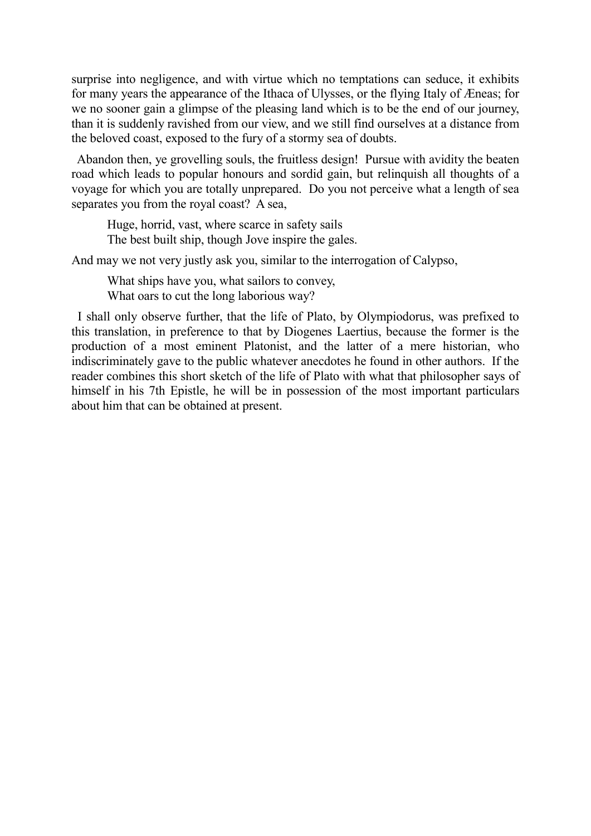surprise into negligence, and with virtue which no temptations can seduce, it exhibits for many years the appearance of the Ithaca of Ulysses, or the flying Italy of Æneas; for we no sooner gain a glimpse of the pleasing land which is to be the end of our journey, than it is suddenly ravished from our view, and we still find ourselves at a distance from the beloved coast, exposed to the fury of a stormy sea of doubts.

 Abandon then, ye grovelling souls, the fruitless design! Pursue with avidity the beaten road which leads to popular honours and sordid gain, but relinquish all thoughts of a voyage for which you are totally unprepared. Do you not perceive what a length of sea separates you from the royal coast? A sea,

Huge, horrid, vast, where scarce in safety sails The best built ship, though Jove inspire the gales.

And may we not very justly ask you, similar to the interrogation of Calypso,

What ships have you, what sailors to convey, What oars to cut the long laborious way?

 I shall only observe further, that the life of Plato, by Olympiodorus, was prefixed to this translation, in preference to that by Diogenes Laertius, because the former is the production of a most eminent Platonist, and the latter of a mere historian, who indiscriminately gave to the public whatever anecdotes he found in other authors. If the reader combines this short sketch of the life of Plato with what that philosopher says of himself in his 7th Epistle, he will be in possession of the most important particulars about him that can be obtained at present.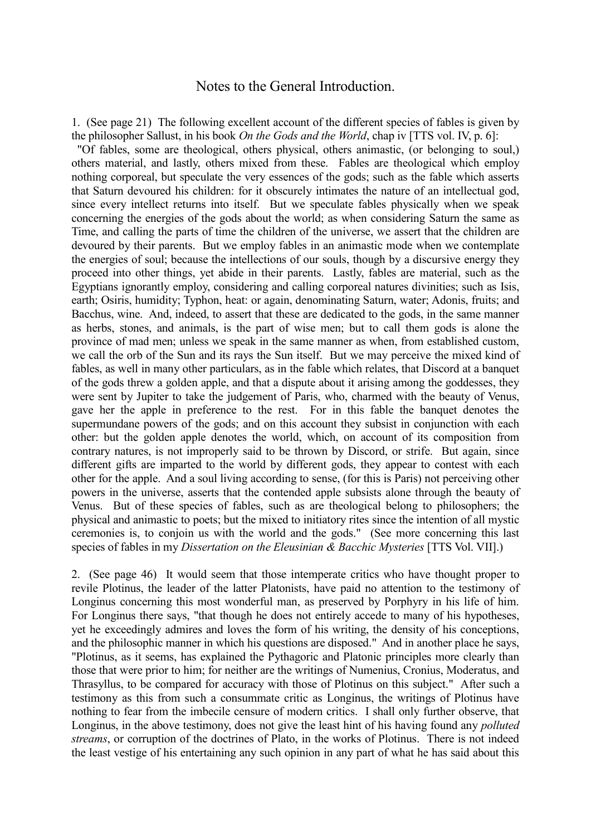#### Notes to the General Introduction.

1. (See page 21) The following excellent account of the different species of fables is given by the philosopher Sallust, in his book *On the Gods and the World*, chap iv [TTS vol. IV, p. 6]:

 "Of fables, some are theological, others physical, others animastic, (or belonging to soul,) others material, and lastly, others mixed from these. Fables are theological which employ nothing corporeal, but speculate the very essences of the gods; such as the fable which asserts that Saturn devoured his children: for it obscurely intimates the nature of an intellectual god, since every intellect returns into itself. But we speculate fables physically when we speak concerning the energies of the gods about the world; as when considering Saturn the same as Time, and calling the parts of time the children of the universe, we assert that the children are devoured by their parents. But we employ fables in an animastic mode when we contemplate the energies of soul; because the intellections of our souls, though by a discursive energy they proceed into other things, yet abide in their parents. Lastly, fables are material, such as the Egyptians ignorantly employ, considering and calling corporeal natures divinities; such as Isis, earth; Osiris, humidity; Typhon, heat: or again, denominating Saturn, water; Adonis, fruits; and Bacchus, wine. And, indeed, to assert that these are dedicated to the gods, in the same manner as herbs, stones, and animals, is the part of wise men; but to call them gods is alone the province of mad men; unless we speak in the same manner as when, from established custom, we call the orb of the Sun and its rays the Sun itself. But we may perceive the mixed kind of fables, as well in many other particulars, as in the fable which relates, that Discord at a banquet of the gods threw a golden apple, and that a dispute about it arising among the goddesses, they were sent by Jupiter to take the judgement of Paris, who, charmed with the beauty of Venus, gave her the apple in preference to the rest. For in this fable the banquet denotes the supermundane powers of the gods; and on this account they subsist in conjunction with each other: but the golden apple denotes the world, which, on account of its composition from contrary natures, is not improperly said to be thrown by Discord, or strife. But again, since different gifts are imparted to the world by different gods, they appear to contest with each other for the apple. And a soul living according to sense, (for this is Paris) not perceiving other powers in the universe, asserts that the contended apple subsists alone through the beauty of Venus. But of these species of fables, such as are theological belong to philosophers; the physical and animastic to poets; but the mixed to initiatory rites since the intention of all mystic ceremonies is, to conjoin us with the world and the gods." (See more concerning this last species of fables in my *Dissertation on the Eleusinian & Bacchic Mysteries* [TTS Vol. VII].)

2. (See page 46) It would seem that those intemperate critics who have thought proper to revile Plotinus, the leader of the latter Platonists, have paid no attention to the testimony of Longinus concerning this most wonderful man, as preserved by Porphyry in his life of him. For Longinus there says, "that though he does not entirely accede to many of his hypotheses, yet he exceedingly admires and loves the form of his writing, the density of his conceptions, and the philosophic manner in which his questions are disposed." And in another place he says, "Plotinus, as it seems, has explained the Pythagoric and Platonic principles more clearly than those that were prior to him; for neither are the writings of Numenius, Cronius, Moderatus, and Thrasyllus, to be compared for accuracy with those of Plotinus on this subject." After such a testimony as this from such a consummate critic as Longinus, the writings of Plotinus have nothing to fear from the imbecile censure of modern critics. I shall only further observe, that Longinus, in the above testimony, does not give the least hint of his having found any *polluted streams*, or corruption of the doctrines of Plato, in the works of Plotinus. There is not indeed the least vestige of his entertaining any such opinion in any part of what he has said about this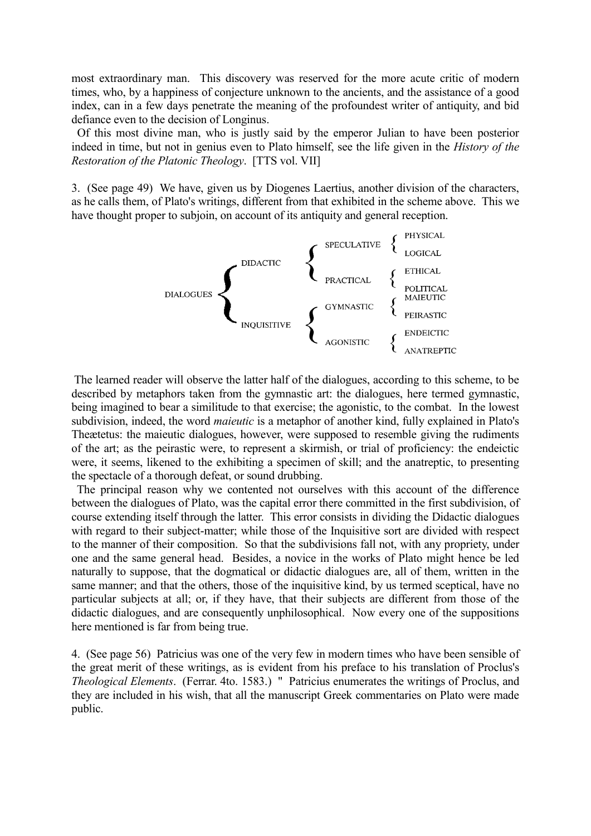most extraordinary man. This discovery was reserved for the more acute critic of modern times, who, by a happiness of conjecture unknown to the ancients, and the assistance of a good index, can in a few days penetrate the meaning of the profoundest writer of antiquity, and bid defiance even to the decision of Longinus.

 Of this most divine man, who is justly said by the emperor Julian to have been posterior indeed in time, but not in genius even to Plato himself, see the life given in the *History of the Restoration of the Platonic Theology*. [TTS vol. VII]

3. (See page 49) We have, given us by Diogenes Laertius, another division of the characters, as he calls them, of Plato's writings, different from that exhibited in the scheme above. This we have thought proper to subjoin, on account of its antiquity and general reception.



The learned reader will observe the latter half of the dialogues, according to this scheme, to be described by metaphors taken from the gymnastic art: the dialogues, here termed gymnastic, being imagined to bear a similitude to that exercise; the agonistic, to the combat. In the lowest subdivision, indeed, the word *maieutic* is a metaphor of another kind, fully explained in Plato's Theætetus: the maieutic dialogues, however, were supposed to resemble giving the rudiments of the art; as the peirastic were, to represent a skirmish, or trial of proficiency: the endeictic were, it seems, likened to the exhibiting a specimen of skill; and the anatreptic, to presenting the spectacle of a thorough defeat, or sound drubbing.

 The principal reason why we contented not ourselves with this account of the difference between the dialogues of Plato, was the capital error there committed in the first subdivision, of course extending itself through the latter. This error consists in dividing the Didactic dialogues with regard to their subject-matter; while those of the Inquisitive sort are divided with respect to the manner of their composition. So that the subdivisions fall not, with any propriety, under one and the same general head. Besides, a novice in the works of Plato might hence be led naturally to suppose, that the dogmatical or didactic dialogues are, all of them, written in the same manner; and that the others, those of the inquisitive kind, by us termed sceptical, have no particular subjects at all; or, if they have, that their subjects are different from those of the didactic dialogues, and are consequently unphilosophical. Now every one of the suppositions here mentioned is far from being true.

4. (See page 56) Patricius was one of the very few in modern times who have been sensible of the great merit of these writings, as is evident from his preface to his translation of Proclus's *Theological Elements*. (Ferrar. 4to. 1583.) " Patricius enumerates the writings of Proclus, and they are included in his wish, that all the manuscript Greek commentaries on Plato were made public.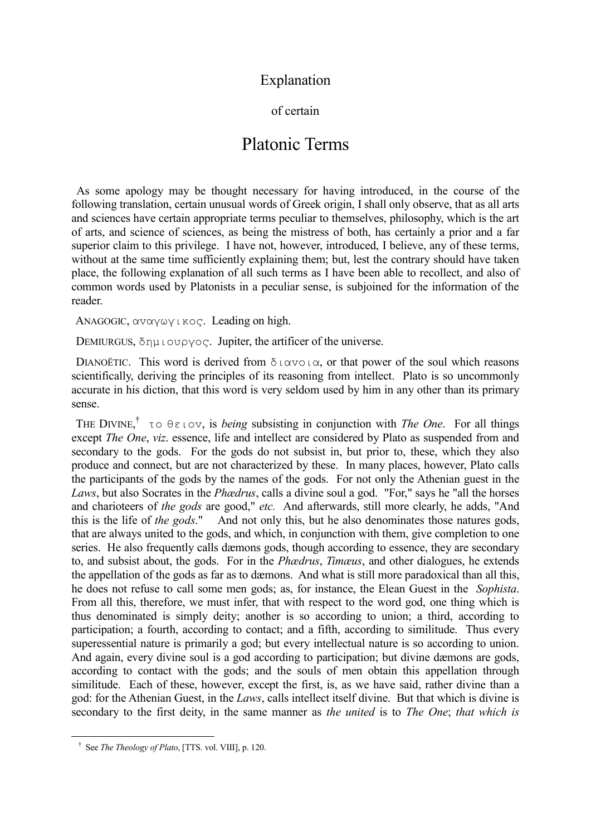### Explanation

#### of certain

# Platonic Terms

 As some apology may be thought necessary for having introduced, in the course of the following translation, certain unusual words of Greek origin, I shall only observe, that as all arts and sciences have certain appropriate terms peculiar to themselves, philosophy, which is the art of arts, and science of sciences, as being the mistress of both, has certainly a prior and a far superior claim to this privilege. I have not, however, introduced, I believe, any of these terms, without at the same time sufficiently explaining them; but, lest the contrary should have taken place, the following explanation of all such terms as I have been able to recollect, and also of common words used by Platonists in a peculiar sense, is subjoined for the information of the reader.

ANAGOGIC, αvαγωγικoς. Leading on high.

DEMIURGUS,  $\delta$ ημιουργος. Jupiter, the artificer of the universe.

DIANOËTIC. This word is derived from  $\delta \iota \alpha \nu \circ \iota \alpha$ , or that power of the soul which reasons scientifically, deriving the principles of its reasoning from intellect. Plato is so uncommonly accurate in his diction, that this word is very seldom used by him in any other than its primary sense.

 THE DIVINE, † τo θειov, is *being* subsisting in conjunction with *The One*. For all things except *The One*, *viz*. essence, life and intellect are considered by Plato as suspended from and secondary to the gods. For the gods do not subsist in, but prior to, these, which they also produce and connect, but are not characterized by these. In many places, however, Plato calls the participants of the gods by the names of the gods. For not only the Athenian guest in the *Laws*, but also Socrates in the *Phædrus*, calls a divine soul a god. "For," says he "all the horses and charioteers of *the gods* are good," *etc.* And afterwards, still more clearly, he adds, "And this is the life of *the gods*." And not only this, but he also denominates those natures gods, that are always united to the gods, and which, in conjunction with them, give completion to one series. He also frequently calls dæmons gods, though according to essence, they are secondary to, and subsist about, the gods. For in the *Phædrus*, *Timæus*, and other dialogues, he extends the appellation of the gods as far as to dæmons. And what is still more paradoxical than all this, he does not refuse to call some men gods; as, for instance, the Elean Guest in the *Sophista*. From all this, therefore, we must infer, that with respect to the word god, one thing which is thus denominated is simply deity; another is so according to union; a third, according to participation; a fourth, according to contact; and a fifth, according to similitude. Thus every superessential nature is primarily a god; but every intellectual nature is so according to union. And again, every divine soul is a god according to participation; but divine dæmons are gods, according to contact with the gods; and the souls of men obtain this appellation through similitude. Each of these, however, except the first, is, as we have said, rather divine than a god: for the Athenian Guest, in the *Laws*, calls intellect itself divine. But that which is divine is secondary to the first deity, in the same manner as *the united* is to *The One*; *that which is* 

† See *The Theology of Plato*, [TTS. vol. VIII], p. 120.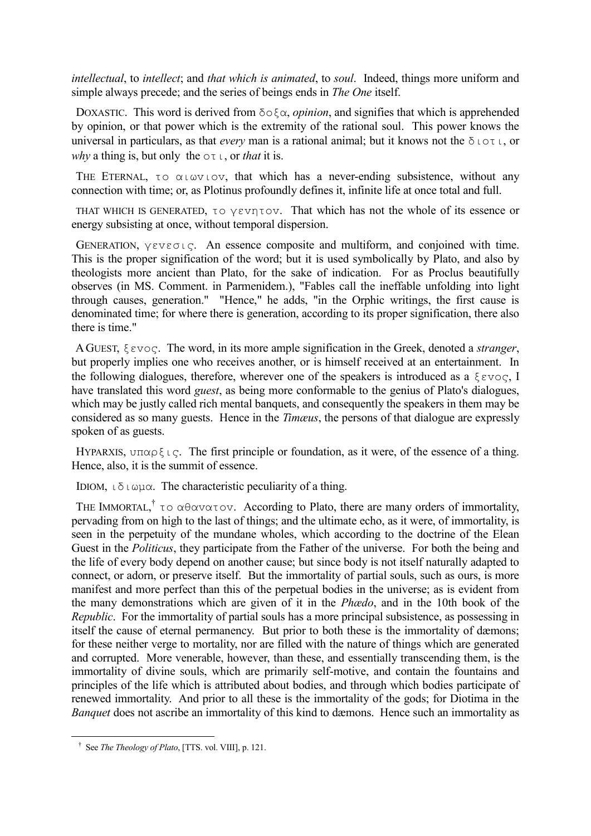*intellectual*, to *intellect*; and *that which is animated*, to *soul*. Indeed, things more uniform and simple always precede; and the series of beings ends in *The One* itself.

DOXASTIC. This word is derived from  $\delta o \xi \alpha$ , *opinion*, and signifies that which is apprehended by opinion, or that power which is the extremity of the rational soul. This power knows the universal in particulars, as that *every* man is a rational animal; but it knows not the διoτι, or *why* a thing is, but only the oτι, or *that* it is.

THE ETERNAL, τo  $\alpha \iota \omega v \iota \circ v$ , that which has a never-ending subsistence, without any connection with time; or, as Plotinus profoundly defines it, infinite life at once total and full.

 THAT WHICH IS GENERATED, τo γεvητov. That which has not the whole of its essence or energy subsisting at once, without temporal dispersion.

 GENERATION, γεvεσις. An essence composite and multiform, and conjoined with time. This is the proper signification of the word; but it is used symbolically by Plato, and also by theologists more ancient than Plato, for the sake of indication. For as Proclus beautifully observes (in MS. Comment. in Parmenidem.), "Fables call the ineffable unfolding into light through causes, generation." "Hence," he adds, "in the Orphic writings, the first cause is denominated time; for where there is generation, according to its proper signification, there also there is time."

 AGUEST, ξεvoς. The word, in its more ample signification in the Greek, denoted a *stranger*, but properly implies one who receives another, or is himself received at an entertainment. In the following dialogues, therefore, wherever one of the speakers is introduced as a  $\xi \in \nu \circ \varsigma$ , I have translated this word *guest*, as being more conformable to the genius of Plato's dialogues, which may be justly called rich mental banquets, and consequently the speakers in them may be considered as so many guests. Hence in the *Timæus*, the persons of that dialogue are expressly spoken of as guests.

HYPARXIS,  $\cup \Pi \cap \cup \emptyset$  is  $\cup \cap \Pi$ . The first principle or foundation, as it were, of the essence of a thing. Hence, also, it is the summit of essence.

IDIOM, ιδιωμα. The characteristic peculiarity of a thing.

THE IMMORTAL,<sup>†</sup> τo αθανατov. According to Plato, there are many orders of immortality, pervading from on high to the last of things; and the ultimate echo, as it were, of immortality, is seen in the perpetuity of the mundane wholes, which according to the doctrine of the Elean Guest in the *Politicus*, they participate from the Father of the universe. For both the being and the life of every body depend on another cause; but since body is not itself naturally adapted to connect, or adorn, or preserve itself. But the immortality of partial souls, such as ours, is more manifest and more perfect than this of the perpetual bodies in the universe; as is evident from the many demonstrations which are given of it in the *Phædo*, and in the 10th book of the *Republic*. For the immortality of partial souls has a more principal subsistence, as possessing in itself the cause of eternal permanency. But prior to both these is the immortality of dæmons; for these neither verge to mortality, nor are filled with the nature of things which are generated and corrupted. More venerable, however, than these, and essentially transcending them, is the immortality of divine souls, which are primarily self-motive, and contain the fountains and principles of the life which is attributed about bodies, and through which bodies participate of renewed immortality. And prior to all these is the immortality of the gods; for Diotima in the *Banquet* does not ascribe an immortality of this kind to dæmons. Hence such an immortality as

† See *The Theology of Plato*, [TTS. vol. VIII], p. 121.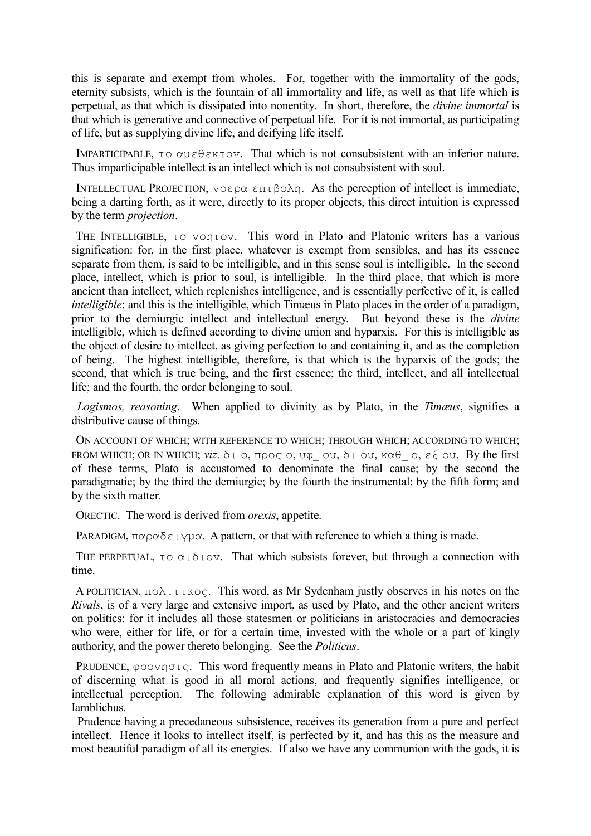this is separate and exempt from wholes. For, together with the immortality of the gods, eternity subsists, which is the fountain of all immortality and life, as well as that life which is perpetual, as that which is dissipated into nonentity. In short, therefore, the *divine immortal* is that which is generative and connective of perpetual life. For it is not immortal, as participating of life, but as supplying divine life, and deifying life itself.

 IMPARTICIPABLE, τo αμεθεκτov. That which is not consubsistent with an inferior nature. Thus imparticipable intellect is an intellect which is not consubsistent with soul.

 INTELLECTUAL PROJECTION, voερα επιβoλη. As the perception of intellect is immediate, being a darting forth, as it were, directly to its proper objects, this direct intuition is expressed by the term *projection*.

THE INTELLIGIBLE, τo vontov. This word in Plato and Platonic writers has a various signification: for, in the first place, whatever is exempt from sensibles, and has its essence separate from them, is said to be intelligible, and in this sense soul is intelligible. In the second place, intellect, which is prior to soul, is intelligible. In the third place, that which is more ancient than intellect, which replenishes intelligence, and is essentially perfective of it, is called *intelligible*: and this is the intelligible, which Timæus in Plato places in the order of a paradigm, prior to the demiurgic intellect and intellectual energy. But beyond these is the *divine* intelligible, which is defined according to divine union and hyparxis. For this is intelligible as the object of desire to intellect, as giving perfection to and containing it, and as the completion of being. The highest intelligible, therefore, is that which is the hyparxis of the gods; the second, that which is true being, and the first essence; the third, intellect, and all intellectual life; and the fourth, the order belonging to soul.

 *Logismos, reasoning*. When applied to divinity as by Plato, in the *Timæus*, signifies a distributive cause of things.

 ON ACCOUNT OF WHICH; WITH REFERENCE TO WHICH; THROUGH WHICH; ACCORDING TO WHICH; FROM WHICH; OR IN WHICH; *viz*. δι o, πρoς o, υφ\_ oυ, δι oυ, καθ\_ o, εξ oυ. By the first of these terms, Plato is accustomed to denominate the final cause; by the second the paradigmatic; by the third the demiurgic; by the fourth the instrumental; by the fifth form; and by the sixth matter.

ORECTIC. The word is derived from *orexis*, appetite.

PARADIGM,  $\pi \alpha \beta \alpha \delta \epsilon \iota \gamma \mu \alpha$ . A pattern, or that with reference to which a thing is made.

THE PERPETUAL, τo  $\alpha \iota \delta \iota$  ov. That which subsists forever, but through a connection with time.

 A POLITICIAN, πoλιτικoς. This word, as Mr Sydenham justly observes in his notes on the *Rivals*, is of a very large and extensive import, as used by Plato, and the other ancient writers on politics: for it includes all those statesmen or politicians in aristocracies and democracies who were, either for life, or for a certain time, invested with the whole or a part of kingly authority, and the power thereto belonging. See the *Politicus*.

PRUDENCE,  $\varphi \rho \circ \nu \eta \circ \iota \varsigma$ . This word frequently means in Plato and Platonic writers, the habit of discerning what is good in all moral actions, and frequently signifies intelligence, or intellectual perception. The following admirable explanation of this word is given by Iamblichus.

 Prudence having a precedaneous subsistence, receives its generation from a pure and perfect intellect. Hence it looks to intellect itself, is perfected by it, and has this as the measure and most beautiful paradigm of all its energies. If also we have any communion with the gods, it is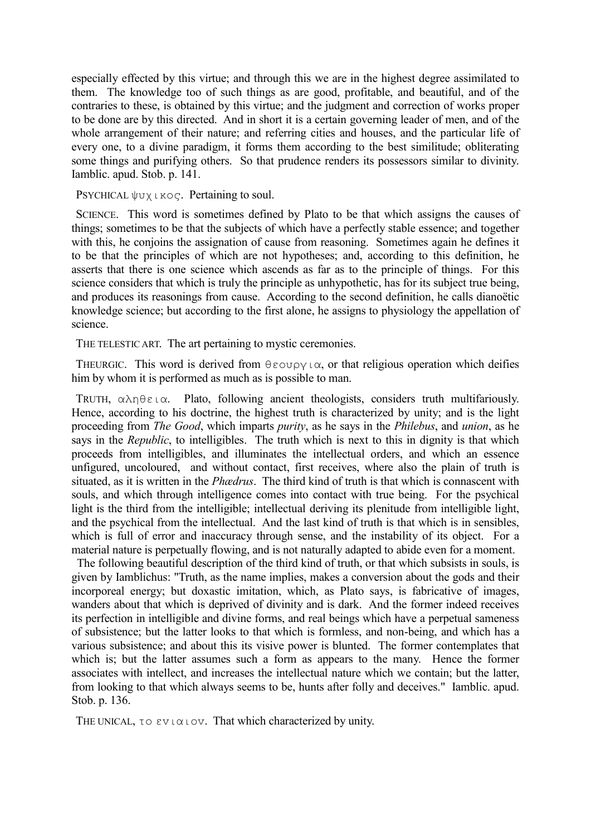especially effected by this virtue; and through this we are in the highest degree assimilated to them. The knowledge too of such things as are good, profitable, and beautiful, and of the contraries to these, is obtained by this virtue; and the judgment and correction of works proper to be done are by this directed. And in short it is a certain governing leader of men, and of the whole arrangement of their nature; and referring cities and houses, and the particular life of every one, to a divine paradigm, it forms them according to the best similitude; obliterating some things and purifying others. So that prudence renders its possessors similar to divinity. Iamblic. apud. Stob. p. 141.

PSYCHICAL ψυχικoς. Pertaining to soul.

 SCIENCE. This word is sometimes defined by Plato to be that which assigns the causes of things; sometimes to be that the subjects of which have a perfectly stable essence; and together with this, he conjoins the assignation of cause from reasoning. Sometimes again he defines it to be that the principles of which are not hypotheses; and, according to this definition, he asserts that there is one science which ascends as far as to the principle of things. For this science considers that which is truly the principle as unhypothetic, has for its subject true being, and produces its reasonings from cause. According to the second definition, he calls dianoëtic knowledge science; but according to the first alone, he assigns to physiology the appellation of science.

THE TELESTIC ART. The art pertaining to mystic ceremonies.

THEURGIC. This word is derived from  $\theta \in \text{conv}(X)$  or that religious operation which deifies him by whom it is performed as much as is possible to man.

 TRUTH, αληθεια. Plato, following ancient theologists, considers truth multifariously. Hence, according to his doctrine, the highest truth is characterized by unity; and is the light proceeding from *The Good*, which imparts *purity*, as he says in the *Philebus*, and *union*, as he says in the *Republic*, to intelligibles. The truth which is next to this in dignity is that which proceeds from intelligibles, and illuminates the intellectual orders, and which an essence unfigured, uncoloured, and without contact, first receives, where also the plain of truth is situated, as it is written in the *Phædrus*. The third kind of truth is that which is connascent with souls, and which through intelligence comes into contact with true being. For the psychical light is the third from the intelligible; intellectual deriving its plenitude from intelligible light, and the psychical from the intellectual. And the last kind of truth is that which is in sensibles, which is full of error and inaccuracy through sense, and the instability of its object. For a material nature is perpetually flowing, and is not naturally adapted to abide even for a moment.

 The following beautiful description of the third kind of truth, or that which subsists in souls, is given by Iamblichus: "Truth, as the name implies, makes a conversion about the gods and their incorporeal energy; but doxastic imitation, which, as Plato says, is fabricative of images, wanders about that which is deprived of divinity and is dark. And the former indeed receives its perfection in intelligible and divine forms, and real beings which have a perpetual sameness of subsistence; but the latter looks to that which is formless, and non-being, and which has a various subsistence; and about this its visive power is blunted. The former contemplates that which is; but the latter assumes such a form as appears to the many. Hence the former associates with intellect, and increases the intellectual nature which we contain; but the latter, from looking to that which always seems to be, hunts after folly and deceives." Iamblic. apud. Stob. p. 136.

THE UNICAL, τo ενιαιov. That which characterized by unity.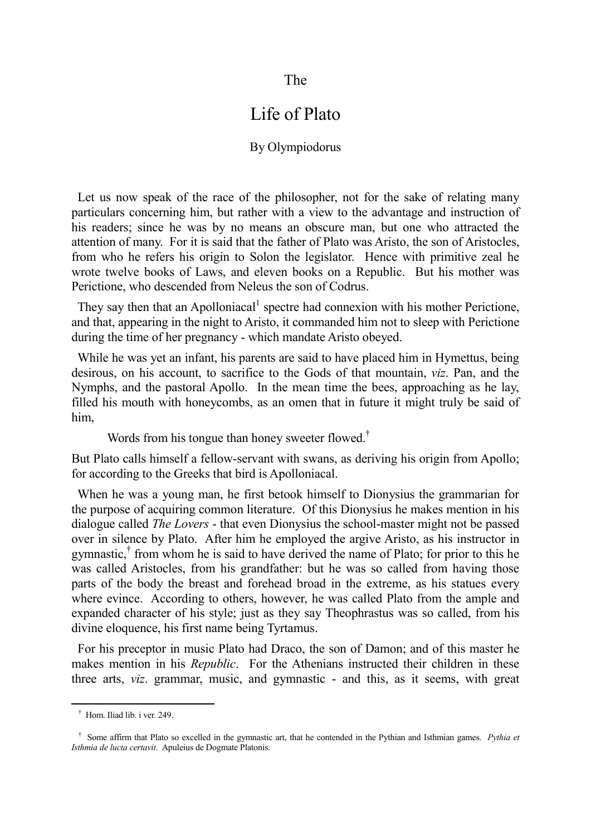#### The

# Life of Plato

#### By Olympiodorus

 Let us now speak of the race of the philosopher, not for the sake of relating many particulars concerning him, but rather with a view to the advantage and instruction of his readers; since he was by no means an obscure man, but one who attracted the attention of many. For it is said that the father of Plato was Aristo, the son of Aristocles, from who he refers his origin to Solon the legislator. Hence with primitive zeal he wrote twelve books of Laws, and eleven books on a Republic. But his mother was Perictione, who descended from Neleus the son of Codrus.

They say then that an Apolloniacal<sup>1</sup> spectre had connexion with his mother Perictione, and that, appearing in the night to Aristo, it commanded him not to sleep with Perictione during the time of her pregnancy - which mandate Aristo obeyed.

 While he was yet an infant, his parents are said to have placed him in Hymettus, being desirous, on his account, to sacrifice to the Gods of that mountain, *viz*. Pan, and the Nymphs, and the pastoral Apollo. In the mean time the bees, approaching as he lay, filled his mouth with honeycombs, as an omen that in future it might truly be said of him,

Words from his tongue than honey sweeter flowed.†

But Plato calls himself a fellow-servant with swans, as deriving his origin from Apollo; for according to the Greeks that bird is Apolloniacal.

 When he was a young man, he first betook himself to Dionysius the grammarian for the purpose of acquiring common literature. Of this Dionysius he makes mention in his dialogue called *The Lovers* - that even Dionysius the school-master might not be passed over in silence by Plato. After him he employed the argive Aristo, as his instructor in gymnastic,† from whom he is said to have derived the name of Plato; for prior to this he was called Aristocles, from his grandfather: but he was so called from having those parts of the body the breast and forehead broad in the extreme, as his statues every where evince. According to others, however, he was called Plato from the ample and expanded character of his style; just as they say Theophrastus was so called, from his divine eloquence, his first name being Tyrtamus.

 For his preceptor in music Plato had Draco, the son of Damon; and of this master he makes mention in his *Republic*. For the Athenians instructed their children in these three arts, *viz*. grammar, music, and gymnastic - and this, as it seems, with great

† Hom. Iliad lib. i ver. 249.

<sup>&</sup>lt;sup>†</sup> Some affirm that Plato so excelled in the gymnastic art, that he contended in the Pythian and Isthmian games. *Pythia et Isthmia de lucta certavit*. Apuleius de Dogmate Platonis.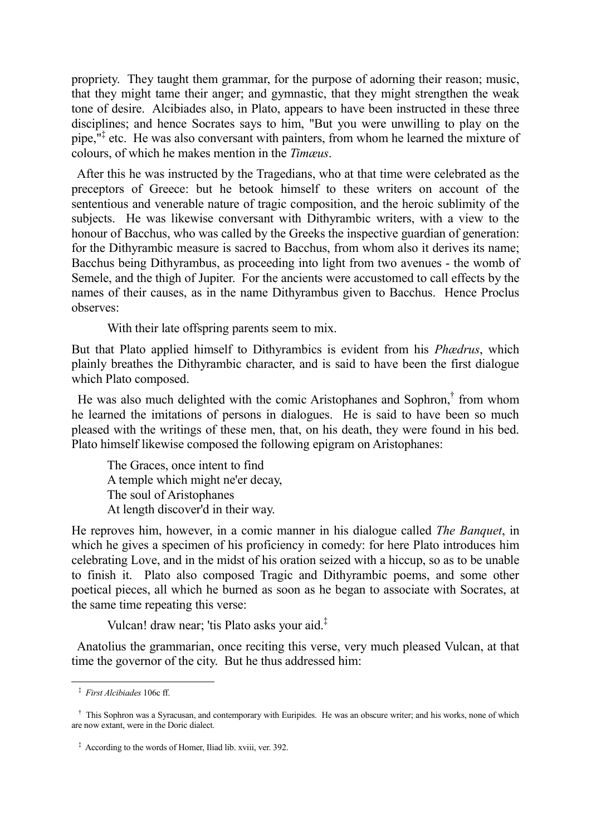propriety. They taught them grammar, for the purpose of adorning their reason; music, that they might tame their anger; and gymnastic, that they might strengthen the weak tone of desire. Alcibiades also, in Plato, appears to have been instructed in these three disciplines; and hence Socrates says to him, "But you were unwilling to play on the pipe,"‡ etc. He was also conversant with painters, from whom he learned the mixture of colours, of which he makes mention in the *Timæus*.

 After this he was instructed by the Tragedians, who at that time were celebrated as the preceptors of Greece: but he betook himself to these writers on account of the sententious and venerable nature of tragic composition, and the heroic sublimity of the subjects. He was likewise conversant with Dithyrambic writers, with a view to the honour of Bacchus, who was called by the Greeks the inspective guardian of generation: for the Dithyrambic measure is sacred to Bacchus, from whom also it derives its name; Bacchus being Dithyrambus, as proceeding into light from two avenues - the womb of Semele, and the thigh of Jupiter. For the ancients were accustomed to call effects by the names of their causes, as in the name Dithyrambus given to Bacchus. Hence Proclus observes:

With their late offspring parents seem to mix.

But that Plato applied himself to Dithyrambics is evident from his *Phædrus*, which plainly breathes the Dithyrambic character, and is said to have been the first dialogue which Plato composed.

He was also much delighted with the comic Aristophanes and Sophron,<sup>†</sup> from whom he learned the imitations of persons in dialogues. He is said to have been so much pleased with the writings of these men, that, on his death, they were found in his bed. Plato himself likewise composed the following epigram on Aristophanes:

The Graces, once intent to find A temple which might ne'er decay, The soul of Aristophanes At length discover'd in their way.

He reproves him, however, in a comic manner in his dialogue called *The Banquet*, in which he gives a specimen of his proficiency in comedy: for here Plato introduces him celebrating Love, and in the midst of his oration seized with a hiccup, so as to be unable to finish it. Plato also composed Tragic and Dithyrambic poems, and some other poetical pieces, all which he burned as soon as he began to associate with Socrates, at the same time repeating this verse:

Vulcan! draw near; 'tis Plato asks your aid.‡

 Anatolius the grammarian, once reciting this verse, very much pleased Vulcan, at that time the governor of the city. But he thus addressed him:

-

‡ *First Alcibiades* 106c ff.

<sup>&</sup>lt;sup>†</sup> This Sophron was a Syracusan, and contemporary with Euripides. He was an obscure writer; and his works, none of which are now extant, were in the Doric dialect.

‡ According to the words of Homer, Iliad lib. xviii, ver. 392.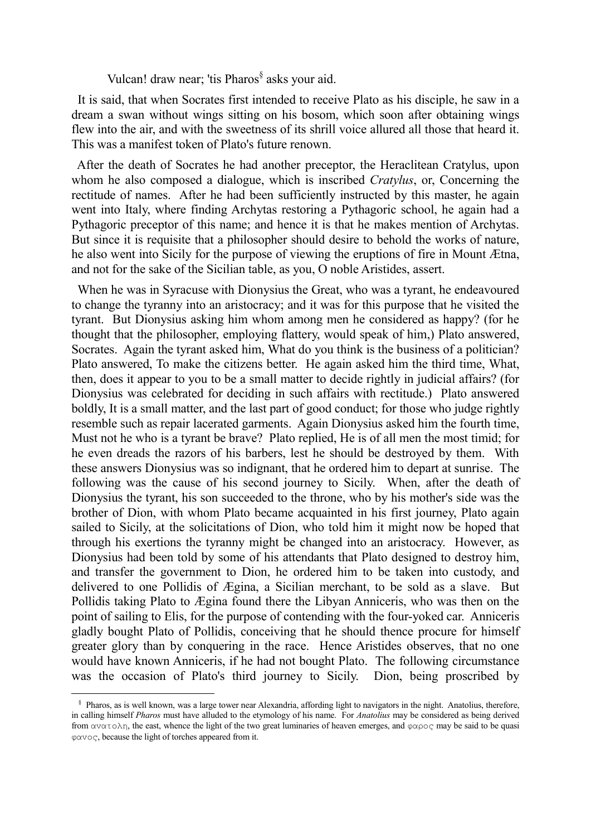Vulcan! draw near; 'tis Pharos<sup>§</sup> asks your aid.

 It is said, that when Socrates first intended to receive Plato as his disciple, he saw in a dream a swan without wings sitting on his bosom, which soon after obtaining wings flew into the air, and with the sweetness of its shrill voice allured all those that heard it. This was a manifest token of Plato's future renown.

 After the death of Socrates he had another preceptor, the Heraclitean Cratylus, upon whom he also composed a dialogue, which is inscribed *Cratylus*, or, Concerning the rectitude of names. After he had been sufficiently instructed by this master, he again went into Italy, where finding Archytas restoring a Pythagoric school, he again had a Pythagoric preceptor of this name; and hence it is that he makes mention of Archytas. But since it is requisite that a philosopher should desire to behold the works of nature, he also went into Sicily for the purpose of viewing the eruptions of fire in Mount Ætna, and not for the sake of the Sicilian table, as you, O noble Aristides, assert.

 When he was in Syracuse with Dionysius the Great, who was a tyrant, he endeavoured to change the tyranny into an aristocracy; and it was for this purpose that he visited the tyrant. But Dionysius asking him whom among men he considered as happy? (for he thought that the philosopher, employing flattery, would speak of him,) Plato answered, Socrates. Again the tyrant asked him, What do you think is the business of a politician? Plato answered, To make the citizens better. He again asked him the third time, What, then, does it appear to you to be a small matter to decide rightly in judicial affairs? (for Dionysius was celebrated for deciding in such affairs with rectitude.) Plato answered boldly, It is a small matter, and the last part of good conduct; for those who judge rightly resemble such as repair lacerated garments. Again Dionysius asked him the fourth time, Must not he who is a tyrant be brave? Plato replied, He is of all men the most timid; for he even dreads the razors of his barbers, lest he should be destroyed by them. With these answers Dionysius was so indignant, that he ordered him to depart at sunrise. The following was the cause of his second journey to Sicily. When, after the death of Dionysius the tyrant, his son succeeded to the throne, who by his mother's side was the brother of Dion, with whom Plato became acquainted in his first journey, Plato again sailed to Sicily, at the solicitations of Dion, who told him it might now be hoped that through his exertions the tyranny might be changed into an aristocracy. However, as Dionysius had been told by some of his attendants that Plato designed to destroy him, and transfer the government to Dion, he ordered him to be taken into custody, and delivered to one Pollidis of Ægina, a Sicilian merchant, to be sold as a slave. But Pollidis taking Plato to Ægina found there the Libyan Anniceris, who was then on the point of sailing to Elis, for the purpose of contending with the four-yoked car. Anniceris gladly bought Plato of Pollidis, conceiving that he should thence procure for himself greater glory than by conquering in the race. Hence Aristides observes, that no one would have known Anniceris, if he had not bought Plato. The following circumstance was the occasion of Plato's third journey to Sicily. Dion, being proscribed by

 <sup>§</sup> Pharos, as is well known, was a large tower near Alexandria, affording light to navigators in the night. Anatolius, therefore, in calling himself *Pharos* must have alluded to the etymology of his name. For *Anatolius* may be considered as being derived from  $\alpha \alpha \alpha \tau \circ \lambda \eta$ , the east, whence the light of the two great luminaries of heaven emerges, and  $\varphi \alpha \rho \circ \varsigma$  may be said to be quasi φαvoς, because the light of torches appeared from it.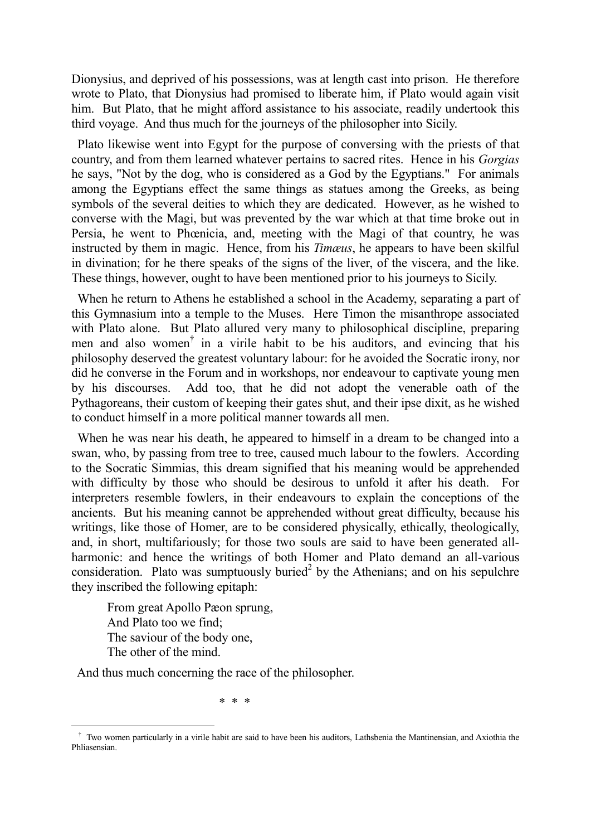Dionysius, and deprived of his possessions, was at length cast into prison. He therefore wrote to Plato, that Dionysius had promised to liberate him, if Plato would again visit him. But Plato, that he might afford assistance to his associate, readily undertook this third voyage. And thus much for the journeys of the philosopher into Sicily.

 Plato likewise went into Egypt for the purpose of conversing with the priests of that country, and from them learned whatever pertains to sacred rites. Hence in his *Gorgias* he says, "Not by the dog, who is considered as a God by the Egyptians." For animals among the Egyptians effect the same things as statues among the Greeks, as being symbols of the several deities to which they are dedicated. However, as he wished to converse with the Magi, but was prevented by the war which at that time broke out in Persia, he went to Phœnicia, and, meeting with the Magi of that country, he was instructed by them in magic. Hence, from his *Timæus*, he appears to have been skilful in divination; for he there speaks of the signs of the liver, of the viscera, and the like. These things, however, ought to have been mentioned prior to his journeys to Sicily.

 When he return to Athens he established a school in the Academy, separating a part of this Gymnasium into a temple to the Muses. Here Timon the misanthrope associated with Plato alone. But Plato allured very many to philosophical discipline, preparing men and also women† in a virile habit to be his auditors, and evincing that his philosophy deserved the greatest voluntary labour: for he avoided the Socratic irony, nor did he converse in the Forum and in workshops, nor endeavour to captivate young men by his discourses. Add too, that he did not adopt the venerable oath of the Pythagoreans, their custom of keeping their gates shut, and their ipse dixit, as he wished to conduct himself in a more political manner towards all men.

 When he was near his death, he appeared to himself in a dream to be changed into a swan, who, by passing from tree to tree, caused much labour to the fowlers. According to the Socratic Simmias, this dream signified that his meaning would be apprehended with difficulty by those who should be desirous to unfold it after his death. For interpreters resemble fowlers, in their endeavours to explain the conceptions of the ancients. But his meaning cannot be apprehended without great difficulty, because his writings, like those of Homer, are to be considered physically, ethically, theologically, and, in short, multifariously; for those two souls are said to have been generated allharmonic: and hence the writings of both Homer and Plato demand an all-various consideration. Plato was sumptuously buried<sup>2</sup> by the Athenians; and on his sepulchre they inscribed the following epitaph:

From great Apollo Pæon sprung, And Plato too we find; The saviour of the body one, The other of the mind.

—<br>—

And thus much concerning the race of the philosopher.

\* \* \*

<sup>&</sup>lt;sup>†</sup> Two women particularly in a virile habit are said to have been his auditors, Lathsbenia the Mantinensian, and Axiothia the Phliasensian.